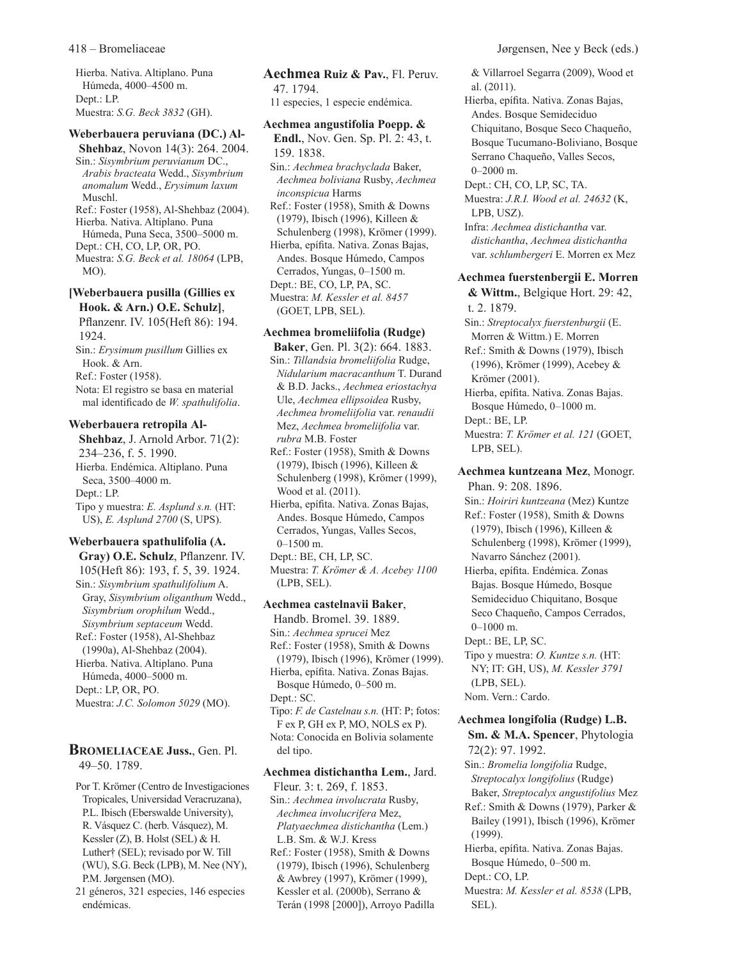Hierba. Nativa. Altiplano. Puna Húmeda, 4000–4500 m. Dept.: LP. Muestra: *S.G. Beck 3832* (GH).

#### **Weberbauera peruviana (DC.) Al-**

**Shehbaz**, Novon 14(3): 264. 2004. Sin.: *Sisymbrium peruvianum* DC., *Arabis bracteata* Wedd., *Sisymbrium anomalum* Wedd., *Erysimum laxum* Muschl.

Ref.: Foster (1958), Al-Shehbaz (2004). Hierba. Nativa. Altiplano. Puna Húmeda, Puna Seca, 3500–5000 m. Dept.: CH, CO, LP, OR, PO. Muestra: *S.G. Beck et al. 18064* (LPB, MO).

# **[Weberbauera pusilla (Gillies ex Hook. & Arn.) O.E. Schulz]**,

Pflanzenr. IV. 105(Heft 86): 194. 1924. Sin.: *Erysimum pusillum* Gillies ex Hook. & Arn. Ref.: Foster (1958). Nota: El registro se basa en material mal identificado de *W. spathulifolia*.

#### **Weberbauera retropila Al-**

**Shehbaz**, J. Arnold Arbor. 71(2): 234–236, f. 5. 1990. Hierba. Endémica. Altiplano. Puna Seca, 3500–4000 m. Dept.: LP. Tipo y muestra: *E. Asplund s.n.* (HT: US), *E. Asplund 2700* (S, UPS).

# **Weberbauera spathulifolia (A.**

**Gray) O.E. Schulz**, Pflanzenr. IV. 105(Heft 86): 193, f. 5, 39. 1924. Sin.: *Sisymbrium spathulifolium* A. Gray, *Sisymbrium oliganthum* Wedd., *Sisymbrium orophilum* Wedd., *Sisymbrium septaceum* Wedd. Ref.: Foster (1958), Al-Shehbaz (1990a), Al-Shehbaz (2004). Hierba. Nativa. Altiplano. Puna Húmeda, 4000–5000 m. Dept.: LP, OR, PO. Muestra: *J.C. Solomon 5029* (MO).

# **Bromeliaceae Juss.**, Gen. Pl. 49–50. 1789.

Por T. Krömer (Centro de Investigaciones Tropicales, Universidad Veracruzana), P.L. Ibisch (Eberswalde University), R. Vásquez C. (herb. Vásquez), M. Kessler (Z), B. Holst (SEL) & H. Luther† (SEL); revisado por W. Till (WU), S.G. Beck (LPB), M. Nee (NY), P.M. Jørgensen (MO).

21 géneros, 321 especies, 146 especies endémicas.

**Aechmea Ruiz & Pav.**, Fl. Peruv. 47. 1794. 11 especies, 1 especie endémica.

## **Aechmea angustifolia Poepp. &**

**Endl.**, Nov. Gen. Sp. Pl. 2: 43, t. 159. 1838.

Sin.: *Aechmea brachyclada* Baker, *Aechmea boliviana* Rusby, *Aechmea inconspicua* Harms

Ref.: Foster (1958), Smith & Downs (1979), Ibisch (1996), Killeen & Schulenberg (1998), Krömer (1999). Hierba, epífita. Nativa. Zonas Bajas, Andes. Bosque Húmedo, Campos Cerrados, Yungas, 0–1500 m. Dept.: BE, CO, LP, PA, SC. Muestra: *M. Kessler et al. 8457* (GOET, LPB, SEL).

# **Aechmea bromeliifolia (Rudge)**

**Baker**, Gen. Pl. 3(2): 664. 1883. Sin.: *Tillandsia bromeliifolia* Rudge, *Nidularium macracanthum* T. Durand & B.D. Jacks., *Aechmea eriostachya* Ule, *Aechmea ellipsoidea* Rusby, *Aechmea bromeliifolia* var. *renaudii* Mez, *Aechmea bromeliifolia* var. *rubra* M.B. Foster Ref.: Foster (1958), Smith & Downs

(1979), Ibisch (1996), Killeen & Schulenberg (1998), Krömer (1999), Wood et al. (2011).

Hierba, epífita. Nativa. Zonas Bajas, Andes. Bosque Húmedo, Campos Cerrados, Yungas, Valles Secos, 0–1500 m.

Dept.: BE, CH, LP, SC. Muestra: *T. Krömer & A. Acebey 1100* (LPB, SEL).

#### **Aechmea castelnavii Baker**,

Handb. Bromel. 39. 1889. Sin.: *Aechmea sprucei* Mez Ref.: Foster (1958), Smith & Downs (1979), Ibisch (1996), Krömer (1999). Hierba, epífita. Nativa. Zonas Bajas. Bosque Húmedo, 0–500 m. Dept.: SC. Tipo: *F. de Castelnau s.n.* (HT: P; fotos: F ex P, GH ex P, MO, NOLS ex P). Nota: Conocida en Bolivia solamente del tipo.

#### **Aechmea distichantha Lem.**, Jard.

Fleur. 3: t. 269, f. 1853. Sin.: *Aechmea involucrata* Rusby, *Aechmea involucrifera* Mez, *Platyaechmea distichantha* (Lem.) L.B. Sm. & W.J. Kress Ref.: Foster (1958), Smith & Downs (1979), Ibisch (1996), Schulenberg & Awbrey (1997), Krömer (1999), Kessler et al. (2000b), Serrano & Terán (1998 [2000]), Arroyo Padilla

& Villarroel Segarra (2009), Wood et al. (2011).

- Hierba, epífita. Nativa. Zonas Bajas, Andes. Bosque Semideciduo Chiquitano, Bosque Seco Chaqueño, Bosque Tucumano-Boliviano, Bosque Serrano Chaqueño, Valles Secos, 0–2000 m.
- Dept.: CH, CO, LP, SC, TA.

Muestra: *J.R.I. Wood et al. 24632* (K, LPB, USZ).

Infra: *Aechmea distichantha* var. *distichantha*, *Aechmea distichantha* var. *schlumbergeri* E. Morren ex Mez

#### **Aechmea fuerstenbergii E. Morren**

**& Wittm.**, Belgique Hort. 29: 42, t. 2. 1879.

Sin.: *Streptocalyx fuerstenburgii* (E. Morren & Wittm.) E. Morren

Ref.: Smith & Downs (1979), Ibisch (1996), Krömer (1999), Acebey & Krömer (2001).

Hierba, epífita. Nativa. Zonas Bajas. Bosque Húmedo, 0–1000 m.

Dept.: BE, LP.

Muestra: *T. Krömer et al. 121* (GOET, LPB, SEL).

**Aechmea kuntzeana Mez**, Monogr. Phan. 9: 208. 1896. Sin.: *Hoiriri kuntzeana* (Mez) Kuntze Ref.: Foster (1958), Smith & Downs (1979), Ibisch (1996), Killeen & Schulenberg (1998), Krömer (1999), Navarro Sánchez (2001). Hierba, epífita. Endémica. Zonas Bajas. Bosque Húmedo, Bosque Semideciduo Chiquitano, Bosque Seco Chaqueño, Campos Cerrados,

#### 0–1000 m.

Dept.: BE, LP, SC.

Tipo y muestra: *O. Kuntze s.n.* (HT: NY; IT: GH, US), *M. Kessler 3791* (LPB, SEL). Nom. Vern.: Cardo.

# **Aechmea longifolia (Rudge) L.B. Sm. & M.A. Spencer**, Phytologia 72(2): 97. 1992.

Sin.: *Bromelia longifolia* Rudge, *Streptocalyx longifolius* (Rudge) Baker, *Streptocalyx angustifolius* Mez Ref.: Smith & Downs (1979), Parker & Bailey (1991), Ibisch (1996), Krömer (1999).

Hierba, epífita. Nativa. Zonas Bajas. Bosque Húmedo, 0–500 m. Dept.: CO, LP.

Muestra: *M. Kessler et al. 8538* (LPB, SEL).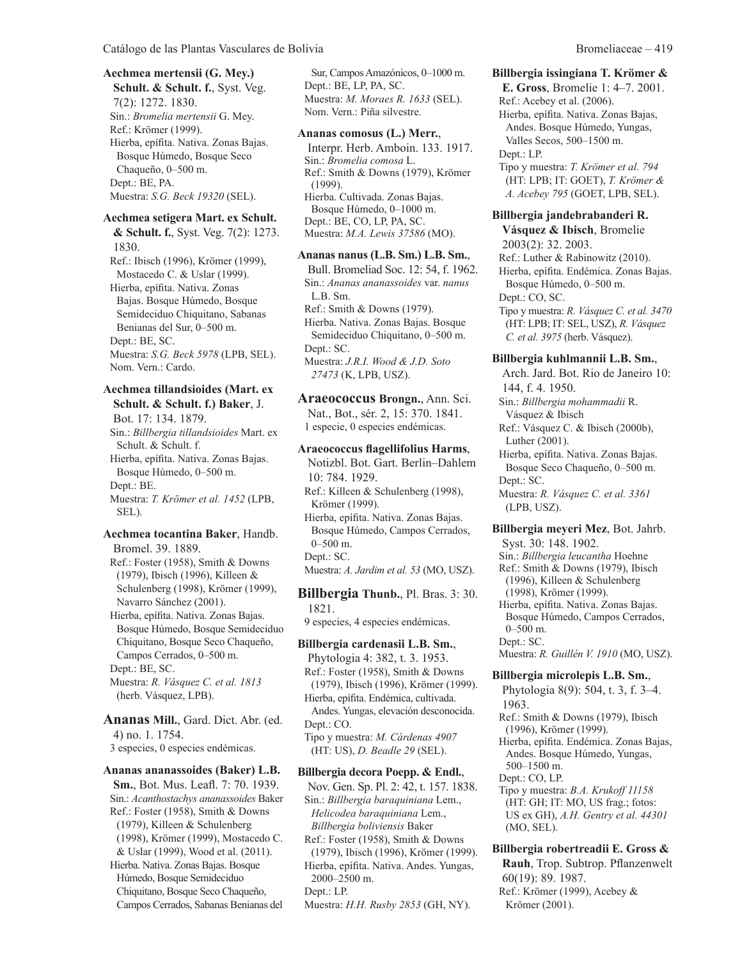## **Aechmea mertensii (G. Mey.) Schult. & Schult. f.**, Syst. Veg. 7(2): 1272. 1830. Sin.: *Bromelia mertensii* G. Mey. Ref.: Krömer (1999).

Hierba, epífita. Nativa. Zonas Bajas. Bosque Húmedo, Bosque Seco Chaqueño, 0–500 m. Dept.: BE, PA. Muestra: *S.G. Beck 19320* (SEL).

#### **Aechmea setigera Mart. ex Schult.**

**& Schult. f.**, Syst. Veg. 7(2): 1273. 1830. Ref.: Ibisch (1996), Krömer (1999), Mostacedo C. & Uslar (1999). Hierba, epífita. Nativa. Zonas

Bajas. Bosque Húmedo, Bosque Semideciduo Chiquitano, Sabanas Benianas del Sur, 0–500 m. Dept.: BE, SC. Muestra: *S.G. Beck 5978* (LPB, SEL). Nom. Vern.: Cardo.

# **Aechmea tillandsioides (Mart. ex**

**Schult. & Schult. f.) Baker**, J. Bot. 17: 134. 1879. Sin.: *Billbergia tillandsioides* Mart. ex Schult. & Schult. f. Hierba, epífita. Nativa. Zonas Bajas. Bosque Húmedo, 0–500 m. Dept.: BE. Muestra: *T. Krömer et al. 1452* (LPB, SEL).

#### **Aechmea tocantina Baker**, Handb. Bromel. 39. 1889.

Ref.: Foster (1958), Smith & Downs (1979), Ibisch (1996), Killeen & Schulenberg (1998), Krömer (1999), Navarro Sánchez (2001).

Hierba, epífita. Nativa. Zonas Bajas. Bosque Húmedo, Bosque Semideciduo Chiquitano, Bosque Seco Chaqueño, Campos Cerrados, 0–500 m. Dept.: BE, SC. Muestra: *R. Vásquez C. et al. 1813*

(herb. Vásquez, LPB). **Ananas Mill.**, Gard. Dict. Abr. (ed. 4) no. 1. 1754.

3 especies, 0 especies endémicas.

#### **Ananas ananassoides (Baker) L.B.**

**Sm.**, Bot. Mus. Leafl. 7: 70. 1939. Sin.: *Acanthostachys ananassoides* Baker Ref.: Foster (1958), Smith & Downs (1979), Killeen & Schulenberg (1998), Krömer (1999), Mostacedo C. & Uslar (1999), Wood et al. (2011). Hierba. Nativa. Zonas Bajas. Bosque Húmedo, Bosque Semideciduo Chiquitano, Bosque Seco Chaqueño, Campos Cerrados, Sabanas Benianas del

Sur, Campos Amazónicos, 0–1000 m. Dept.: BE, LP, PA, SC. Muestra: *M. Moraes R. 1633* (SEL). Nom. Vern.: Piña silvestre.

#### **Ananas comosus (L.) Merr.**,

Interpr. Herb. Amboin. 133. 1917. Sin.: *Bromelia comosa* L. Ref.: Smith & Downs (1979), Krömer (1999). Hierba. Cultivada. Zonas Bajas. Bosque Húmedo, 0–1000 m. Dept.: BE, CO, LP, PA, SC. Muestra: *M.A. Lewis 37586* (MO).

#### **Ananas nanus (L.B. Sm.) L.B. Sm.**,

Bull. Bromeliad Soc. 12: 54, f. 1962. Sin.: *Ananas ananassoides* var. *nanus* L.B. Sm. Ref.: Smith & Downs (1979). Hierba. Nativa. Zonas Bajas. Bosque Semideciduo Chiquitano, 0–500 m. Dept.: SC. Muestra: *J.R.I. Wood & J.D. Soto 27473* (K, LPB, USZ).

**Araeococcus Brongn.**, Ann. Sci. Nat., Bot., sér. 2, 15: 370. 1841. 1 especie, 0 especies endémicas.

### **Araeococcus flagellifolius Harms**,

Notizbl. Bot. Gart. Berlin–Dahlem 10: 784. 1929. Ref.: Killeen & Schulenberg (1998), Krömer (1999). Hierba, epífita. Nativa. Zonas Bajas. Bosque Húmedo, Campos Cerrados, 0–500 m. Dept.: SC. Muestra: *A. Jardim et al. 53* (MO, USZ).

**Billbergia Thunb.**, Pl. Bras. 3: 30.

1821. 9 especies, 4 especies endémicas.

#### **Billbergia cardenasii L.B. Sm.**,

Phytologia 4: 382, t. 3. 1953. Ref.: Foster (1958), Smith & Downs (1979), Ibisch (1996), Krömer (1999). Hierba, epífita. Endémica, cultivada. Andes. Yungas, elevación desconocida. Dept.: CO. Tipo y muestra: *M. Cárdenas 4907* (HT: US), *D. Beadle 29* (SEL).

#### **Billbergia decora Poepp. & Endl.**,

Nov. Gen. Sp. Pl. 2: 42, t. 157. 1838. Sin.: *Billbergia baraquiniana* Lem., *Helicodea baraquiniana* Lem., *Billbergia boliviensis* Baker Ref.: Foster (1958), Smith & Downs (1979), Ibisch (1996), Krömer (1999). Hierba, epífita. Nativa. Andes. Yungas, 2000–2500 m. Dept.: LP. Muestra: *H.H. Rusby 2853* (GH, NY).

# **Billbergia issingiana T. Krömer &**

**E. Gross**, Bromelie 1: 4–7. 2001. Ref.: Acebey et al. (2006). Hierba, epífita. Nativa. Zonas Bajas, Andes. Bosque Húmedo, Yungas, Valles Secos, 500–1500 m. Dept.: LP. Tipo y muestra: *T. Krömer et al. 794* (HT: LPB; IT: GOET), *T. Krömer & A. Acebey 795* (GOET, LPB, SEL).

#### **Billbergia jandebrabanderi R.**

**Vásquez & Ibisch**, Bromelie 2003(2): 32. 2003. Ref.: Luther & Rabinowitz (2010). Hierba, epífita. Endémica. Zonas Bajas. Bosque Húmedo, 0–500 m. Dept.: CO, SC. Tipo y muestra: *R. Vásquez C. et al. 3470* (HT: LPB; IT: SEL, USZ), *R. Vásquez C. et al. 3975* (herb. Vásquez).

#### **Billbergia kuhlmannii L.B. Sm.**,

Arch. Jard. Bot. Rio de Janeiro 10: 144, f. 4. 1950.

Sin.: *Billbergia mohammadii* R. Vásquez & Ibisch

Ref.: Vásquez C. & Ibisch (2000b), Luther (2001).

Hierba, epífita. Nativa. Zonas Bajas. Bosque Seco Chaqueño, 0–500 m. Dept.: SC.

Muestra: *R. Vásquez C. et al. 3361* (LPB, USZ).

**Billbergia meyeri Mez**, Bot. Jahrb. Syst. 30: 148. 1902. Sin.: *Billbergia leucantha* Hoehne Ref.: Smith & Downs (1979), Ibisch (1996), Killeen & Schulenberg (1998), Krömer (1999). Hierba, epífita. Nativa. Zonas Bajas. Bosque Húmedo, Campos Cerrados,

0–500 m. Dept.: SC. Muestra: *R. Guillén V. 1910* (MO, USZ).

#### **Billbergia microlepis L.B. Sm.**,

Phytologia 8(9): 504, t. 3, f. 3–4. 1963. Ref.: Smith & Downs (1979), Ibisch (1996), Krömer (1999). Hierba, epífita. Endémica. Zonas Bajas, Andes. Bosque Húmedo, Yungas, 500–1500 m. Dept.: CO, LP. Tipo y muestra: *B.A. Krukoff 11158* (HT: GH; IT: MO, US frag.; fotos: US ex GH), *A.H. Gentry et al. 44301*

**Billbergia robertreadii E. Gross & Rauh**, Trop. Subtrop. Pflanzenwelt 60(19): 89. 1987. Ref.: Krömer (1999), Acebey &

(MO, SEL).

Krömer (2001).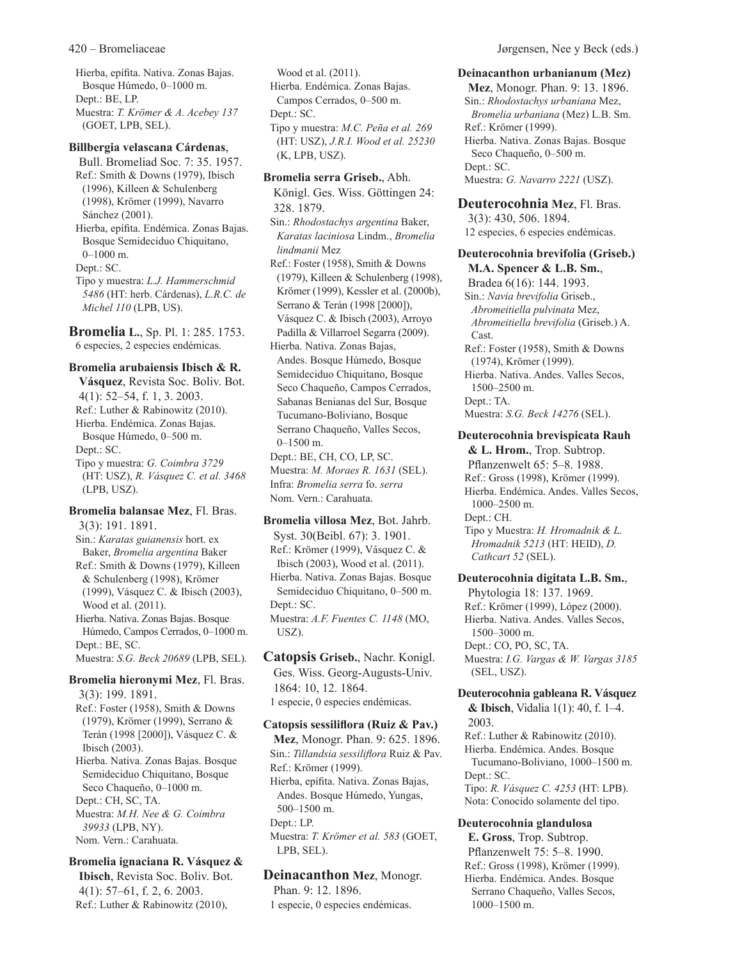Hierba, epífita. Nativa. Zonas Bajas. Bosque Húmedo, 0–1000 m. Dept.: BE, LP. Muestra: *T. Krömer & A. Acebey 137* (GOET, LPB, SEL).

### **Billbergia velascana Cárdenas**,

Bull. Bromeliad Soc. 7: 35. 1957. Ref.: Smith & Downs (1979), Ibisch (1996), Killeen & Schulenberg (1998), Krömer (1999), Navarro Sánchez (2001). Hierba, epífita. Endémica. Zonas Bajas.

Bosque Semideciduo Chiquitano, 0–1000 m. Dept.: SC.

Tipo y muestra: *L.J. Hammerschmid 5486* (HT: herb. Cárdenas), *L.R.C. de Michel 110* (LPB, US).

**Bromelia L.**, Sp. Pl. 1: 285. 1753. 6 especies, 2 especies endémicas.

#### **Bromelia arubaiensis Ibisch & R.**

**Vásquez**, Revista Soc. Boliv. Bot. 4(1): 52–54, f. 1, 3. 2003. Ref.: Luther & Rabinowitz (2010). Hierba. Endémica. Zonas Bajas. Bosque Húmedo, 0–500 m. Dept.: SC. Tipo y muestra: *G. Coimbra 3729* (HT: USZ), *R. Vásquez C. et al. 3468* (LPB, USZ).

# **Bromelia balansae Mez**, Fl. Bras. 3(3): 191. 1891.

Sin.: *Karatas guianensis* hort. ex Baker, *Bromelia argentina* Baker Ref.: Smith & Downs (1979), Killeen & Schulenberg (1998), Krömer (1999), Vásquez C. & Ibisch (2003), Wood et al. (2011). Hierba. Nativa. Zonas Bajas. Bosque Húmedo, Campos Cerrados, 0–1000 m. Dept.: BE, SC. Muestra: *S.G. Beck 20689* (LPB, SEL).

#### **Bromelia hieronymi Mez**, Fl. Bras. 3(3): 199. 1891.

Ref.: Foster (1958), Smith & Downs (1979), Krömer (1999), Serrano & Terán (1998 [2000]), Vásquez C. & Ibisch (2003). Hierba. Nativa. Zonas Bajas. Bosque Semideciduo Chiquitano, Bosque Seco Chaqueño, 0–1000 m. Dept.: CH, SC, TA. Muestra: *M.H. Nee & G. Coimbra 39933* (LPB, NY). Nom. Vern.: Carahuata.

#### **Bromelia ignaciana R. Vásquez & Ibisch**, Revista Soc. Boliv. Bot.

4(1): 57–61, f. 2, 6. 2003. Ref.: Luther & Rabinowitz (2010),

Wood et al. (2011). Hierba. Endémica. Zonas Bajas. Campos Cerrados, 0–500 m. Dept.: SC. Tipo y muestra: *M.C. Peña et al. 269* (HT: USZ), *J.R.I. Wood et al. 25230* (K, LPB, USZ).

**Bromelia serra Griseb.**, Abh. Königl. Ges. Wiss. Göttingen 24: 328. 1879. Sin.: *Rhodostachys argentina* Baker, *Karatas laciniosa* Lindm., *Bromelia lindmanii* Mez Ref.: Foster (1958), Smith & Downs (1979), Killeen & Schulenberg (1998), Krömer (1999), Kessler et al. (2000b), Serrano & Terán (1998 [2000]), Vásquez C. & Ibisch (2003), Arroyo Padilla & Villarroel Segarra (2009). Hierba. Nativa. Zonas Bajas, Andes. Bosque Húmedo, Bosque Semideciduo Chiquitano, Bosque Seco Chaqueño, Campos Cerrados, Sabanas Benianas del Sur, Bosque Tucumano-Boliviano, Bosque Serrano Chaqueño, Valles Secos,  $0-1500$  m. Dept.: BE, CH, CO, LP, SC. Muestra: *M. Moraes R. 1631* (SEL). Infra: *Bromelia serra* fo. *serra* Nom. Vern.: Carahuata.

#### **Bromelia villosa Mez**, Bot. Jahrb.

Syst. 30(Beibl. 67): 3. 1901. Ref.: Krömer (1999), Vásquez C. & Ibisch (2003), Wood et al. (2011). Hierba. Nativa. Zonas Bajas. Bosque Semideciduo Chiquitano, 0–500 m. Dept.: SC. Muestra: *A.F. Fuentes C. 1148* (MO, USZ).

**Catopsis Griseb.**, Nachr. Konigl. Ges. Wiss. Georg-Augusts-Univ. 1864: 10, 12. 1864. 1 especie, 0 especies endémicas.

#### **Catopsis sessiliflora (Ruiz & Pav.)**

**Mez**, Monogr. Phan. 9: 625. 1896. Sin.: *Tillandsia sessiliflora* Ruiz & Pav. Ref.: Krömer (1999). Hierba, epífita. Nativa. Zonas Bajas, Andes. Bosque Húmedo, Yungas, 500–1500 m. Dept.: LP. Muestra: *T. Krömer et al. 583* (GOET, LPB, SEL).

# **Deinacanthon Mez**, Monogr.

Phan. 9: 12. 1896. 1 especie, 0 especies endémicas.

# **Deinacanthon urbanianum (Mez)**

**Mez**, Monogr. Phan. 9: 13. 1896. Sin.: *Rhodostachys urbaniana* Mez, *Bromelia urbaniana* (Mez) L.B. Sm. Ref.: Krömer (1999). Hierba. Nativa. Zonas Bajas. Bosque Seco Chaqueño, 0–500 m. Dept.: SC. Muestra: *G. Navarro 2221* (USZ).

# **Deuterocohnia Mez**, Fl. Bras.

3(3): 430, 506. 1894. 12 especies, 6 especies endémicas.

## **Deuterocohnia brevifolia (Griseb.) M.A. Spencer & L.B. Sm.**,

Bradea 6(16): 144. 1993. Sin.: *Navia brevifolia* Griseb., *Abromeitiella pulvinata* Mez, *Abromeitiella brevifolia* (Griseb.) A. Cast. Ref.: Foster (1958), Smith & Downs

(1974), Krömer (1999).

Hierba. Nativa. Andes. Valles Secos, 1500–2500 m. Dept.: TA.

Muestra: *S.G. Beck 14276* (SEL).

# **Deuterocohnia brevispicata Rauh & L. Hrom.**, Trop. Subtrop.

Pflanzenwelt 65: 5–8. 1988. Ref.: Gross (1998), Krömer (1999). Hierba. Endémica. Andes. Valles Secos, 1000–2500 m. Dept.: CH. Tipo y Muestra: *H. Hromadnik & L. Hromadnik 5213* (HT: HEID), *D.* 

*Cathcart 52* (SEL).

#### **Deuterocohnia digitata L.B. Sm.**, Phytologia 18: 137. 1969. Ref.: Krömer (1999), López (2000). Hierba. Nativa. Andes. Valles Secos, 1500–3000 m.

Dept.: CO, PO, SC, TA. Muestra: *I.G. Vargas & W. Vargas 3185* (SEL, USZ).

# **Deuterocohnia gableana R. Vásquez & Ibisch**, Vidalia 1(1): 40, f. 1–4.

2003. Ref.: Luther & Rabinowitz (2010). Hierba. Endémica. Andes. Bosque Tucumano-Boliviano, 1000–1500 m. Dept.: SC. Tipo: *R. Vásquez C. 4253* (HT: LPB). Nota: Conocido solamente del tipo.

# **Deuterocohnia glandulosa**

**E. Gross**, Trop. Subtrop. Pflanzenwelt 75: 5–8. 1990. Ref.: Gross (1998), Krömer (1999). Hierba. Endémica. Andes. Bosque Serrano Chaqueño, Valles Secos, 1000–1500 m.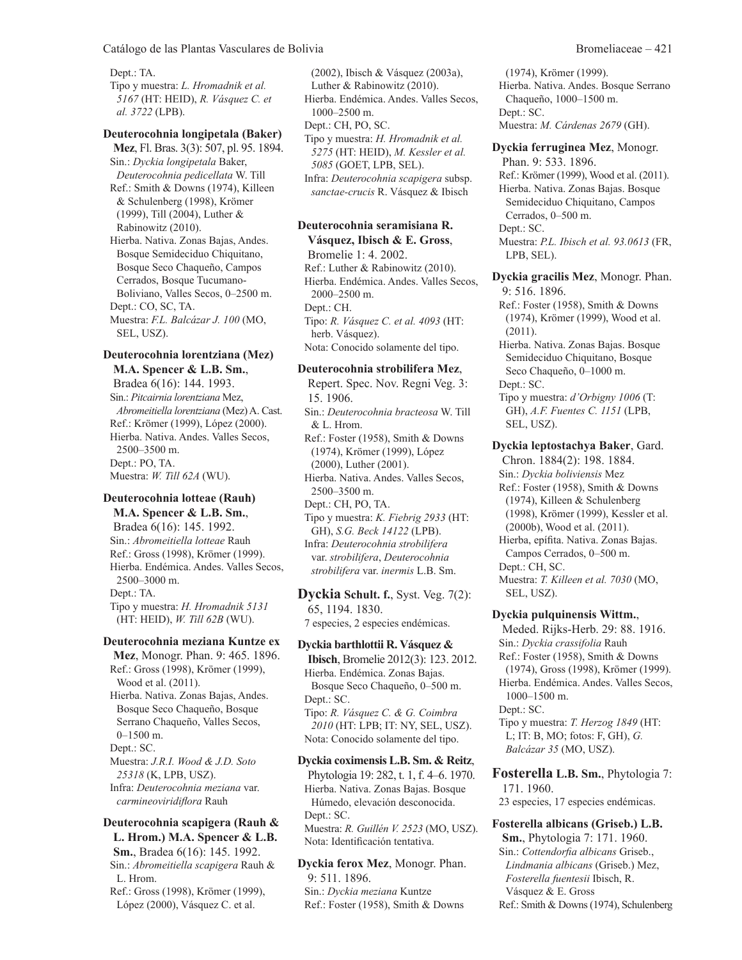Dept.: TA. Tipo y muestra: *L. Hromadnik et al. 5167* (HT: HEID), *R. Vásquez C. et al. 3722* (LPB).

#### **Deuterocohnia longipetala (Baker)**

**Mez**, Fl. Bras. 3(3): 507, pl. 95. 1894. Sin.: *Dyckia longipetala* Baker, *Deuterocohnia pedicellata* W. Till Ref.: Smith & Downs (1974), Killeen & Schulenberg (1998), Krömer (1999), Till (2004), Luther & Rabinowitz (2010).

Hierba. Nativa. Zonas Bajas, Andes. Bosque Semideciduo Chiquitano, Bosque Seco Chaqueño, Campos Cerrados, Bosque Tucumano-Boliviano, Valles Secos, 0–2500 m. Dept.: CO, SC, TA. Muestra: *F.L. Balcázar J. 100* (MO, SEL, USZ).

#### **Deuterocohnia lorentziana (Mez) M.A. Spencer & L.B. Sm.**,

Bradea 6(16): 144. 1993. Sin.: *Pitcairnia lorentziana* Mez, *Abromeitiella lorentziana* (Mez) A. Cast. Ref.: Krömer (1999), López (2000). Hierba. Nativa. Andes. Valles Secos, 2500–3500 m. Dept.: PO, TA. Muestra: *W. Till 62A* (WU).

# **Deuterocohnia lotteae (Rauh)**

**M.A. Spencer & L.B. Sm.**, Bradea 6(16): 145. 1992. Sin.: *Abromeitiella lotteae* Rauh Ref.: Gross (1998), Krömer (1999). Hierba. Endémica. Andes. Valles Secos, 2500–3000 m. Dept.: TA. Tipo y muestra: *H. Hromadnik 5131* (HT: HEID), *W. Till 62B* (WU).

#### **Deuterocohnia meziana Kuntze ex**

**Mez**, Monogr. Phan. 9: 465. 1896. Ref.: Gross (1998), Krömer (1999), Wood et al. (2011). Hierba. Nativa. Zonas Bajas, Andes. Bosque Seco Chaqueño, Bosque Serrano Chaqueño, Valles Secos, 0–1500 m. Dept.: SC. Muestra: *J.R.I. Wood & J.D. Soto 25318* (K, LPB, USZ). Infra: *Deuterocohnia meziana* var. *carmineoviridiflora* Rauh

**Deuterocohnia scapigera (Rauh & L. Hrom.) M.A. Spencer & L.B. Sm.**, Bradea 6(16): 145. 1992. Sin.: *Abromeitiella scapigera* Rauh & L. Hrom. Ref.: Gross (1998), Krömer (1999), López (2000), Vásquez C. et al.

(2002), Ibisch & Vásquez (2003a), Luther & Rabinowitz (2010). Hierba. Endémica. Andes. Valles Secos, 1000–2500 m. Dept.: CH, PO, SC. Tipo y muestra: *H. Hromadnik et al. 5275* (HT: HEID), *M. Kessler et al. 5085* (GOET, LPB, SEL). Infra: *Deuterocohnia scapigera* subsp. *sanctae-crucis* R. Vásquez & Ibisch

# **Deuterocohnia seramisiana R.**

**Vásquez, Ibisch & E. Gross**, Bromelie 1: 4. 2002. Ref.: Luther & Rabinowitz (2010). Hierba. Endémica. Andes. Valles Secos, 2000–2500 m. Dept.: CH. Tipo: *R. Vásquez C. et al. 4093* (HT: herb. Vásquez). Nota: Conocido solamente del tipo.

#### **Deuterocohnia strobilifera Mez**,

Repert. Spec. Nov. Regni Veg. 3: 15. 1906. Sin.: *Deuterocohnia bracteosa* W. Till & L. Hrom. Ref.: Foster (1958), Smith & Downs (1974), Krömer (1999), López (2000), Luther (2001). Hierba. Nativa. Andes. Valles Secos, 2500–3500 m. Dept.: CH, PO, TA. Tipo y muestra: *K. Fiebrig 2933* (HT: GH), *S.G. Beck 14122* (LPB). Infra: *Deuterocohnia strobilifera* var. *strobilifera*, *Deuterocohnia strobilifera* var. *inermis* L.B. Sm.

**Dyckia Schult. f.**, Syst. Veg. 7(2): 65, 1194. 1830. 7 especies, 2 especies endémicas.

## **Dyckia barthlottii R. Vásquez &**

**Ibisch**, Bromelie 2012(3): 123. 2012. Hierba. Endémica. Zonas Bajas. Bosque Seco Chaqueño, 0–500 m. Dept.: SC. Tipo: *R. Vásquez C. & G. Coimbra 2010* (HT: LPB; IT: NY, SEL, USZ). Nota: Conocido solamente del tipo.

#### **Dyckia coximensis L.B. Sm. & Reitz**,

Phytologia 19: 282, t. 1, f. 4–6. 1970. Hierba. Nativa. Zonas Bajas. Bosque Húmedo, elevación desconocida. Dept.: SC. Muestra: *R. Guillén V. 2523* (MO, USZ). Nota: Identificación tentativa.

**Dyckia ferox Mez**, Monogr. Phan. 9: 511. 1896. Sin.: *Dyckia meziana* Kuntze Ref.: Foster (1958), Smith & Downs

(1974), Krömer (1999). Hierba. Nativa. Andes. Bosque Serrano Chaqueño, 1000–1500 m. Dept.: SC. Muestra: *M. Cárdenas 2679* (GH).

#### **Dyckia ferruginea Mez**, Monogr.

Phan. 9: 533. 1896. Ref.: Krömer (1999), Wood et al. (2011). Hierba. Nativa. Zonas Bajas. Bosque Semideciduo Chiquitano, Campos Cerrados, 0–500 m. Dept.: SC. Muestra: *P.L. Ibisch et al. 93.0613* (FR, LPB, SEL).

**Dyckia gracilis Mez**, Monogr. Phan. 9: 516. 1896. Ref.: Foster (1958), Smith & Downs (1974), Krömer (1999), Wood et al. (2011). Hierba. Nativa. Zonas Bajas. Bosque Semideciduo Chiquitano, Bosque Seco Chaqueño, 0–1000 m. Dept.: SC. Tipo y muestra: *d'Orbigny 1006* (T: GH), *A.F. Fuentes C. 1151* (LPB, SEL, USZ). **Dyckia leptostachya Baker**, Gard. Chron. 1884(2): 198. 1884. Sin.: *Dyckia boliviensis* Mez Ref.: Foster (1958), Smith & Downs (1974), Killeen & Schulenberg (1998), Krömer (1999), Kessler et al. (2000b), Wood et al. (2011). Hierba, epífita. Nativa. Zonas Bajas.

Campos Cerrados, 0–500 m. Dept.: CH, SC. Muestra: *T. Killeen et al. 7030* (MO,

SEL, USZ). **Dyckia pulquinensis Wittm.**, Meded. Rijks-Herb. 29: 88. 1916. Sin.: *Dyckia crassifolia* Rauh Ref.: Foster (1958), Smith & Downs (1974), Gross (1998), Krömer (1999). Hierba. Endémica. Andes. Valles Secos, 1000–1500 m.

Dept.: SC. Tipo y muestra: *T. Herzog 1849* (HT: L; IT: B, MO; fotos: F, GH), *G. Balcázar 35* (MO, USZ).

**Fosterella L.B. Sm.**, Phytologia 7: 171. 1960. 23 especies, 17 especies endémicas.

**Fosterella albicans (Griseb.) L.B. Sm.**, Phytologia 7: 171. 1960. Sin.: *Cottendorfia albicans* Griseb., *Lindmania albicans* (Griseb.) Mez, *Fosterella fuentesii* Ibisch, R. Vásquez & E. Gross Ref.: Smith & Downs (1974), Schulenberg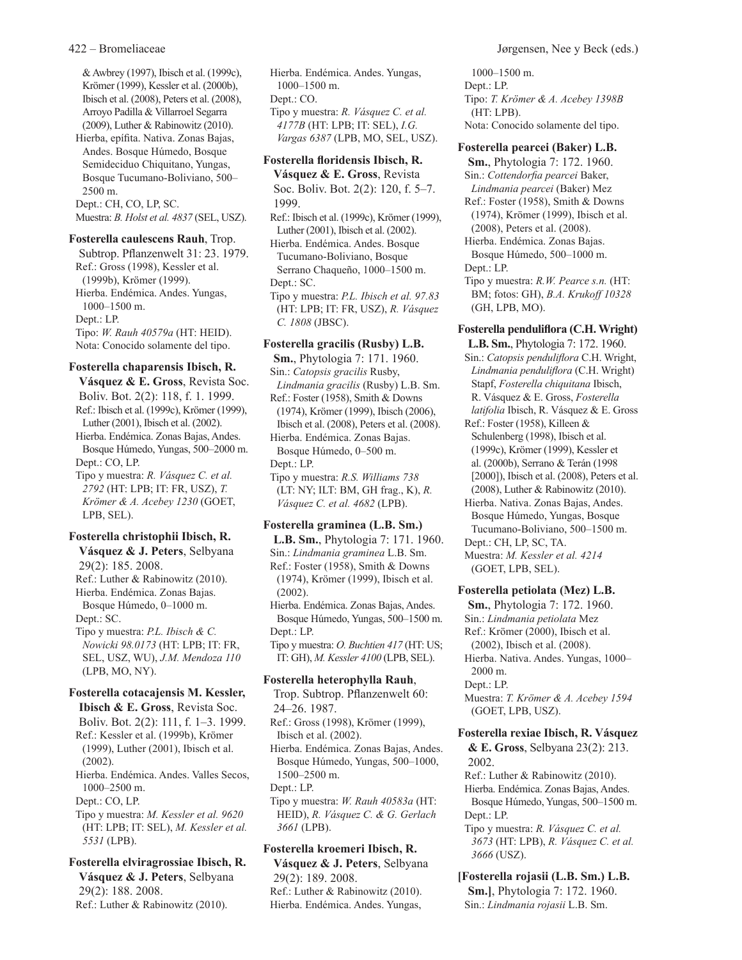& Awbrey (1997), Ibisch et al. (1999c), Krömer (1999), Kessler et al. (2000b), Ibisch et al. (2008), Peters et al. (2008), Arroyo Padilla & Villarroel Segarra (2009), Luther & Rabinowitz (2010).

Hierba, epífita. Nativa. Zonas Bajas, Andes. Bosque Húmedo, Bosque Semideciduo Chiquitano, Yungas, Bosque Tucumano-Boliviano, 500– 2500 m.

Dept.: CH, CO, LP, SC.

Muestra: *B. Holst et al. 4837* (SEL, USZ).

**Fosterella caulescens Rauh**, Trop.

Subtrop. Pflanzenwelt 31: 23. 1979. Ref.: Gross (1998), Kessler et al. (1999b), Krömer (1999). Hierba. Endémica. Andes. Yungas, 1000–1500 m. Dept.: LP. Tipo: *W. Rauh 40579a* (HT: HEID). Nota: Conocido solamente del tipo.

#### **Fosterella chaparensis Ibisch, R.**

**Vásquez & E. Gross**, Revista Soc. Boliv. Bot. 2(2): 118, f. 1. 1999. Ref.: Ibisch et al. (1999c), Krömer (1999), Luther (2001), Ibisch et al. (2002). Hierba. Endémica. Zonas Bajas, Andes. Bosque Húmedo, Yungas, 500–2000 m. Dept.: CO, LP. Tipo y muestra: *R. Vásquez C. et al.* 

*2792* (HT: LPB; IT: FR, USZ), *T. Krömer & A. Acebey 1230* (GOET, LPB, SEL).

#### **Fosterella christophii Ibisch, R.**

**Vásquez & J. Peters**, Selbyana 29(2): 185. 2008. Ref.: Luther & Rabinowitz (2010). Hierba. Endémica. Zonas Bajas. Bosque Húmedo, 0–1000 m. Dept.: SC. Tipo y muestra: *P.L. Ibisch & C. Nowicki 98.0173* (HT: LPB; IT: FR,

SEL, USZ, WU), *J.M. Mendoza 110* (LPB, MO, NY).

#### **Fosterella cotacajensis M. Kessler,**

**Ibisch & E. Gross**, Revista Soc. Boliv. Bot. 2(2): 111, f. 1–3. 1999. Ref.: Kessler et al. (1999b), Krömer (1999), Luther (2001), Ibisch et al. (2002). Hierba. Endémica. Andes. Valles Secos, 1000–2500 m. Dept.: CO, LP. Tipo y muestra: *M. Kessler et al. 9620* (HT: LPB; IT: SEL), *M. Kessler et al. 5531* (LPB).

**Fosterella elviragrossiae Ibisch, R. Vásquez & J. Peters**, Selbyana 29(2): 188. 2008. Ref.: Luther & Rabinowitz (2010).

Hierba. Endémica. Andes. Yungas, 1000–1500 m. Dept.: CO. Tipo y muestra: *R. Vásquez C. et al. 4177B* (HT: LPB; IT: SEL), *I.G. Vargas 6387* (LPB, MO, SEL, USZ).

# **Fosterella floridensis Ibisch, R.**

**Vásquez & E. Gross**, Revista Soc. Boliv. Bot. 2(2): 120, f. 5–7. 1999.

Ref.: Ibisch et al. (1999c), Krömer (1999), Luther (2001), Ibisch et al. (2002).

Hierba. Endémica. Andes. Bosque Tucumano-Boliviano, Bosque Serrano Chaqueño, 1000–1500 m. Dept.: SC.

Tipo y muestra: *P.L. Ibisch et al. 97.83* (HT: LPB; IT: FR, USZ), *R. Vásquez C. 1808* (JBSC).

#### **Fosterella gracilis (Rusby) L.B.**

**Sm.**, Phytologia 7: 171. 1960. Sin.: *Catopsis gracilis* Rusby, *Lindmania gracilis* (Rusby) L.B. Sm. Ref.: Foster (1958), Smith & Downs (1974), Krömer (1999), Ibisch (2006), Ibisch et al. (2008), Peters et al. (2008). Hierba. Endémica. Zonas Bajas. Bosque Húmedo, 0–500 m. Dept.: LP. Tipo y muestra: *R.S. Williams 738* (LT: NY; ILT: BM, GH frag., K), *R. Vásquez C. et al. 4682* (LPB).

#### **Fosterella graminea (L.B. Sm.)**

**L.B. Sm.**, Phytologia 7: 171. 1960. Sin.: *Lindmania graminea* L.B. Sm. Ref.: Foster (1958), Smith & Downs (1974), Krömer (1999), Ibisch et al. (2002). Hierba. Endémica. Zonas Bajas, Andes. Bosque Húmedo, Yungas, 500–1500 m. Dept.: LP. Tipo y muestra: *O. Buchtien 417* (HT: US; IT: GH), *M. Kessler 4100* (LPB, SEL).

#### **Fosterella heterophylla Rauh**,

Trop. Subtrop. Pflanzenwelt 60: 24–26. 1987. Ref.: Gross (1998), Krömer (1999), Ibisch et al. (2002). Hierba. Endémica. Zonas Bajas, Andes. Bosque Húmedo, Yungas, 500–1000, 1500–2500 m.

Dept.: LP.

Tipo y muestra: *W. Rauh 40583a* (HT: HEID), *R. Vásquez C. & G. Gerlach 3661* (LPB).

#### **Fosterella kroemeri Ibisch, R. Vásquez & J. Peters**, Selbyana

29(2): 189. 2008. Ref.: Luther & Rabinowitz (2010). Hierba. Endémica. Andes. Yungas,

1000–1500 m. Dept.: LP. Tipo: *T. Krömer & A. Acebey 1398B* (HT: LPB). Nota: Conocido solamente del tipo.

#### **Fosterella pearcei (Baker) L.B.**

**Sm.**, Phytologia 7: 172. 1960. Sin.: *Cottendorfia pearcei* Baker, *Lindmania pearcei* (Baker) Mez Ref.: Foster (1958), Smith & Downs (1974), Krömer (1999), Ibisch et al. (2008), Peters et al. (2008). Hierba. Endémica. Zonas Bajas. Bosque Húmedo, 500–1000 m.

Dept.: LP.

Tipo y muestra: *R.W. Pearce s.n.* (HT: BM; fotos: GH), *B.A. Krukoff 10328* (GH, LPB, MO).

#### **Fosterella penduliflora (C.H. Wright)**

**L.B. Sm.**, Phytologia 7: 172. 1960. Sin.: *Catopsis penduliflora* C.H. Wright, *Lindmania penduliflora* (C.H. Wright) Stapf, *Fosterella chiquitana* Ibisch, R. Vásquez & E. Gross, *Fosterella latifolia* Ibisch, R. Vásquez & E. Gross Ref.: Foster (1958), Killeen & Schulenberg (1998), Ibisch et al. (1999c), Krömer (1999), Kessler et al. (2000b), Serrano & Terán (1998 [2000]), Ibisch et al. (2008), Peters et al. (2008), Luther & Rabinowitz (2010). Hierba. Nativa. Zonas Bajas, Andes. Bosque Húmedo, Yungas, Bosque Tucumano-Boliviano, 500–1500 m. Dept.: CH, LP, SC, TA. Muestra: *M. Kessler et al. 4214* (GOET, LPB, SEL).

#### **Fosterella petiolata (Mez) L.B.**

**Sm.**, Phytologia 7: 172. 1960. Sin.: *Lindmania petiolata* Mez Ref.: Krömer (2000), Ibisch et al. (2002), Ibisch et al. (2008). Hierba. Nativa. Andes. Yungas, 1000– 2000 m. Dept.: LP. Muestra: *T. Krömer & A. Acebey 1594* (GOET, LPB, USZ).

# **Fosterella rexiae Ibisch, R. Vásquez**

**& E. Gross**, Selbyana 23(2): 213. 2002. Ref.: Luther & Rabinowitz (2010).

Hierba. Endémica. Zonas Bajas, Andes. Bosque Húmedo, Yungas, 500–1500 m. Dept.: LP.

Tipo y muestra: *R. Vásquez C. et al. 3673* (HT: LPB), *R. Vásquez C. et al. 3666* (USZ).

**[Fosterella rojasii (L.B. Sm.) L.B. Sm.]**, Phytologia 7: 172. 1960. Sin.: *Lindmania rojasii* L.B. Sm.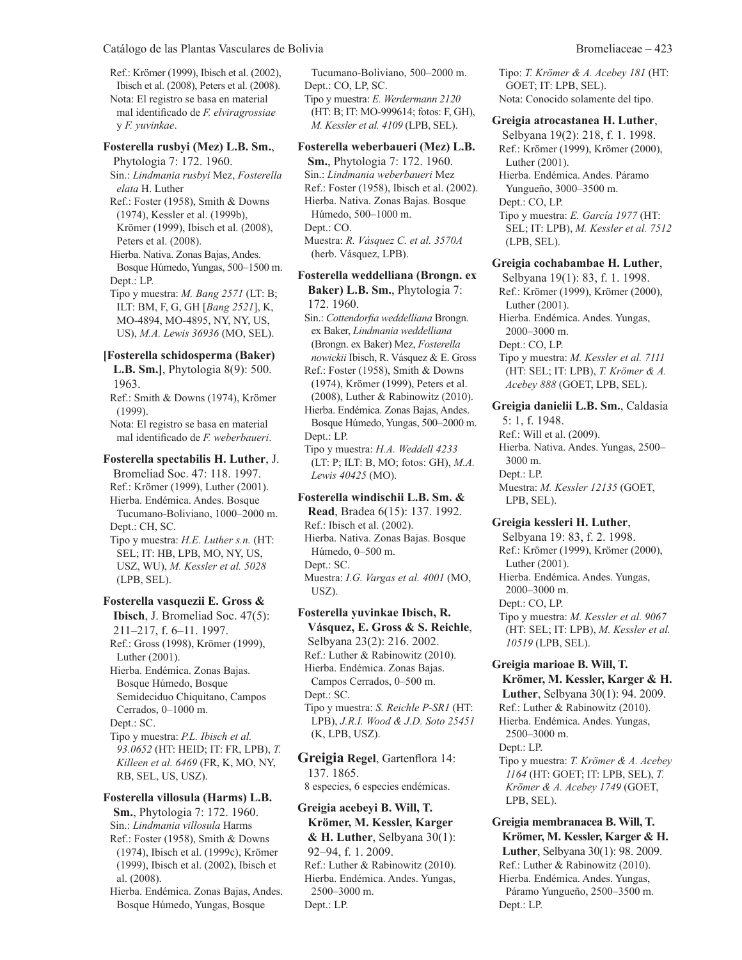Ref.: Krömer (1999), Ibisch et al. (2002), Ibisch et al. (2008), Peters et al. (2008). Nota: El registro se basa en material mal identificado de *F. elviragrossiae* y *F. yuvinkae*.

#### **Fosterella rusbyi (Mez) L.B. Sm.**,

Phytologia 7: 172. 1960. Sin.: *Lindmania rusbyi* Mez, *Fosterella elata* H. Luther

Ref.: Foster (1958), Smith & Downs (1974), Kessler et al. (1999b), Krömer (1999), Ibisch et al. (2008), Peters et al. (2008).

Hierba. Nativa. Zonas Bajas, Andes. Bosque Húmedo, Yungas, 500–1500 m. Dept.: LP.

Tipo y muestra: *M. Bang 2571* (LT: B; ILT: BM, F, G, GH [*Bang 2521*], K, MO-4894, MO-4895, NY, NY, US, US), *M.A. Lewis 36936* (MO, SEL).

#### **[Fosterella schidosperma (Baker)**

**L.B. Sm.]**, Phytologia 8(9): 500. 1963.

Ref.: Smith & Downs (1974), Krömer (1999).

Nota: El registro se basa en material mal identificado de *F. weberbaueri*.

**Fosterella spectabilis H. Luther**, J. Bromeliad Soc. 47: 118. 1997. Ref.: Krömer (1999), Luther (2001). Hierba. Endémica. Andes. Bosque Tucumano-Boliviano, 1000–2000 m. Dept.: CH, SC.

Tipo y muestra: *H.E. Luther s.n.* (HT: SEL; IT: HB, LPB, MO, NY, US, USZ, WU), *M. Kessler et al. 5028* (LPB, SEL).

**Fosterella vasquezii E. Gross & Ibisch**, J. Bromeliad Soc. 47(5): 211–217, f. 6–11. 1997. Ref.: Gross (1998), Krömer (1999), Luther (2001). Hierba. Endémica. Zonas Bajas. Bosque Húmedo, Bosque Semideciduo Chiquitano, Campos Cerrados, 0–1000 m. Dept.: SC. Tipo y muestra: *P.L. Ibisch et al.* 

*93.0652* (HT: HEID; IT: FR, LPB), *T. Killeen et al. 6469* (FR, K, MO, NY, RB, SEL, US, USZ).

**Fosterella villosula (Harms) L.B. Sm.**, Phytologia 7: 172. 1960. Sin.: *Lindmania villosula* Harms Ref.: Foster (1958), Smith & Downs (1974), Ibisch et al. (1999c), Krömer (1999), Ibisch et al. (2002), Ibisch et al. (2008).

Hierba. Endémica. Zonas Bajas, Andes. Bosque Húmedo, Yungas, Bosque

Tucumano-Boliviano, 500–2000 m. Dept.: CO, LP, SC. Tipo y muestra: *E. Werdermann 2120* (HT: B; IT: MO-999614; fotos: F, GH), *M. Kessler et al. 4109* (LPB, SEL).

# **Fosterella weberbaueri (Mez) L.B.**

**Sm.**, Phytologia 7: 172. 1960. Sin.: *Lindmania weberbaueri* Mez Ref.: Foster (1958), Ibisch et al. (2002). Hierba. Nativa. Zonas Bajas. Bosque Húmedo, 500–1000 m. Dept.: CO. Muestra: *R. Vásquez C. et al. 3570A* (herb. Vásquez, LPB).

#### **Fosterella weddelliana (Brongn. ex**

**Baker) L.B. Sm.**, Phytologia 7: 172. 1960.

Sin.: *Cottendorfia weddelliana* Brongn. ex Baker, *Lindmania weddelliana* (Brongn. ex Baker) Mez, *Fosterella nowickii* Ibisch, R. Vásquez & E. Gross

Ref.: Foster (1958), Smith & Downs (1974), Krömer (1999), Peters et al. (2008), Luther & Rabinowitz (2010).

Hierba. Endémica. Zonas Bajas, Andes. Bosque Húmedo, Yungas, 500–2000 m. Dept.: LP.

Tipo y muestra: *H.A. Weddell 4233* (LT: P; ILT: B, MO; fotos: GH), *M.A. Lewis 40425* (MO).

#### **Fosterella windischii L.B. Sm. & Read**, Bradea 6(15): 137. 1992. Ref.: Ibisch et al. (2002).

Hierba. Nativa. Zonas Bajas. Bosque Húmedo, 0–500 m. Dept.: SC. Muestra: *I.G. Vargas et al. 4001* (MO, USZ).

**Fosterella yuvinkae Ibisch, R. Vásquez, E. Gross & S. Reichle**, Selbyana 23(2): 216. 2002. Ref.: Luther & Rabinowitz (2010). Hierba. Endémica. Zonas Bajas. Campos Cerrados, 0–500 m. Dept.: SC. Tipo y muestra: *S. Reichle P-SR1* (HT: LPB), *J.R.I. Wood & J.D. Soto 25451* (K, LPB, USZ).

**Greigia Regel**, Gartenflora 14: 137. 1865. 8 especies, 6 especies endémicas.

**Greigia acebeyi B. Will, T. Krömer, M. Kessler, Karger & H. Luther**, Selbyana 30(1): 92–94, f. 1. 2009. Ref.: Luther & Rabinowitz (2010). Hierba. Endémica. Andes. Yungas, 2500–3000 m. Dept.: LP.

Tipo: *T. Krömer & A. Acebey 181* (HT: GOET; IT: LPB, SEL). Nota: Conocido solamente del tipo.

#### **Greigia atrocastanea H. Luther**,

Selbyana 19(2): 218, f. 1. 1998. Ref.: Krömer (1999), Krömer (2000), Luther (2001). Hierba. Endémica. Andes. Páramo Yungueño, 3000–3500 m. Dept.: CO, LP. Tipo y muestra: *E. García 1977* (HT: SEL; IT: LPB), *M. Kessler et al. 7512* (LPB, SEL). **Greigia cochabambae H. Luther**, Selbyana 19(1): 83, f. 1. 1998.

Ref.: Krömer (1999), Krömer (2000), Luther (2001). Hierba. Endémica. Andes. Yungas, 2000–3000 m. Dept.: CO, LP. Tipo y muestra: *M. Kessler et al. 7111* (HT: SEL; IT: LPB), *T. Krömer & A. Acebey 888* (GOET, LPB, SEL).

**Greigia danielii L.B. Sm.**, Caldasia 5: 1, f. 1948. Ref.: Will et al. (2009). Hierba. Nativa. Andes. Yungas, 2500– 3000 m. Dept.: LP. Muestra: *M. Kessler 12135* (GOET, LPB, SEL).

**Greigia kessleri H. Luther**, Selbyana 19: 83, f. 2. 1998. Ref.: Krömer (1999), Krömer (2000), Luther (2001). Hierba. Endémica. Andes. Yungas, 2000–3000 m. Dept.: CO, LP. Tipo y muestra: *M. Kessler et al. 9067* (HT: SEL; IT: LPB), *M. Kessler et al. 10519* (LPB, SEL).

### **Greigia marioae B. Will, T. Krömer, M. Kessler, Karger & H. Luther**, Selbyana 30(1): 94. 2009.

Ref.: Luther & Rabinowitz (2010). Hierba. Endémica. Andes. Yungas, 2500–3000 m. Dept.: LP. Tipo y muestra: *T. Krömer & A. Acebey 1164* (HT: GOET; IT: LPB, SEL), *T. Krömer & A. Acebey 1749* (GOET, LPB, SEL).

**Greigia membranacea B. Will, T. Krömer, M. Kessler, Karger & H. Luther**, Selbyana 30(1): 98. 2009. Ref.: Luther & Rabinowitz (2010). Hierba. Endémica. Andes. Yungas, Páramo Yungueño, 2500–3500 m. Dept.: LP.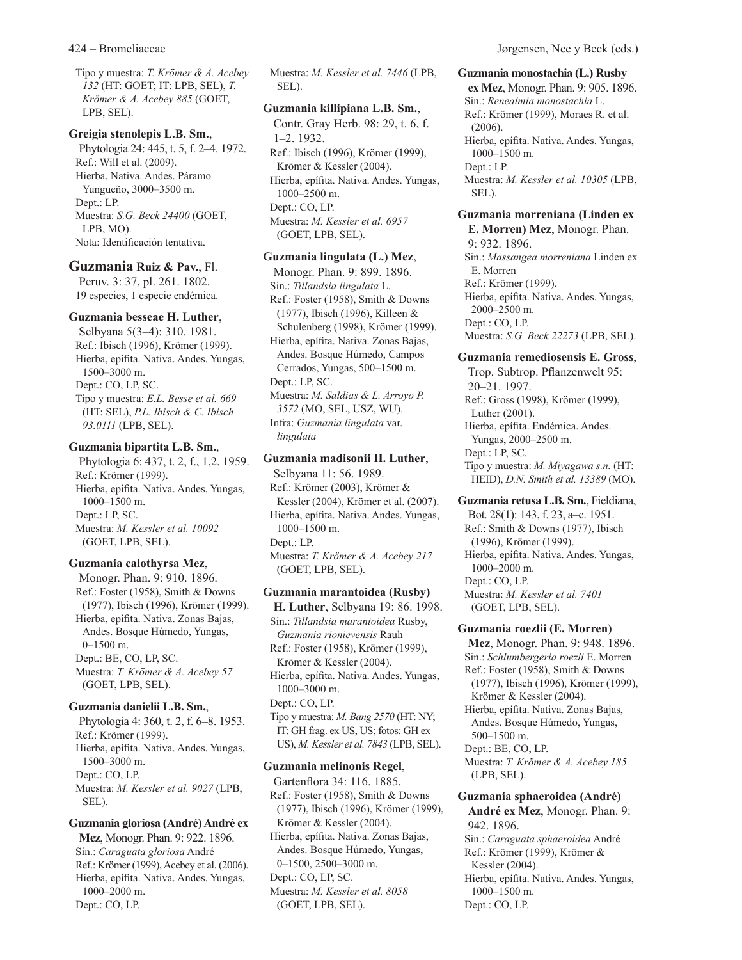Tipo y muestra: *T. Krömer & A. Acebey 132* (HT: GOET; IT: LPB, SEL), *T. Krömer & A. Acebey 885* (GOET, LPB, SEL).

#### **Greigia stenolepis L.B. Sm.**,

Phytologia 24: 445, t. 5, f. 2–4. 1972. Ref.: Will et al. (2009). Hierba. Nativa. Andes. Páramo Yungueño, 3000–3500 m. Dept.: LP. Muestra: *S.G. Beck 24400* (GOET, LPB, MO). Nota: Identificación tentativa.

# **Guzmania Ruiz & Pav.**, Fl.

Peruv. 3: 37, pl. 261. 1802. 19 especies, 1 especie endémica.

#### **Guzmania besseae H. Luther**,

Selbyana 5(3–4): 310. 1981. Ref.: Ibisch (1996), Krömer (1999). Hierba, epífita. Nativa. Andes. Yungas, 1500–3000 m. Dept.: CO, LP, SC. Tipo y muestra: *E.L. Besse et al. 669* (HT: SEL), *P.L. Ibisch & C. Ibisch 93.0111* (LPB, SEL).

#### **Guzmania bipartita L.B. Sm.**,

Phytologia 6: 437, t. 2, f., 1,2. 1959. Ref.: Krömer (1999). Hierba, epífita. Nativa. Andes. Yungas, 1000–1500 m. Dept.: LP, SC. Muestra: *M. Kessler et al. 10092* (GOET, LPB, SEL).

#### **Guzmania calothyrsa Mez**,

Monogr. Phan. 9: 910. 1896. Ref.: Foster (1958), Smith & Downs (1977), Ibisch (1996), Krömer (1999). Hierba, epífita. Nativa. Zonas Bajas, Andes. Bosque Húmedo, Yungas, 0–1500 m. Dept.: BE, CO, LP, SC. Muestra: *T. Krömer & A. Acebey 57* (GOET, LPB, SEL).

#### **Guzmania danielii L.B. Sm.**,

Phytologia 4: 360, t. 2, f. 6–8. 1953. Ref.: Krömer (1999). Hierba, epífita. Nativa. Andes. Yungas, 1500–3000 m. Dept.: CO, LP. Muestra: *M. Kessler et al. 9027* (LPB, SEL).

**Guzmania gloriosa (André) André ex Mez**, Monogr. Phan. 9: 922. 1896. Sin.: *Caraguata gloriosa* André Ref.: Krömer (1999), Acebey et al. (2006). Hierba, epífita. Nativa. Andes. Yungas, 1000–2000 m. Dept.: CO, LP.

Muestra: *M. Kessler et al. 7446* (LPB, SEL).

### **Guzmania killipiana L.B. Sm.**,

Contr. Gray Herb. 98: 29, t. 6, f. 1–2. 1932. Ref.: Ibisch (1996), Krömer (1999), Krömer & Kessler (2004). Hierba, epífita. Nativa. Andes. Yungas, 1000–2500 m. Dept.: CO, LP. Muestra: *M. Kessler et al. 6957* (GOET, LPB, SEL).

## **Guzmania lingulata (L.) Mez**,

Monogr. Phan. 9: 899. 1896. Sin.: *Tillandsia lingulata* L. Ref.: Foster (1958), Smith & Downs (1977), Ibisch (1996), Killeen & Schulenberg (1998), Krömer (1999). Hierba, epífita. Nativa. Zonas Bajas, Andes. Bosque Húmedo, Campos Cerrados, Yungas, 500–1500 m. Dept.: LP, SC. Muestra: *M. Saldias & L. Arroyo P. 3572* (MO, SEL, USZ, WU). Infra: *Guzmania lingulata* var. *lingulata*

# **Guzmania madisonii H. Luther**,

Selbyana 11: 56. 1989. Ref.: Krömer (2003), Krömer & Kessler (2004), Krömer et al. (2007). Hierba, epífita. Nativa. Andes. Yungas, 1000–1500 m. Dept.: LP. Muestra: *T. Krömer & A. Acebey 217* (GOET, LPB, SEL).

#### **Guzmania marantoidea (Rusby)**

**H. Luther**, Selbyana 19: 86. 1998. Sin.: *Tillandsia marantoidea* Rusby, *Guzmania rionievensis* Rauh Ref.: Foster (1958), Krömer (1999), Krömer & Kessler (2004). Hierba, epífita. Nativa. Andes. Yungas, 1000–3000 m. Dept.: CO, LP. Tipo y muestra: *M. Bang 2570* (HT: NY; IT: GH frag. ex US, US; fotos: GH ex US), *M. Kessler et al. 7843* (LPB, SEL).

#### **Guzmania melinonis Regel**,

Gartenflora 34: 116. 1885. Ref.: Foster (1958), Smith & Downs (1977), Ibisch (1996), Krömer (1999), Krömer & Kessler (2004). Hierba, epífita. Nativa. Zonas Bajas, Andes. Bosque Húmedo, Yungas, 0–1500, 2500–3000 m. Dept.: CO, LP, SC. Muestra: *M. Kessler et al. 8058* (GOET, LPB, SEL).

**Guzmania monostachia (L.) Rusby ex Mez**, Monogr. Phan. 9: 905. 1896. Sin.: *Renealmia monostachia* L. Ref.: Krömer (1999), Moraes R. et al. (2006). Hierba, epífita. Nativa. Andes. Yungas, 1000–1500 m. Dept.: LP. Muestra: *M. Kessler et al. 10305* (LPB, SEL).

## **Guzmania morreniana (Linden ex**

**E. Morren) Mez**, Monogr. Phan. 9: 932. 1896. Sin.: *Massangea morreniana* Linden ex E. Morren Ref.: Krömer (1999). Hierba, epífita. Nativa. Andes. Yungas, 2000–2500 m. Dept.: CO, LP. Muestra: *S.G. Beck 22273* (LPB, SEL).

# **Guzmania remediosensis E. Gross**,

Trop. Subtrop. Pflanzenwelt 95: 20–21. 1997. Ref.: Gross (1998), Krömer (1999), Luther (2001). Hierba, epífita. Endémica. Andes. Yungas, 2000–2500 m. Dept.: LP, SC. Tipo y muestra: *M. Miyagawa s.n.* (HT: HEID), *D.N. Smith et al. 13389* (MO).

#### **Guzmania retusa L.B. Sm.**, Fieldiana,

Bot. 28(1): 143, f. 23, a–c. 1951. Ref.: Smith & Downs (1977), Ibisch (1996), Krömer (1999). Hierba, epífita. Nativa. Andes. Yungas, 1000–2000 m. Dept.: CO, LP. Muestra: *M. Kessler et al. 7401* (GOET, LPB, SEL).

#### **Guzmania roezlii (E. Morren)**

**Mez**, Monogr. Phan. 9: 948. 1896. Sin.: *Schlumbergeria roezli* E. Morren Ref.: Foster (1958), Smith & Downs (1977), Ibisch (1996), Krömer (1999), Krömer & Kessler (2004). Hierba, epífita. Nativa. Zonas Bajas, Andes. Bosque Húmedo, Yungas, 500–1500 m. Dept.: BE, CO, LP. Muestra: *T. Krömer & A. Acebey 185* (LPB, SEL).

# **Guzmania sphaeroidea (André)**

**André ex Mez**, Monogr. Phan. 9: 942. 1896. Sin.: *Caraguata sphaeroidea* André Ref.: Krömer (1999), Krömer & Kessler (2004). Hierba, epífita. Nativa. Andes. Yungas, 1000–1500 m. Dept.: CO, LP.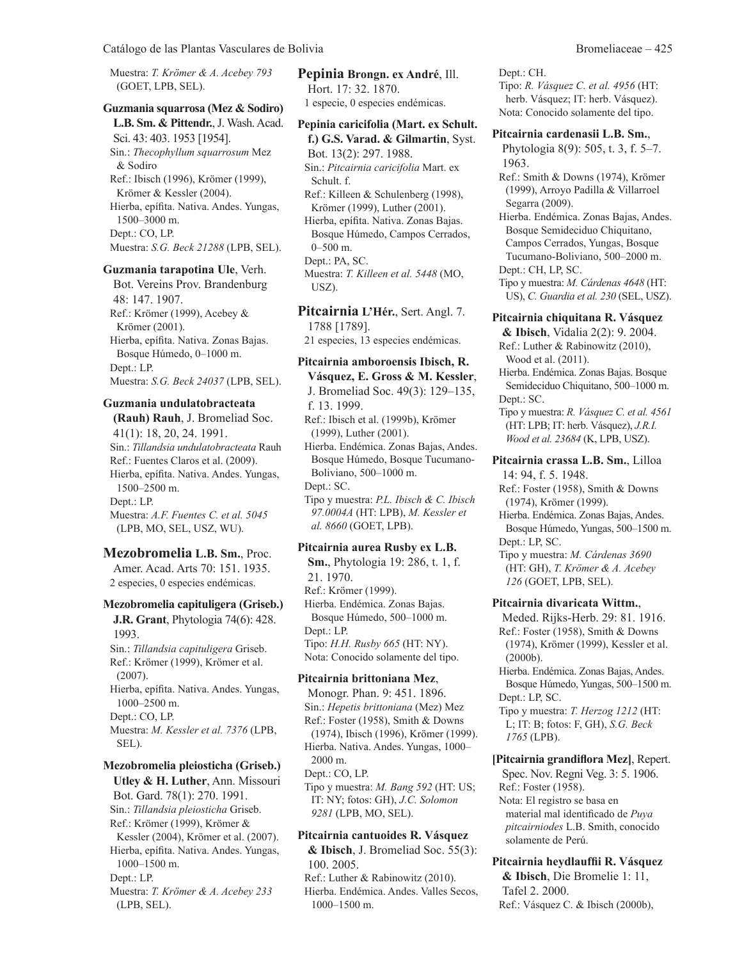Catálogo de las Plantas Vasculares de Bolivia Bromeliaceae – 425

Muestra: *T. Krömer & A. Acebey 793* (GOET, LPB, SEL).

# **Guzmania squarrosa (Mez & Sodiro)**

**L.B. Sm. & Pittendr.**, J. Wash. Acad. Sci. 43: 403. 1953 [1954]. Sin.: *Thecophyllum squarrosum* Mez & Sodiro Ref.: Ibisch (1996), Krömer (1999), Krömer & Kessler (2004). Hierba, epífita. Nativa. Andes. Yungas, 1500–3000 m. Dept.: CO, LP. Muestra: *S.G. Beck 21288* (LPB, SEL).

#### **Guzmania tarapotina Ule**, Verh.

Bot. Vereins Prov. Brandenburg 48: 147. 1907. Ref.: Krömer (1999), Acebey & Krömer (2001). Hierba, epífita. Nativa. Zonas Bajas. Bosque Húmedo, 0–1000 m. Dept.: LP. Muestra: *S.G. Beck 24037* (LPB, SEL).

#### **Guzmania undulatobracteata**

**(Rauh) Rauh**, J. Bromeliad Soc. 41(1): 18, 20, 24. 1991. Sin.: *Tillandsia undulatobracteata* Rauh Ref.: Fuentes Claros et al. (2009). Hierba, epífita. Nativa. Andes. Yungas, 1500–2500 m. Dept.: LP. Muestra: *A.F. Fuentes C. et al. 5045* (LPB, MO, SEL, USZ, WU).

#### **Mezobromelia L.B. Sm.**, Proc.

Amer. Acad. Arts 70: 151. 1935. 2 especies, 0 especies endémicas.

# **Mezobromelia capituligera (Griseb.)**

**J.R. Grant**, Phytologia 74(6): 428. 1993. Sin.: *Tillandsia capituligera* Griseb. Ref.: Krömer (1999), Krömer et al. (2007). Hierba, epífita. Nativa. Andes. Yungas, 1000–2500 m. Dept.: CO, LP. Muestra: *M. Kessler et al. 7376* (LPB, SEL).

# **Mezobromelia pleiosticha (Griseb.)**

**Utley & H. Luther**, Ann. Missouri Bot. Gard. 78(1): 270. 1991. Sin.: *Tillandsia pleiosticha* Griseb. Ref.: Krömer (1999), Krömer & Kessler (2004), Krömer et al. (2007). Hierba, epífita. Nativa. Andes. Yungas, 1000–1500 m. Dept.: LP. Muestra: *T. Krömer & A. Acebey 233* (LPB, SEL).

**Pepinia Brongn. ex André**, Ill. Hort. 17: 32. 1870. 1 especie, 0 especies endémicas.

# **Pepinia caricifolia (Mart. ex Schult.**

**f.) G.S. Varad. & Gilmartin**, Syst. Bot. 13(2): 297. 1988. Sin.: *Pitcairnia caricifolia* Mart. ex Schult. f. Ref.: Killeen & Schulenberg (1998), Krömer (1999), Luther (2001). Hierba, epífita. Nativa. Zonas Bajas. Bosque Húmedo, Campos Cerrados, 0–500 m. Dept.: PA, SC. Muestra: *T. Killeen et al. 5448* (MO, USZ).

**Pitcairnia L'Hér.**, Sert. Angl. 7. 1788 [1789]. 21 especies, 13 especies endémicas.

# **Pitcairnia amboroensis Ibisch, R.**

**Vásquez, E. Gross & M. Kessler**, J. Bromeliad Soc. 49(3): 129–135, f. 13. 1999. Ref.: Ibisch et al. (1999b), Krömer (1999), Luther (2001). Hierba. Endémica. Zonas Bajas, Andes. Bosque Húmedo, Bosque Tucumano-Boliviano, 500–1000 m. Dept.: SC. Tipo y muestra: *P.L. Ibisch & C. Ibisch 97.0004A* (HT: LPB), *M. Kessler et al. 8660* (GOET, LPB).

# **Pitcairnia aurea Rusby ex L.B.**

**Sm.**, Phytologia 19: 286, t. 1, f. 21. 1970. Ref.: Krömer (1999). Hierba. Endémica. Zonas Bajas. Bosque Húmedo, 500–1000 m. Dept.: LP. Tipo: *H.H. Rusby 665* (HT: NY). Nota: Conocido solamente del tipo.

#### **Pitcairnia brittoniana Mez**,

Monogr. Phan. 9: 451. 1896. Sin.: *Hepetis brittoniana* (Mez) Mez Ref.: Foster (1958), Smith & Downs (1974), Ibisch (1996), Krömer (1999). Hierba. Nativa. Andes. Yungas, 1000– 2000 m. Dept.: CO, LP. Tipo y muestra: *M. Bang 592* (HT: US; IT: NY; fotos: GH), *J.C. Solomon 9281* (LPB, MO, SEL).

#### **Pitcairnia cantuoides R. Vásquez & Ibisch**, J. Bromeliad Soc. 55(3): 100. 2005. Ref.: Luther & Rabinowitz (2010). Hierba. Endémica. Andes. Valles Secos, 1000–1500 m.

Dept.: CH. Tipo: *R. Vásquez C. et al. 4956* (HT: herb. Vásquez; IT: herb. Vásquez). Nota: Conocido solamente del tipo.

#### **Pitcairnia cardenasii L.B. Sm.**,

Phytologia 8(9): 505, t. 3, f. 5–7. 1963.

Ref.: Smith & Downs (1974), Krömer (1999), Arroyo Padilla & Villarroel Segarra (2009).

Hierba. Endémica. Zonas Bajas, Andes. Bosque Semideciduo Chiquitano, Campos Cerrados, Yungas, Bosque Tucumano-Boliviano, 500–2000 m. Dept.: CH, LP, SC.

Tipo y muestra: *M. Cárdenas 4648* (HT: US), *C. Guardia et al. 230* (SEL, USZ).

# **Pitcairnia chiquitana R. Vásquez**

**& Ibisch**, Vidalia 2(2): 9. 2004. Ref.: Luther & Rabinowitz (2010), Wood et al. (2011).

Hierba. Endémica. Zonas Bajas. Bosque Semideciduo Chiquitano, 500–1000 m. Dept.: SC.

Tipo y muestra: *R. Vásquez C. et al. 4561* (HT: LPB; IT: herb. Vásquez), *J.R.I. Wood et al. 23684* (K, LPB, USZ).

**Pitcairnia crassa L.B. Sm.**, Lilloa 14: 94, f. 5. 1948.

Ref.: Foster (1958), Smith & Downs (1974), Krömer (1999).

Hierba. Endémica. Zonas Bajas, Andes. Bosque Húmedo, Yungas, 500–1500 m. Dept.: LP, SC.

Tipo y muestra: *M. Cárdenas 3690* (HT: GH), *T. Krömer & A. Acebey 126* (GOET, LPB, SEL).

#### **Pitcairnia divaricata Wittm.**,

Meded. Rijks-Herb. 29: 81. 1916. Ref.: Foster (1958), Smith & Downs (1974), Krömer (1999), Kessler et al. (2000b).

Hierba. Endémica. Zonas Bajas, Andes. Bosque Húmedo, Yungas, 500–1500 m. Dept.: LP, SC.

Tipo y muestra: *T. Herzog 1212* (HT: L; IT: B; fotos: F, GH), *S.G. Beck 1765* (LPB).

**[Pitcairnia grandiflora Mez]**, Repert. Spec. Nov. Regni Veg. 3: 5. 1906.

Ref.: Foster (1958). Nota: El registro se basa en material mal identificado de *Puya pitcairniodes* L.B. Smith, conocido solamente de Perú.

**Pitcairnia heydlauffii R. Vásquez & Ibisch**, Die Bromelie 1: 11,

Tafel 2. 2000. Ref.: Vásquez C. & Ibisch (2000b),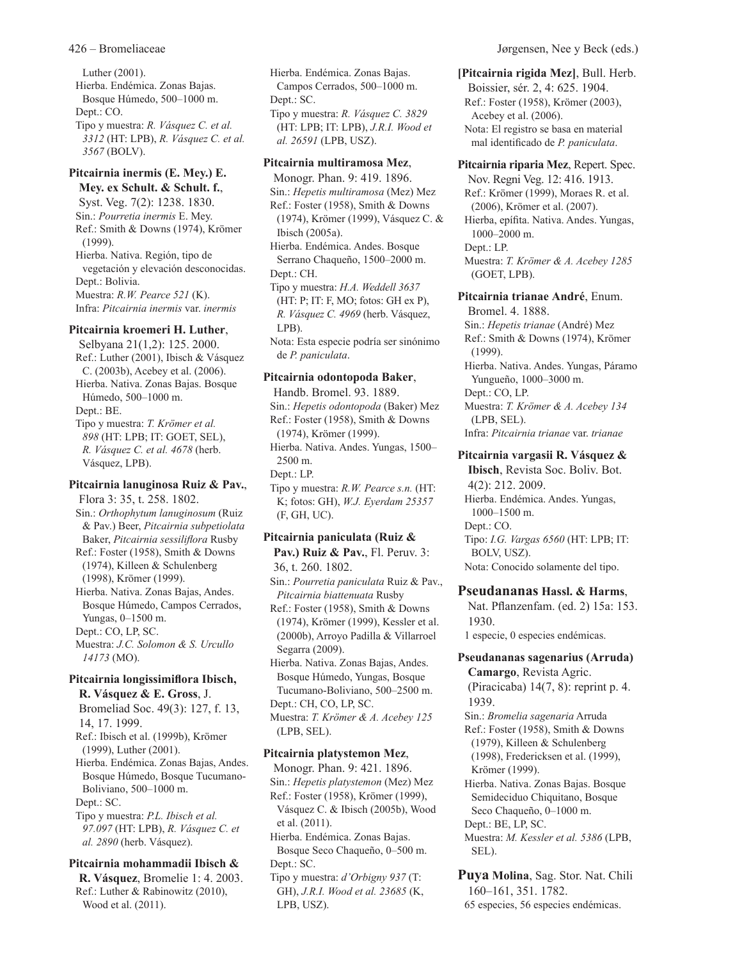Luther (2001). Hierba. Endémica. Zonas Bajas. Bosque Húmedo, 500–1000 m. Dept.: CO. Tipo y muestra: *R. Vásquez C. et al. 3312* (HT: LPB), *R. Vásquez C. et al. 3567* (BOLV).

# **Pitcairnia inermis (E. Mey.) E.**

**Mey. ex Schult. & Schult. f.**, Syst. Veg. 7(2): 1238. 1830. Sin.: *Pourretia inermis* E. Mey. Ref.: Smith & Downs (1974), Krömer (1999). Hierba. Nativa. Región, tipo de vegetación y elevación desconocidas. Dept.: Bolivia. Muestra: *R.W. Pearce 521* (K). Infra: *Pitcairnia inermis* var. *inermis*

## **Pitcairnia kroemeri H. Luther**,

Selbyana 21(1,2): 125. 2000. Ref.: Luther (2001), Ibisch & Vásquez C. (2003b), Acebey et al. (2006). Hierba. Nativa. Zonas Bajas. Bosque Húmedo, 500–1000 m. Dept.: BE. Tipo y muestra: *T. Krömer et al. 898* (HT: LPB; IT: GOET, SEL), *R. Vásquez C. et al. 4678* (herb. Vásquez, LPB).

### **Pitcairnia lanuginosa Ruiz & Pav.**, Flora 3: 35, t. 258. 1802. Sin.: *Orthophytum lanuginosum* (Ruiz & Pav.) Beer, *Pitcairnia subpetiolata* Baker, *Pitcairnia sessiliflora* Rusby Ref.: Foster (1958), Smith & Downs (1974), Killeen & Schulenberg (1998), Krömer (1999). Hierba. Nativa. Zonas Bajas, Andes. Bosque Húmedo, Campos Cerrados, Yungas, 0–1500 m. Dept.: CO, LP, SC. Muestra: *J.C. Solomon & S. Urcullo 14173* (MO).

# **Pitcairnia longissimiflora Ibisch, R. Vásquez & E. Gross**, J.

Bromeliad Soc. 49(3): 127, f. 13, 14, 17. 1999. Ref.: Ibisch et al. (1999b), Krömer (1999), Luther (2001). Hierba. Endémica. Zonas Bajas, Andes. Bosque Húmedo, Bosque Tucumano-Boliviano, 500–1000 m.

Dept.: SC.

Tipo y muestra: *P.L. Ibisch et al. 97.097* (HT: LPB), *R. Vásquez C. et al. 2890* (herb. Vásquez).

# **Pitcairnia mohammadii Ibisch & R. Vásquez**, Bromelie 1: 4. 2003.

Ref.: Luther & Rabinowitz (2010), Wood et al. (2011).

Hierba. Endémica. Zonas Bajas. Campos Cerrados, 500–1000 m. Dept.: SC. Tipo y muestra: *R. Vásquez C. 3829* (HT: LPB; IT: LPB), *J.R.I. Wood et al. 26591* (LPB, USZ).

### **Pitcairnia multiramosa Mez**,

Monogr. Phan. 9: 419. 1896. Sin.: *Hepetis multiramosa* (Mez) Mez Ref.: Foster (1958), Smith & Downs (1974), Krömer (1999), Vásquez C. & Ibisch (2005a). Hierba. Endémica. Andes. Bosque Serrano Chaqueño, 1500–2000 m. Dept.: CH. Tipo y muestra: *H.A. Weddell 3637* (HT: P; IT: F, MO; fotos: GH ex P), *R. Vásquez C. 4969* (herb. Vásquez, LPB). Nota: Esta especie podría ser sinónimo de *P. paniculata*. **Pitcairnia odontopoda Baker**,

# Handb. Bromel. 93. 1889.

Sin.: *Hepetis odontopoda* (Baker) Mez Ref.: Foster (1958), Smith & Downs (1974), Krömer (1999). Hierba. Nativa. Andes. Yungas, 1500– 2500 m. Dept.: LP. Tipo y muestra: *R.W. Pearce s.n.* (HT: K; fotos: GH), *W.J. Eyerdam 25357*

# **Pitcairnia paniculata (Ruiz &**

(F, GH, UC).

Pav.) Ruiz & Pav., Fl. Peruv. 3: 36, t. 260. 1802. Sin.: *Pourretia paniculata* Ruiz & Pav., *Pitcairnia biattenuata* Rusby Ref.: Foster (1958), Smith & Downs

(1974), Krömer (1999), Kessler et al. (2000b), Arroyo Padilla & Villarroel Segarra (2009).

Hierba. Nativa. Zonas Bajas, Andes. Bosque Húmedo, Yungas, Bosque Tucumano-Boliviano, 500–2500 m. Dept.: CH, CO, LP, SC.

Muestra: *T. Krömer & A. Acebey 125* (LPB, SEL).

# **Pitcairnia platystemon Mez**,

LPB, USZ).

Monogr. Phan. 9: 421. 1896. Sin.: *Hepetis platystemon* (Mez) Mez Ref.: Foster (1958), Krömer (1999), Vásquez C. & Ibisch (2005b), Wood et al. (2011). Hierba. Endémica. Zonas Bajas. Bosque Seco Chaqueño, 0–500 m. Dept.: SC. Tipo y muestra: *d'Orbigny 937* (T: GH), *J.R.I. Wood et al. 23685* (K,

# **[Pitcairnia rigida Mez]**, Bull. Herb.

Boissier, sér. 2, 4: 625. 1904. Ref.: Foster (1958), Krömer (2003), Acebey et al. (2006). Nota: El registro se basa en material mal identificado de *P. paniculata*.

# **Pitcairnia riparia Mez**, Repert. Spec.

Nov. Regni Veg. 12: 416. 1913. Ref.: Krömer (1999), Moraes R. et al. (2006), Krömer et al. (2007). Hierba, epífita. Nativa. Andes. Yungas, 1000–2000 m. Dept.: LP. Muestra: *T. Krömer & A. Acebey 1285* (GOET, LPB).

# **Pitcairnia trianae André**, Enum.

Bromel. 4. 1888. Sin.: *Hepetis trianae* (André) Mez Ref.: Smith & Downs (1974), Krömer (1999). Hierba. Nativa. Andes. Yungas, Páramo Yungueño, 1000–3000 m. Dept.: CO, LP. Muestra: *T. Krömer & A. Acebey 134* (LPB, SEL). Infra: *Pitcairnia trianae* var. *trianae*

# **Pitcairnia vargasii R. Vásquez &**

**Ibisch**, Revista Soc. Boliv. Bot. 4(2): 212. 2009. Hierba. Endémica. Andes. Yungas, 1000–1500 m. Dept.: CO. Tipo: *I.G. Vargas 6560* (HT: LPB; IT: BOLV, USZ). Nota: Conocido solamente del tipo.

# **Pseudananas Hassl. & Harms**,

Nat. Pflanzenfam. (ed. 2) 15a: 153. 1930.

1 especie, 0 especies endémicas.

# **Pseudananas sagenarius (Arruda)**

**Camargo**, Revista Agric. (Piracicaba) 14(7, 8): reprint p. 4. 1939.

Sin.: *Bromelia sagenaria* Arruda Ref.: Foster (1958), Smith & Downs (1979), Killeen & Schulenberg (1998), Fredericksen et al. (1999), Krömer (1999).

Hierba. Nativa. Zonas Bajas. Bosque Semideciduo Chiquitano, Bosque Seco Chaqueño, 0–1000 m. Dept.: BE, LP, SC. Muestra: *M. Kessler et al. 5386* (LPB, SEL).

**Puya Molina**, Sag. Stor. Nat. Chili 160–161, 351. 1782. 65 especies, 56 especies endémicas.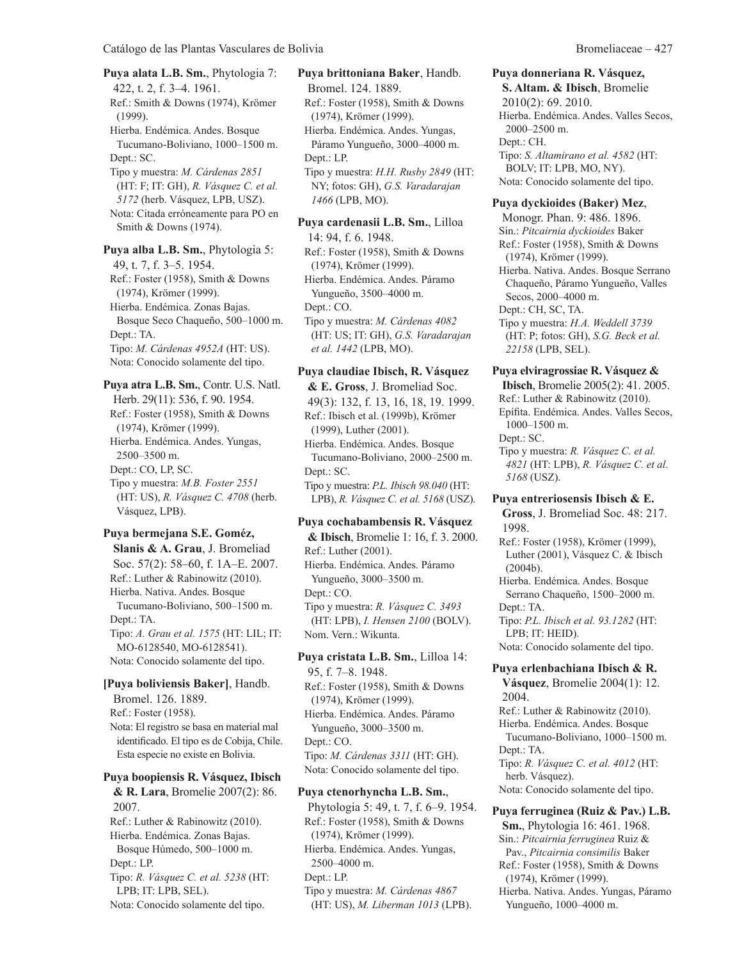**Puya alata L.B. Sm.**, Phytologia 7: 422, t. 2, f. 3–4. 1961. Ref.: Smith & Downs (1974), Krömer (1999). Hierba. Endémica. Andes. Bosque Tucumano-Boliviano, 1000–1500 m. Dept.: SC. Tipo y muestra: *M. Cárdenas 2851* (HT: F; IT: GH), *R. Vásquez C. et al. 5172* (herb. Vásquez, LPB, USZ). Nota: Citada erróneamente para PO en Smith & Downs (1974). **Puya alba L.B. Sm.**, Phytologia 5:

49, t. 7, f. 3–5. 1954. Ref.: Foster (1958), Smith & Downs (1974), Krömer (1999). Hierba. Endémica. Zonas Bajas. Bosque Seco Chaqueño, 500–1000 m. Dept.: TA. Tipo: *M. Cárdenas 4952A* (HT: US). Nota: Conocido solamente del tipo.

**Puya atra L.B. Sm.**, Contr. U.S. Natl. Herb. 29(11): 536, f. 90. 1954. Ref.: Foster (1958), Smith & Downs (1974), Krömer (1999). Hierba. Endémica. Andes. Yungas, 2500–3500 m. Dept.: CO, LP, SC. Tipo y muestra: *M.B. Foster 2551* (HT: US), *R. Vásquez C. 4708* (herb. Vásquez, LPB).

# **Puya bermejana S.E. Goméz, Slanis & A. Grau**, J. Bromeliad Soc. 57(2): 58–60, f. 1A–E. 2007. Ref.: Luther & Rabinowitz (2010). Hierba. Nativa. Andes. Bosque Tucumano-Boliviano, 500–1500 m. Dept.: TA. Tipo: *A. Grau et al. 1575* (HT: LIL; IT: MO-6128540, MO-6128541).

Nota: Conocido solamente del tipo.

# **[Puya boliviensis Baker]**, Handb.

Bromel. 126. 1889. Ref.: Foster (1958). Nota: El registro se basa en material mal identificado. El tipo es de Cobija, Chile. Esta especie no existe en Bolivia.

#### **Puya boopiensis R. Vásquez, Ibisch**

**& R. Lara**, Bromelie 2007(2): 86. 2007. Ref.: Luther & Rabinowitz (2010). Hierba. Endémica. Zonas Bajas. Bosque Húmedo, 500–1000 m. Dept.: LP. Tipo: *R. Vásquez C. et al. 5238* (HT: LPB; IT: LPB, SEL). Nota: Conocido solamente del tipo.

**Puya brittoniana Baker**, Handb. Bromel. 124. 1889. Ref.: Foster (1958), Smith & Downs (1974), Krömer (1999). Hierba. Endémica. Andes. Yungas, Páramo Yungueño, 3000–4000 m. Dept.: LP. Tipo y muestra: *H.H. Rusby 2849* (HT: NY; fotos: GH), *G.S. Varadarajan 1466* (LPB, MO).

**Puya cardenasii L.B. Sm.**, Lilloa 14: 94, f. 6. 1948. Ref.: Foster (1958), Smith & Downs (1974), Krömer (1999). Hierba. Endémica. Andes. Páramo Yungueño, 3500–4000 m. Dept.: CO. Tipo y muestra: *M. Cárdenas 4082* (HT: US; IT: GH), *G.S. Varadarajan et al. 1442* (LPB, MO).

# **Puya claudiae Ibisch, R. Vásquez**

**& E. Gross**, J. Bromeliad Soc. 49(3): 132, f. 13, 16, 18, 19. 1999. Ref.: Ibisch et al. (1999b), Krömer (1999), Luther (2001). Hierba. Endémica. Andes. Bosque Tucumano-Boliviano, 2000–2500 m. Dept.: SC. Tipo y muestra: *P.L. Ibisch 98.040* (HT: LPB), *R. Vásquez C. et al. 5168* (USZ).

#### **Puya cochabambensis R. Vásquez**

**& Ibisch**, Bromelie 1: 16, f. 3. 2000. Ref.: Luther (2001). Hierba. Endémica. Andes. Páramo Yungueño, 3000–3500 m. Dept.: CO. Tipo y muestra: *R. Vásquez C. 3493* (HT: LPB), *I. Hensen 2100* (BOLV). Nom. Vern.: Wikunta.

**Puya cristata L.B. Sm.**, Lilloa 14: 95, f. 7–8. 1948. Ref.: Foster (1958), Smith & Downs (1974), Krömer (1999). Hierba. Endémica. Andes. Páramo Yungueño, 3000–3500 m. Dept.: CO. Tipo: *M. Cárdenas 3311* (HT: GH). Nota: Conocido solamente del tipo.

# **Puya ctenorhyncha L.B. Sm.**,

Phytologia 5: 49, t. 7, f. 6–9. 1954. Ref.: Foster (1958), Smith & Downs (1974), Krömer (1999). Hierba. Endémica. Andes. Yungas, 2500–4000 m. Dept.: LP. Tipo y muestra: *M. Cárdenas 4867* (HT: US), *M. Liberman 1013* (LPB).

#### **Puya donneriana R. Vásquez, S. Altam. & Ibisch**, Bromelie 2010(2): 69. 2010. Hierba. Endémica. Andes. Valles Secos, 2000–2500 m. Dept.: CH. Tipo: *S. Altamirano et al. 4582* (HT: BOLV; IT: LPB, MO, NY). Nota: Conocido solamente del tipo.

**Puya dyckioides (Baker) Mez**,

Monogr. Phan. 9: 486. 1896. Sin.: *Pitcairnia dyckioides* Baker Ref.: Foster (1958), Smith & Downs (1974), Krömer (1999). Hierba. Nativa. Andes. Bosque Serrano Chaqueño, Páramo Yungueño, Valles Secos, 2000–4000 m. Dept.: CH, SC, TA. Tipo y muestra: *H.A. Weddell 3739* (HT: P; fotos: GH), *S.G. Beck et al. 22158* (LPB, SEL).

# **Puya elviragrossiae R. Vásquez &**

**Ibisch**, Bromelie 2005(2): 41. 2005. Ref.: Luther & Rabinowitz (2010). Epífita. Endémica. Andes. Valles Secos, 1000–1500 m. Dept.: SC. Tipo y muestra: *R. Vásquez C. et al. 4821* (HT: LPB), *R. Vásquez C. et al. 5168* (USZ).

**Puya entreriosensis Ibisch & E. Gross**, J. Bromeliad Soc. 48: 217. 1998. Ref.: Foster (1958), Krömer (1999),

Luther (2001), Vásquez C. & Ibisch (2004b). Hierba. Endémica. Andes. Bosque Serrano Chaqueño, 1500–2000 m. Dept.: TA.

Tipo: *P.L. Ibisch et al. 93.1282* (HT: LPB; IT: HEID). Nota: Conocido solamente del tipo.

**Puya erlenbachiana Ibisch & R. Vásquez**, Bromelie 2004(1): 12.

2004.

Ref.: Luther & Rabinowitz (2010). Hierba. Endémica. Andes. Bosque Tucumano-Boliviano, 1000–1500 m. Dept.: TA. Tipo: *R. Vásquez C. et al. 4012* (HT:

herb. Vásquez). Nota: Conocido solamente del tipo.

# **Puya ferruginea (Ruiz & Pav.) L.B.**

**Sm.**, Phytologia 16: 461. 1968. Sin.: *Pitcairnia ferruginea* Ruiz & Pav., *Pitcairnia consimilis* Baker Ref.: Foster (1958), Smith & Downs (1974), Krömer (1999). Hierba. Nativa. Andes. Yungas, Páramo

Yungueño, 1000–4000 m.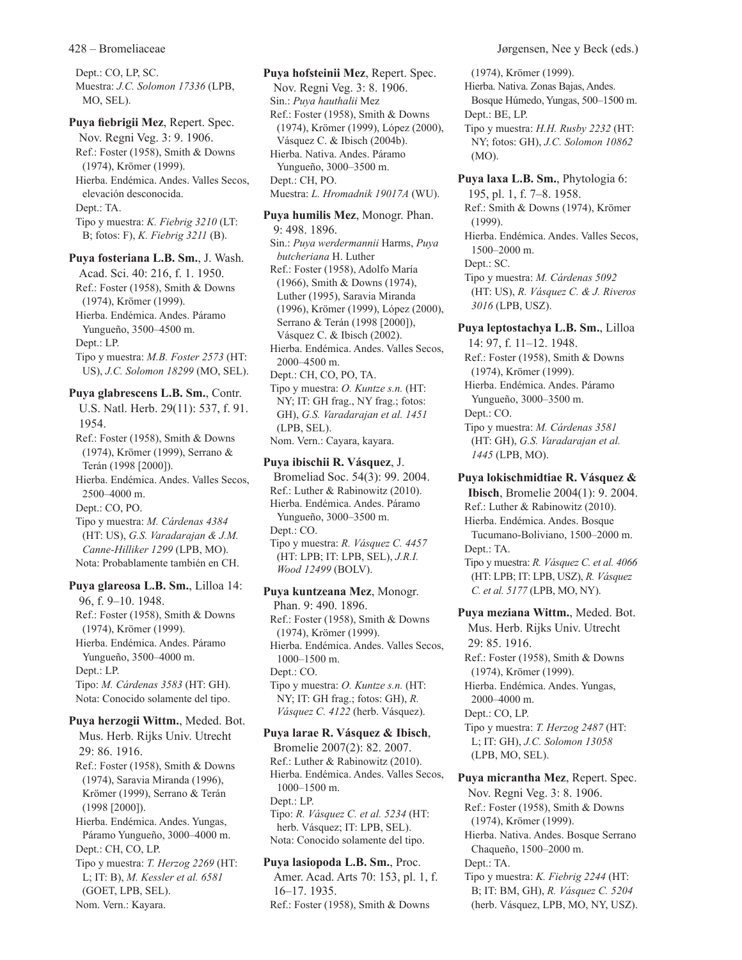Dept.: CO, LP, SC. Muestra: *J.C. Solomon 17336* (LPB, MO, SEL).

**Puya fiebrigii Mez**, Repert. Spec. Nov. Regni Veg. 3: 9. 1906. Ref.: Foster (1958), Smith & Downs (1974), Krömer (1999). Hierba. Endémica. Andes. Valles Secos, elevación desconocida. Dept.: TA. Tipo y muestra: *K. Fiebrig 3210* (LT: B; fotos: F), *K. Fiebrig 3211* (B).

**Puya fosteriana L.B. Sm.**, J. Wash. Acad. Sci. 40: 216, f. 1. 1950. Ref.: Foster (1958), Smith & Downs (1974), Krömer (1999). Hierba. Endémica. Andes. Páramo Yungueño, 3500–4500 m. Dept.: LP. Tipo y muestra: *M.B. Foster 2573* (HT: US), *J.C. Solomon 18299* (MO, SEL).

**Puya glabrescens L.B. Sm.**, Contr. U.S. Natl. Herb. 29(11): 537, f. 91. 1954. Ref.: Foster (1958), Smith & Downs (1974), Krömer (1999), Serrano & Terán (1998 [2000]). Hierba. Endémica. Andes. Valles Secos, 2500–4000 m. Dept.: CO, PO. Tipo y muestra: *M. Cárdenas 4384* (HT: US), *G.S. Varadarajan & J.M. Canne-Hilliker 1299* (LPB, MO). Nota: Probablamente también en CH. **Puya glareosa L.B. Sm.**, Lilloa 14:

96, f. 9–10. 1948. Ref.: Foster (1958), Smith & Downs (1974), Krömer (1999). Hierba. Endémica. Andes. Páramo Yungueño, 3500–4000 m. Dept.: LP. Tipo: *M. Cárdenas 3583* (HT: GH). Nota: Conocido solamente del tipo.

**Puya herzogii Wittm.**, Meded. Bot.

Mus. Herb. Rijks Univ. Utrecht 29: 86. 1916. Ref.: Foster (1958), Smith & Downs (1974), Saravia Miranda (1996), Krömer (1999), Serrano & Terán (1998 [2000]). Hierba. Endémica. Andes. Yungas, Páramo Yungueño, 3000–4000 m. Dept.: CH, CO, LP. Tipo y muestra: *T. Herzog 2269* (HT: L; IT: B), *M. Kessler et al. 6581* (GOET, LPB, SEL). Nom. Vern.: Kayara.

**Puya hofsteinii Mez**, Repert. Spec. Nov. Regni Veg. 3: 8. 1906. Sin.: *Puya hauthalii* Mez Ref.: Foster (1958), Smith & Downs (1974), Krömer (1999), López (2000), Vásquez C. & Ibisch (2004b). Hierba. Nativa. Andes. Páramo Yungueño, 3000–3500 m. Dept.: CH, PO. Muestra: *L. Hromadnik 19017A* (WU). **Puya humilis Mez**, Monogr. Phan. 9: 498. 1896. Sin.: *Puya werdermannii* Harms, *Puya butcheriana* H. Luther Ref.: Foster (1958), Adolfo María (1966), Smith & Downs (1974), Luther (1995), Saravia Miranda (1996), Krömer (1999), López (2000), Serrano & Terán (1998 [2000]), Vásquez C. & Ibisch (2002). Hierba. Endémica. Andes. Valles Secos, 2000–4500 m. Dept.: CH, CO, PO, TA. Tipo y muestra: *O. Kuntze s.n.* (HT: NY; IT: GH frag., NY frag.; fotos: GH), *G.S. Varadarajan et al. 1451* (LPB, SEL). Nom. Vern.: Cayara, kayara. **Puya ibischii R. Vásquez**, J.

Bromeliad Soc. 54(3): 99. 2004. Ref.: Luther & Rabinowitz (2010). Hierba. Endémica. Andes. Páramo Yungueño, 3000–3500 m. Dept.: CO. Tipo y muestra: *R. Vásquez C. 4457* (HT: LPB; IT: LPB, SEL), *J.R.I. Wood 12499* (BOLV).

**Puya kuntzeana Mez**, Monogr. Phan. 9: 490. 1896. Ref.: Foster (1958), Smith & Downs (1974), Krömer (1999). Hierba. Endémica. Andes. Valles Secos, 1000–1500 m. Dept.: CO. Tipo y muestra: *O. Kuntze s.n.* (HT: NY; IT: GH frag.; fotos: GH), *R. Vásquez C. 4122* (herb. Vásquez).

**Puya larae R. Vásquez & Ibisch**, Bromelie 2007(2): 82. 2007. Ref.: Luther & Rabinowitz (2010). Hierba. Endémica. Andes. Valles Secos, 1000–1500 m. Dept.: LP. Tipo: *R. Vásquez C. et al. 5234* (HT: herb. Vásquez; IT: LPB, SEL). Nota: Conocido solamente del tipo.

**Puya lasiopoda L.B. Sm.**, Proc. Amer. Acad. Arts 70: 153, pl. 1, f. 16–17. 1935. Ref.: Foster (1958), Smith & Downs

(1974), Krömer (1999). Hierba. Nativa. Zonas Bajas, Andes. Bosque Húmedo, Yungas, 500–1500 m. Dept.: BE, LP. Tipo y muestra: *H.H. Rusby 2232* (HT: NY; fotos: GH), *J.C. Solomon 10862* (MO). **Puya laxa L.B. Sm.**, Phytologia 6: 195, pl. 1, f. 7–8. 1958. Ref.: Smith & Downs (1974), Krömer (1999). Hierba. Endémica. Andes. Valles Secos, 1500–2000 m. Dept.: SC. Tipo y muestra: *M. Cárdenas 5092* (HT: US), *R. Vásquez C. & J. Riveros 3016* (LPB, USZ). **Puya leptostachya L.B. Sm.**, Lilloa 14: 97, f. 11–12. 1948. Ref.: Foster (1958), Smith & Downs (1974), Krömer (1999). Hierba. Endémica. Andes. Páramo Yungueño, 3000–3500 m. Dept.: CO. Tipo y muestra: *M. Cárdenas 3581* (HT: GH), *G.S. Varadarajan et al. 1445* (LPB, MO). **Puya lokischmidtiae R. Vásquez & Ibisch**, Bromelie 2004(1): 9. 2004. Ref.: Luther & Rabinowitz (2010). Hierba. Endémica. Andes. Bosque Tucumano-Boliviano, 1500–2000 m. Dept.: TA. Tipo y muestra: *R. Vásquez C. et al. 4066* (HT: LPB; IT: LPB, USZ), *R. Vásquez C. et al. 5177* (LPB, MO, NY). **Puya meziana Wittm.**, Meded. Bot. Mus. Herb. Rijks Univ. Utrecht 29: 85. 1916. Ref.: Foster (1958), Smith & Downs (1974), Krömer (1999). Hierba. Endémica. Andes. Yungas, 2000–4000 m. Dept.: CO, LP. Tipo y muestra: *T. Herzog 2487* (HT: L; IT: GH), *J.C. Solomon 13058* (LPB, MO, SEL). **Puya micrantha Mez**, Repert. Spec. Nov. Regni Veg. 3: 8. 1906. Ref.: Foster (1958), Smith & Downs (1974), Krömer (1999).

Hierba. Nativa. Andes. Bosque Serrano Chaqueño, 1500–2000 m. Dept.: TA.

Tipo y muestra: *K. Fiebrig 2244* (HT: B; IT: BM, GH), *R. Vásquez C. 5204* (herb. Vásquez, LPB, MO, NY, USZ).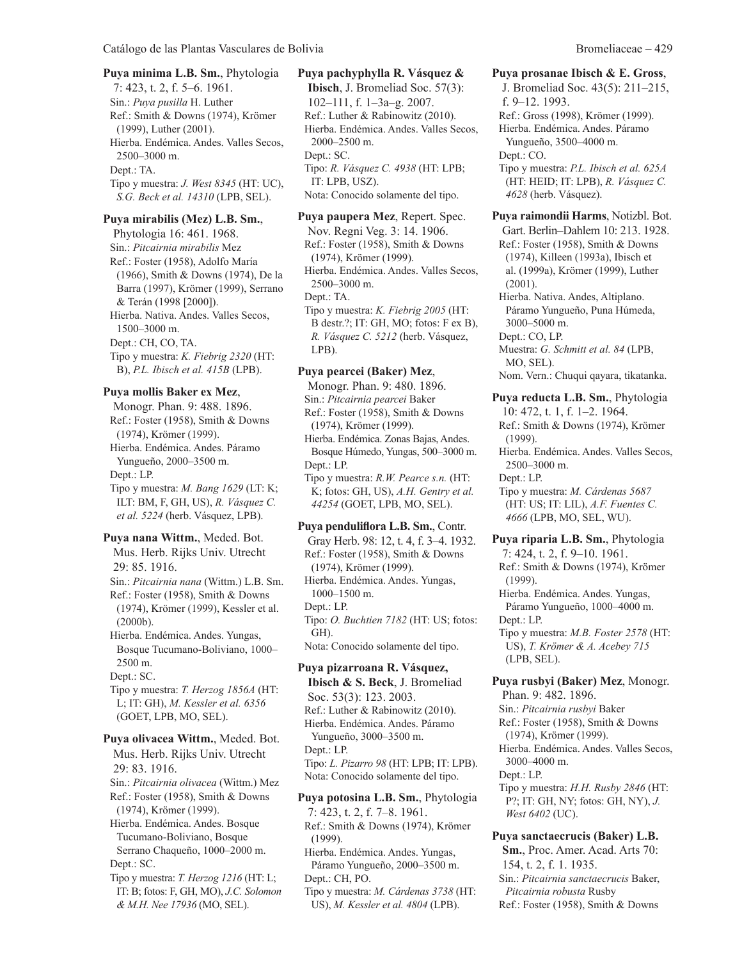Ref.: Smith & Downs (1974), Krömer (1999), Luther (2001). Hierba. Endémica. Andes. Valles Secos, 2500–3000 m. Dept.: TA. Tipo y muestra: *J. West 8345* (HT: UC), *S.G. Beck et al. 14310* (LPB, SEL).

**Puya mirabilis (Mez) L.B. Sm.**,

7: 423, t. 2, f. 5–6. 1961. Sin.: *Puya pusilla* H. Luther

Phytologia 16: 461. 1968. Sin.: *Pitcairnia mirabilis* Mez Ref.: Foster (1958), Adolfo María (1966), Smith & Downs (1974), De la Barra (1997), Krömer (1999), Serrano & Terán (1998 [2000]). Hierba. Nativa. Andes. Valles Secos, 1500–3000 m. Dept.: CH, CO, TA. Tipo y muestra: *K. Fiebrig 2320* (HT: B), *P.L. Ibisch et al. 415B* (LPB).

#### **Puya mollis Baker ex Mez**,

Monogr. Phan. 9: 488. 1896. Ref.: Foster (1958), Smith & Downs (1974), Krömer (1999). Hierba. Endémica. Andes. Páramo Yungueño, 2000–3500 m. Dept.: LP. Tipo y muestra: *M. Bang 1629* (LT: K; ILT: BM, F, GH, US), *R. Vásquez C. et al. 5224* (herb. Vásquez, LPB).

**Puya nana Wittm.**, Meded. Bot. Mus. Herb. Rijks Univ. Utrecht 29: 85. 1916. Sin.: *Pitcairnia nana* (Wittm.) L.B. Sm. Ref.: Foster (1958), Smith & Downs (1974), Krömer (1999), Kessler et al. (2000b). Hierba. Endémica. Andes. Yungas, Bosque Tucumano-Boliviano, 1000– 2500 m. Dept.: SC. Tipo y muestra: *T. Herzog 1856A* (HT: L; IT: GH), *M. Kessler et al. 6356* (GOET, LPB, MO, SEL). **Puya olivacea Wittm.**, Meded. Bot. Mus. Herb. Rijks Univ. Utrecht 29: 83. 1916. Sin.: *Pitcairnia olivacea* (Wittm.) Mez Ref.: Foster (1958), Smith & Downs (1974), Krömer (1999). Hierba. Endémica. Andes. Bosque Tucumano-Boliviano, Bosque Serrano Chaqueño, 1000–2000 m. Dept.: SC. Tipo y muestra: *T. Herzog 1216* (HT: L;

IT: B; fotos: F, GH, MO), *J.C. Solomon & M.H. Nee 17936* (MO, SEL).

**Ibisch**, J. Bromeliad Soc. 57(3): 102–111, f. 1–3a–g. 2007. Ref.: Luther & Rabinowitz (2010). Hierba. Endémica. Andes. Valles Secos, 2000–2500 m. Dept.: SC. Tipo: *R. Vásquez C. 4938* (HT: LPB; IT: LPB, USZ). Nota: Conocido solamente del tipo.

**Puya paupera Mez**, Repert. Spec. Nov. Regni Veg. 3: 14. 1906. Ref.: Foster (1958), Smith & Downs (1974), Krömer (1999). Hierba. Endémica. Andes. Valles Secos, 2500–3000 m. Dept.: TA. Tipo y muestra: *K. Fiebrig 2005* (HT: B destr.?; IT: GH, MO; fotos: F ex B), *R. Vásquez C. 5212* (herb. Vásquez, LPB).

# **Puya pearcei (Baker) Mez**,

Monogr. Phan. 9: 480. 1896. Sin.: *Pitcairnia pearcei* Baker Ref.: Foster (1958), Smith & Downs (1974), Krömer (1999). Hierba. Endémica. Zonas Bajas, Andes. Bosque Húmedo, Yungas, 500–3000 m. Dept.: LP. Tipo y muestra: *R.W. Pearce s.n.* (HT: K; fotos: GH, US), *A.H. Gentry et al. 44254* (GOET, LPB, MO, SEL).

**Puya penduliflora L.B. Sm.**, Contr. Gray Herb. 98: 12, t. 4, f. 3–4. 1932. Ref.: Foster (1958), Smith & Downs (1974), Krömer (1999). Hierba. Endémica. Andes. Yungas, 1000–1500 m. Dept.: LP. Tipo: *O. Buchtien 7182* (HT: US; fotos: GH). Nota: Conocido solamente del tipo.

**Puya pizarroana R. Vásquez, Ibisch & S. Beck**, J. Bromeliad Soc. 53(3): 123. 2003. Ref.: Luther & Rabinowitz (2010). Hierba. Endémica. Andes. Páramo Yungueño, 3000–3500 m. Dept.: LP. Tipo: *L. Pizarro 98* (HT: LPB; IT: LPB). Nota: Conocido solamente del tipo.

**Puya potosina L.B. Sm.**, Phytologia 7: 423, t. 2, f. 7–8. 1961. Ref.: Smith & Downs (1974), Krömer (1999). Hierba. Endémica. Andes. Yungas, Páramo Yungueño, 2000–3500 m. Dept.: CH, PO. Tipo y muestra: *M. Cárdenas 3738* (HT: US), *M. Kessler et al. 4804* (LPB).

**Puya prosanae Ibisch & E. Gross**, J. Bromeliad Soc. 43(5): 211–215, f. 9–12. 1993. Ref.: Gross (1998), Krömer (1999). Hierba. Endémica. Andes. Páramo Yungueño, 3500–4000 m. Dept.: CO. Tipo y muestra: *P.L. Ibisch et al. 625A* (HT: HEID; IT: LPB), *R. Vásquez C. 4628* (herb. Vásquez).

**Puya raimondii Harms**, Notizbl. Bot. Gart. Berlin–Dahlem 10: 213. 1928. Ref.: Foster (1958), Smith & Downs (1974), Killeen (1993a), Ibisch et al. (1999a), Krömer (1999), Luther (2001). Hierba. Nativa. Andes, Altiplano. Páramo Yungueño, Puna Húmeda, 3000–5000 m. Dept.: CO, LP. Muestra: *G. Schmitt et al. 84* (LPB, MO, SEL). Nom. Vern.: Chuqui qayara, tikatanka. **Puya reducta L.B. Sm.**, Phytologia 10: 472, t. 1, f. 1–2. 1964.

Ref.: Smith & Downs (1974), Krömer (1999). Hierba. Endémica. Andes. Valles Secos, 2500–3000 m. Dept.: LP. Tipo y muestra: *M. Cárdenas 5687* (HT: US; IT: LIL), *A.F. Fuentes C. 4666* (LPB, MO, SEL, WU). **Puya riparia L.B. Sm.**, Phytologia 7: 424, t. 2, f. 9–10. 1961. Ref.: Smith & Downs (1974), Krömer (1999). Hierba. Endémica. Andes. Yungas, Páramo Yungueño, 1000–4000 m. Dept.: LP. Tipo y muestra: *M.B. Foster 2578* (HT: US), *T. Krömer & A. Acebey 715* (LPB, SEL). **Puya rusbyi (Baker) Mez**, Monogr. Phan. 9: 482. 1896. Sin.: *Pitcairnia rusbyi* Baker Ref.: Foster (1958), Smith & Downs

(1974), Krömer (1999). Hierba. Endémica. Andes. Valles Secos, 3000–4000 m. Dept.: LP. Tipo y muestra: *H.H. Rusby 2846* (HT: P?; IT: GH, NY; fotos: GH, NY), *J. West 6402* (UC).

# **Puya sanctaecrucis (Baker) L.B.**

**Sm.**, Proc. Amer. Acad. Arts 70: 154, t. 2, f. 1. 1935. Sin.: *Pitcairnia sanctaecrucis* Baker, *Pitcairnia robusta* Rusby Ref.: Foster (1958), Smith & Downs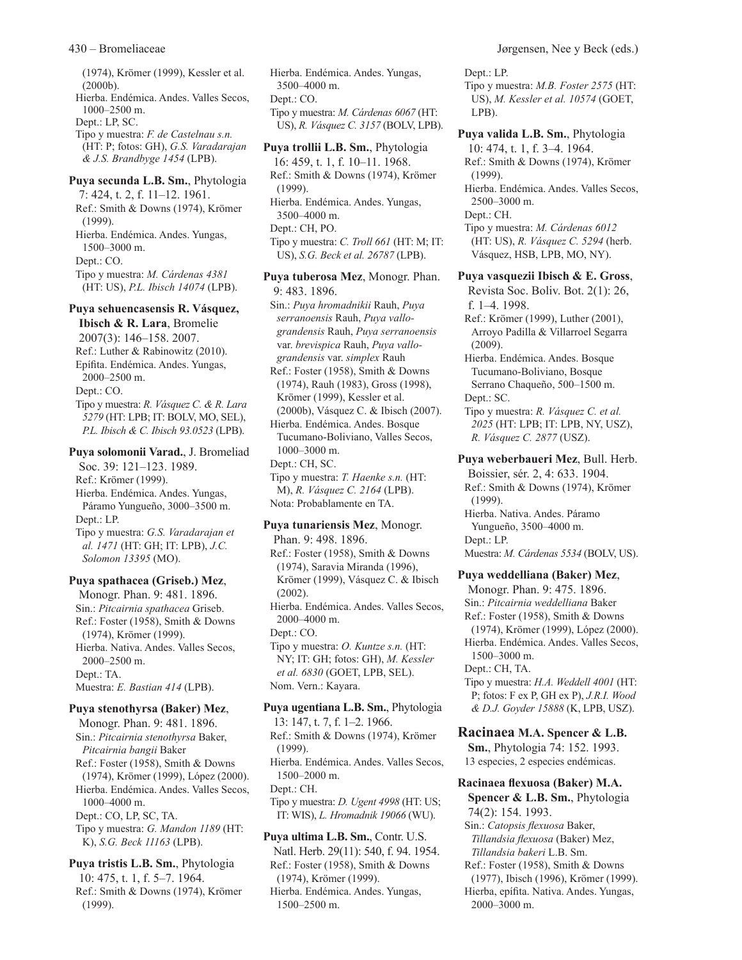(1974), Krömer (1999), Kessler et al. (2000b). Hierba. Endémica. Andes. Valles Secos, 1000–2500 m. Dept.: LP, SC. Tipo y muestra: *F. de Castelnau s.n.* (HT: P; fotos: GH), *G.S. Varadarajan & J.S. Brandbyge 1454* (LPB). **Puya secunda L.B. Sm.**, Phytologia 7: 424, t. 2, f. 11–12. 1961. Ref.: Smith & Downs (1974), Krömer (1999). Hierba. Endémica. Andes. Yungas, 1500–3000 m.

Dept.: CO.

Tipo y muestra: *M. Cárdenas 4381* (HT: US), *P.L. Ibisch 14074* (LPB).

**Puya sehuencasensis R. Vásquez,** 

**Ibisch & R. Lara**, Bromelie 2007(3): 146–158. 2007. Ref.: Luther & Rabinowitz (2010). Epífita. Endémica. Andes. Yungas, 2000–2500 m. Dept.: CO. Tipo y muestra: *R. Vásquez C. & R. Lara 5279* (HT: LPB; IT: BOLV, MO, SEL), *P.L. Ibisch & C. Ibisch 93.0523* (LPB).

#### **Puya solomonii Varad.**, J. Bromeliad

Soc. 39: 121–123. 1989. Ref.: Krömer (1999). Hierba. Endémica. Andes. Yungas, Páramo Yungueño, 3000–3500 m. Dept.: LP. Tipo y muestra: *G.S. Varadarajan et* 

*al. 1471* (HT: GH; IT: LPB), *J.C. Solomon 13395* (MO).

#### **Puya spathacea (Griseb.) Mez**,

Monogr. Phan. 9: 481. 1896. Sin.: *Pitcairnia spathacea* Griseb. Ref.: Foster (1958), Smith & Downs (1974), Krömer (1999). Hierba. Nativa. Andes. Valles Secos, 2000–2500 m. Dept.: TA. Muestra: *E. Bastian 414* (LPB).

#### **Puya stenothyrsa (Baker) Mez**,

Monogr. Phan. 9: 481. 1896. Sin.: *Pitcairnia stenothyrsa* Baker, *Pitcairnia bangii* Baker Ref.: Foster (1958), Smith & Downs (1974), Krömer (1999), López (2000). Hierba. Endémica. Andes. Valles Secos, 1000–4000 m. Dept.: CO, LP, SC, TA. Tipo y muestra: *G. Mandon 1189* (HT: K), *S.G. Beck 11163* (LPB).

**Puya tristis L.B. Sm.**, Phytologia 10: 475, t. 1, f. 5–7. 1964. Ref.: Smith & Downs (1974), Krömer (1999).

Hierba. Endémica. Andes. Yungas, 3500–4000 m. Dept.: CO. Tipo y muestra: *M. Cárdenas 6067* (HT: US), *R. Vásquez C. 3157* (BOLV, LPB).

**Puya trollii L.B. Sm.**, Phytologia 16: 459, t. 1, f. 10–11. 1968. Ref.: Smith & Downs (1974), Krömer (1999). Hierba. Endémica. Andes. Yungas, 3500–4000 m. Dept.: CH, PO. Tipo y muestra: *C. Troll 661* (HT: M; IT: US), *S.G. Beck et al. 26787* (LPB).

**Puya tuberosa Mez**, Monogr. Phan. 9: 483. 1896. Sin.: *Puya hromadnikii* Rauh, *Puya serranoensis* Rauh, *Puya vallograndensis* Rauh, *Puya serranoensis* var. *brevispica* Rauh, *Puya vallograndensis* var. *simplex* Rauh Ref.: Foster (1958), Smith & Downs (1974), Rauh (1983), Gross (1998), Krömer (1999), Kessler et al. (2000b), Vásquez C. & Ibisch (2007). Hierba. Endémica. Andes. Bosque Tucumano-Boliviano, Valles Secos, 1000–3000 m. Dept.: CH, SC. Tipo y muestra: *T. Haenke s.n.* (HT: M), *R. Vásquez C. 2164* (LPB). Nota: Probablamente en TA.

#### **Puya tunariensis Mez**, Monogr.

Phan. 9: 498. 1896. Ref.: Foster (1958), Smith & Downs (1974), Saravia Miranda (1996), Krömer (1999), Vásquez C. & Ibisch (2002). Hierba. Endémica. Andes. Valles Secos, 2000–4000 m. Dept.: CO. Tipo y muestra: *O. Kuntze s.n.* (HT: NY; IT: GH; fotos: GH), *M. Kessler et al. 6830* (GOET, LPB, SEL). Nom. Vern.: Kayara.

**Puya ugentiana L.B. Sm.**, Phytologia 13: 147, t. 7, f. 1–2. 1966. Ref.: Smith & Downs (1974), Krömer (1999). Hierba. Endémica. Andes. Valles Secos, 1500–2000 m. Dept.: CH. Tipo y muestra: *D. Ugent 4998* (HT: US; IT: WIS), *L. Hromadnik 19066* (WU). **Puya ultima L.B. Sm.**, Contr. U.S.

Natl. Herb. 29(11): 540, f. 94. 1954. Ref.: Foster (1958), Smith & Downs (1974), Krömer (1999).

Hierba. Endémica. Andes. Yungas, 1500–2500 m.

Dept.: LP.

Tipo y muestra: *M.B. Foster 2575* (HT: US), *M. Kessler et al. 10574* (GOET, LPB).

**Puya valida L.B. Sm.**, Phytologia 10: 474, t. 1, f. 3–4. 1964. Ref.: Smith & Downs (1974), Krömer (1999). Hierba. Endémica. Andes. Valles Secos, 2500–3000 m. Dept.: CH. Tipo y muestra: *M. Cárdenas 6012* (HT: US), *R. Vásquez C. 5294* (herb. Vásquez, HSB, LPB, MO, NY).

**Puya vasquezii Ibisch & E. Gross**,

Revista Soc. Boliv. Bot. 2(1): 26, f. 1–4. 1998.

Ref.: Krömer (1999), Luther (2001), Arroyo Padilla & Villarroel Segarra (2009).

Hierba. Endémica. Andes. Bosque Tucumano-Boliviano, Bosque Serrano Chaqueño, 500–1500 m. Dept.: SC.

Tipo y muestra: *R. Vásquez C. et al. 2025* (HT: LPB; IT: LPB, NY, USZ), *R. Vásquez C. 2877* (USZ).

**Puya weberbaueri Mez**, Bull. Herb. Boissier, sér. 2, 4: 633. 1904. Ref.: Smith & Downs (1974), Krömer

(1999). Hierba. Nativa. Andes. Páramo

Yungueño, 3500–4000 m. Dept.: LP.

Muestra: *M. Cárdenas 5534* (BOLV, US).

#### **Puya weddelliana (Baker) Mez**,

Monogr. Phan. 9: 475. 1896. Sin.: *Pitcairnia weddelliana* Baker Ref.: Foster (1958), Smith & Downs (1974), Krömer (1999), López (2000). Hierba. Endémica. Andes. Valles Secos, 1500–3000 m. Dept.: CH, TA. Tipo y muestra: *H.A. Weddell 4001* (HT: P; fotos: F ex P, GH ex P), *J.R.I. Wood & D.J. Goyder 15888* (K, LPB, USZ).

**Racinaea M.A. Spencer & L.B. Sm.**, Phytologia 74: 152. 1993. 13 especies, 2 especies endémicas.

**Racinaea flexuosa (Baker) M.A. Spencer & L.B. Sm.**, Phytologia 74(2): 154. 1993. Sin.: *Catopsis flexuosa* Baker,

*Tillandsia flexuosa* (Baker) Mez, *Tillandsia bakeri* L.B. Sm.

Ref.: Foster (1958), Smith & Downs (1977), Ibisch (1996), Krömer (1999).

Hierba, epífita. Nativa. Andes. Yungas, 2000–3000 m.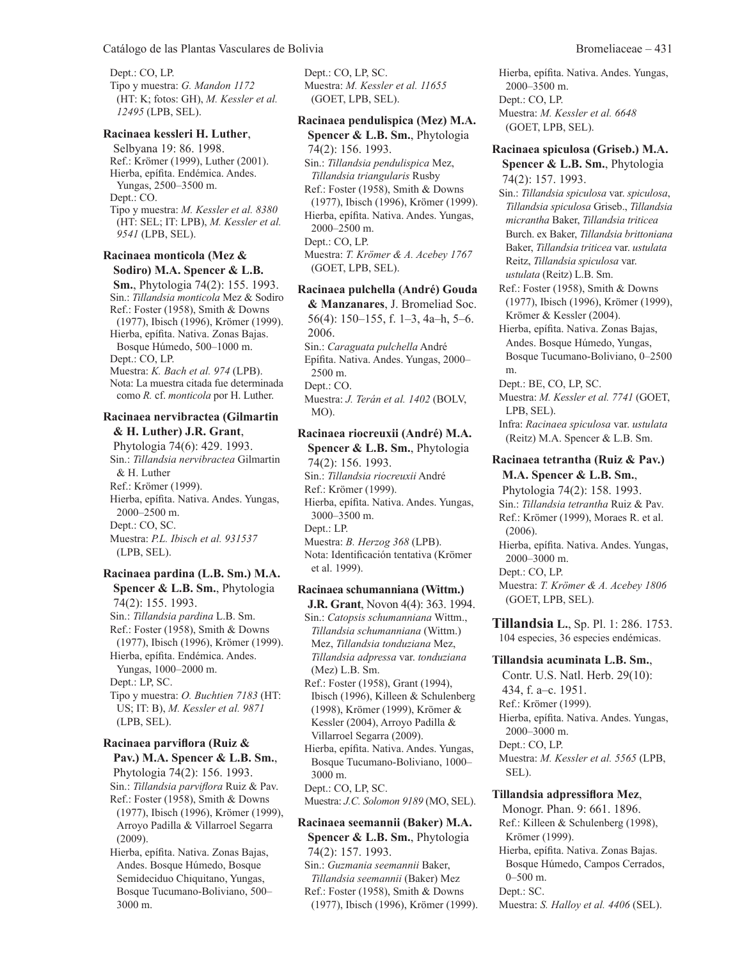Dept.: CO, LP. Tipo y muestra: *G. Mandon 1172* (HT: K; fotos: GH), *M. Kessler et al. 12495* (LPB, SEL).

#### **Racinaea kessleri H. Luther**,

Selbyana 19: 86. 1998. Ref.: Krömer (1999), Luther (2001). Hierba, epífita. Endémica. Andes. Yungas, 2500–3500 m. Dept.: CO. Tipo y muestra: *M. Kessler et al. 8380* (HT: SEL; IT: LPB), *M. Kessler et al. 9541* (LPB, SEL).

#### **Racinaea monticola (Mez & Sodiro) M.A. Spencer & L.B.**

**Sm.**, Phytologia 74(2): 155. 1993. Sin.: *Tillandsia monticola* Mez & Sodiro Ref.: Foster (1958), Smith & Downs (1977), Ibisch (1996), Krömer (1999). Hierba, epífita. Nativa. Zonas Bajas. Bosque Húmedo, 500–1000 m. Dept.: CO, LP. Muestra: *K. Bach et al. 974* (LPB). Nota: La muestra citada fue determinada como *R.* cf. *monticola* por H. Luther.

#### **Racinaea nervibractea (Gilmartin & H. Luther) J.R. Grant**,

Phytologia 74(6): 429. 1993. Sin.: *Tillandsia nervibractea* Gilmartin & H. Luther Ref.: Krömer (1999). Hierba, epífita. Nativa. Andes. Yungas, 2000–2500 m. Dept.: CO, SC. Muestra: *P.L. Ibisch et al. 931537* (LPB, SEL).

#### **Racinaea pardina (L.B. Sm.) M.A. Spencer & L.B. Sm.**, Phytologia

74(2): 155. 1993. Sin.: *Tillandsia pardina* L.B. Sm. Ref.: Foster (1958), Smith & Downs (1977), Ibisch (1996), Krömer (1999). Hierba, epífita. Endémica. Andes. Yungas, 1000–2000 m. Dept.: LP, SC. Tipo y muestra: *O. Buchtien 7183* (HT: US; IT: B), *M. Kessler et al. 9871* (LPB, SEL).

#### **Racinaea parviflora (Ruiz & Pav.) M.A. Spencer & L.B. Sm.**,

Phytologia 74(2): 156. 1993. Sin.: *Tillandsia parviflora* Ruiz & Pav. Ref.: Foster (1958), Smith & Downs (1977), Ibisch (1996), Krömer (1999), Arroyo Padilla & Villarroel Segarra (2009).

Hierba, epífita. Nativa. Zonas Bajas, Andes. Bosque Húmedo, Bosque Semideciduo Chiquitano, Yungas, Bosque Tucumano-Boliviano, 500– 3000 m.

Dept.: CO, LP, SC. Muestra: *M. Kessler et al. 11655* (GOET, LPB, SEL).

#### **Racinaea pendulispica (Mez) M.A.**

**Spencer & L.B. Sm.**, Phytologia 74(2): 156. 1993. Sin.: *Tillandsia pendulispica* Mez, *Tillandsia triangularis* Rusby Ref.: Foster (1958), Smith & Downs (1977), Ibisch (1996), Krömer (1999). Hierba, epífita. Nativa. Andes. Yungas, 2000–2500 m. Dept.: CO, LP. Muestra: *T. Krömer & A. Acebey 1767* (GOET, LPB, SEL).

# **Racinaea pulchella (André) Gouda**

**& Manzanares**, J. Bromeliad Soc. 56(4): 150–155, f. 1–3, 4a–h, 5–6. 2006. Sin.: *Caraguata pulchella* André Epífita. Nativa. Andes. Yungas, 2000– 2500 m. Dept.: CO. Muestra: *J. Terán et al. 1402* (BOLV, MO).

## **Racinaea riocreuxii (André) M.A.**

**Spencer & L.B. Sm.**, Phytologia 74(2): 156. 1993. Sin.: *Tillandsia riocreuxii* André Ref.: Krömer (1999). Hierba, epífita. Nativa. Andes. Yungas, 3000–3500 m. Dept.: LP. Muestra: *B. Herzog 368* (LPB). Nota: Identificación tentativa (Krömer et al. 1999).

# **Racinaea schumanniana (Wittm.)**

**J.R. Grant**, Novon 4(4): 363. 1994. Sin.: *Catopsis schumanniana* Wittm., *Tillandsia schumanniana* (Wittm.) Mez, *Tillandsia tonduziana* Mez, *Tillandsia adpressa* var. *tonduziana* (Mez) L.B. Sm.

Ref.: Foster (1958), Grant (1994), Ibisch (1996), Killeen & Schulenberg (1998), Krömer (1999), Krömer & Kessler (2004), Arroyo Padilla & Villarroel Segarra (2009).

Hierba, epífita. Nativa. Andes. Yungas, Bosque Tucumano-Boliviano, 1000– 3000 m.

Dept.: CO, LP, SC.

Muestra: *J.C. Solomon 9189* (MO, SEL).

## **Racinaea seemannii (Baker) M.A. Spencer & L.B. Sm.**, Phytologia 74(2): 157. 1993.

Sin.: *Guzmania seemannii* Baker, *Tillandsia seemannii* (Baker) Mez Ref.: Foster (1958), Smith & Downs (1977), Ibisch (1996), Krömer (1999). Hierba, epífita. Nativa. Andes. Yungas, 2000–3500 m. Dept.: CO, LP. Muestra: *M. Kessler et al. 6648* (GOET, LPB, SEL).

#### **Racinaea spiculosa (Griseb.) M.A.**

**Spencer & L.B. Sm.**, Phytologia 74(2): 157. 1993.

Sin.: *Tillandsia spiculosa* var. *spiculosa*, *Tillandsia spiculosa* Griseb., *Tillandsia micrantha* Baker, *Tillandsia triticea* Burch. ex Baker, *Tillandsia brittoniana* Baker, *Tillandsia triticea* var. *ustulata* Reitz, *Tillandsia spiculosa* var. *ustulata* (Reitz) L.B. Sm.

Ref.: Foster (1958), Smith & Downs (1977), Ibisch (1996), Krömer (1999), Krömer & Kessler (2004).

Hierba, epífita. Nativa. Zonas Bajas, Andes. Bosque Húmedo, Yungas, Bosque Tucumano-Boliviano, 0–2500 m.

Dept.: BE, CO, LP, SC.

Muestra: *M. Kessler et al. 7741* (GOET, LPB, SEL).

Infra: *Racinaea spiculosa* var. *ustulata* (Reitz) M.A. Spencer & L.B. Sm.

# **Racinaea tetrantha (Ruiz & Pav.)**

**M.A. Spencer & L.B. Sm.**, Phytologia 74(2): 158. 1993. Sin.: *Tillandsia tetrantha* Ruiz & Pav. Ref.: Krömer (1999), Moraes R. et al. (2006). Hierba, epífita. Nativa. Andes. Yungas, 2000–3000 m. Dept.: CO, LP. Muestra: *T. Krömer & A. Acebey 1806*

(GOET, LPB, SEL).

**Tillandsia L.**, Sp. Pl. 1: 286. 1753. 104 especies, 36 especies endémicas.

#### **Tillandsia acuminata L.B. Sm.**,

Contr. U.S. Natl. Herb. 29(10): 434, f. a–c. 1951. Ref.: Krömer (1999). Hierba, epífita. Nativa. Andes. Yungas, 2000–3000 m. Dept.: CO, LP. Muestra: *M. Kessler et al. 5565* (LPB, SEL).

#### **Tillandsia adpressiflora Mez**,

Monogr. Phan. 9: 661. 1896. Ref.: Killeen & Schulenberg (1998), Krömer (1999). Hierba, epífita. Nativa. Zonas Bajas. Bosque Húmedo, Campos Cerrados,  $0-500$  m. Dept.: SC. Muestra: *S. Halloy et al. 4406* (SEL).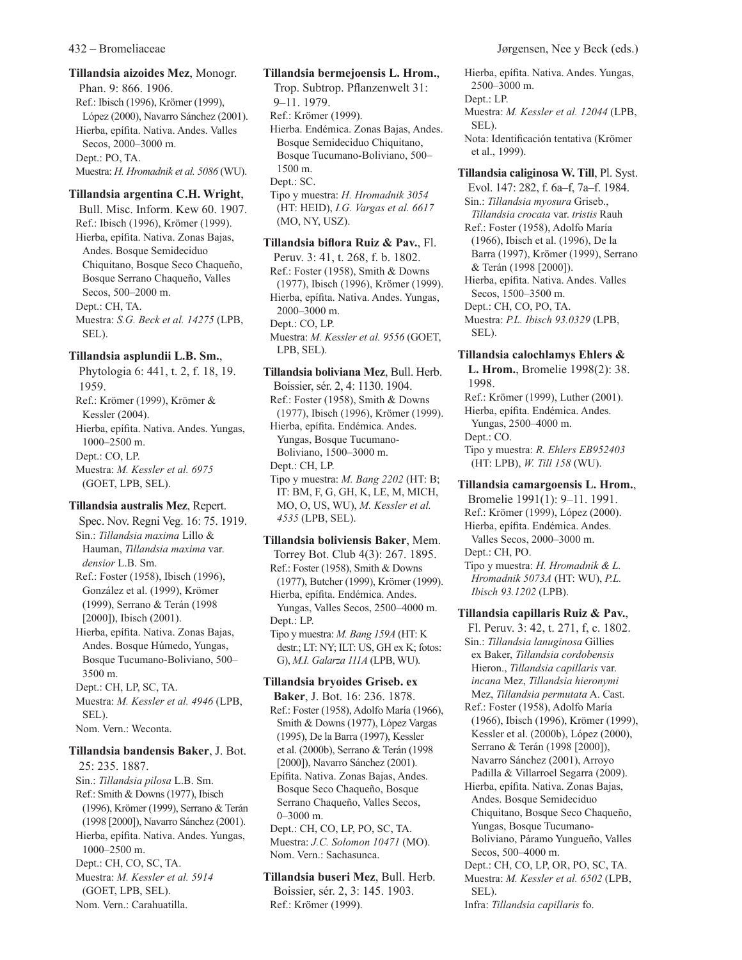**Tillandsia aizoides Mez**, Monogr. Phan. 9: 866. 1906. Ref.: Ibisch (1996), Krömer (1999), López (2000), Navarro Sánchez (2001). Hierba, epífita. Nativa. Andes. Valles Secos, 2000–3000 m. Dept.: PO, TA. Muestra: *H. Hromadnik et al. 5086* (WU).

#### **Tillandsia argentina C.H. Wright**,

Bull. Misc. Inform. Kew 60. 1907. Ref.: Ibisch (1996), Krömer (1999). Hierba, epífita. Nativa. Zonas Bajas, Andes. Bosque Semideciduo Chiquitano, Bosque Seco Chaqueño, Bosque Serrano Chaqueño, Valles Secos, 500–2000 m. Dept.: CH, TA. Muestra: *S.G. Beck et al. 14275* (LPB, SEL).

# **Tillandsia asplundii L.B. Sm.**,

Phytologia 6: 441, t. 2, f. 18, 19. 1959. Ref.: Krömer (1999), Krömer & Kessler (2004). Hierba, epífita. Nativa. Andes. Yungas, 1000–2500 m. Dept.: CO, LP. Muestra: *M. Kessler et al. 6975* (GOET, LPB, SEL).

# **Tillandsia australis Mez**, Repert.

Spec. Nov. Regni Veg. 16: 75. 1919. Sin.: *Tillandsia maxima* Lillo & Hauman, *Tillandsia maxima* var. *densior* L.B. Sm. Ref.: Foster (1958), Ibisch (1996), González et al. (1999), Krömer (1999), Serrano & Terán (1998 [2000]), Ibisch (2001). Hierba, epífita. Nativa. Zonas Bajas, Andes. Bosque Húmedo, Yungas, Bosque Tucumano-Boliviano, 500– 3500 m. Dept.: CH, LP, SC, TA. Muestra: *M. Kessler et al. 4946* (LPB, SEL). Nom. Vern.: Weconta.

# **Tillandsia bandensis Baker**, J. Bot.

25: 235. 1887. Sin.: *Tillandsia pilosa* L.B. Sm. Ref.: Smith & Downs (1977), Ibisch (1996), Krömer (1999), Serrano & Terán (1998 [2000]), Navarro Sánchez (2001). Hierba, epífita. Nativa. Andes. Yungas, 1000–2500 m. Dept.: CH, CO, SC, TA. Muestra: *M. Kessler et al. 5914* (GOET, LPB, SEL). Nom. Vern.: Carahuatilla.

**Tillandsia bermejoensis L. Hrom.**, Trop. Subtrop. Pflanzenwelt 31: 9–11. 1979. Ref.: Krömer (1999). Hierba. Endémica. Zonas Bajas, Andes. Bosque Semideciduo Chiquitano, Bosque Tucumano-Boliviano, 500– 1500 m. Dept.: SC. Tipo y muestra: *H. Hromadnik 3054* (HT: HEID), *I.G. Vargas et al. 6617* (MO, NY, USZ).

**Tillandsia biflora Ruiz & Pav.**, Fl. Peruv. 3: 41, t. 268, f. b. 1802. Ref.: Foster (1958), Smith & Downs (1977), Ibisch (1996), Krömer (1999). Hierba, epífita. Nativa. Andes. Yungas, 2000–3000 m. Dept.: CO, LP. Muestra: *M. Kessler et al. 9556* (GOET, LPB, SEL).

**Tillandsia boliviana Mez**, Bull. Herb. Boissier, sér. 2, 4: 1130. 1904. Ref.: Foster (1958), Smith & Downs (1977), Ibisch (1996), Krömer (1999). Hierba, epífita. Endémica. Andes. Yungas, Bosque Tucumano-Boliviano, 1500–3000 m. Dept.: CH, LP. Tipo y muestra: *M. Bang 2202* (HT: B; IT: BM, F, G, GH, K, LE, M, MICH, MO, O, US, WU), *M. Kessler et al. 4535* (LPB, SEL).

# **Tillandsia boliviensis Baker**, Mem.

Torrey Bot. Club 4(3): 267. 1895. Ref.: Foster (1958), Smith & Downs (1977), Butcher (1999), Krömer (1999). Hierba, epífita. Endémica. Andes. Yungas, Valles Secos, 2500–4000 m. Dept.: LP. Tipo y muestra: *M. Bang 159A* (HT: K destr.; LT: NY; ILT: US, GH ex K; fotos:

G), *M.I. Galarza 111A* (LPB, WU).

# **Tillandsia bryoides Griseb. ex**

**Baker**, J. Bot. 16: 236. 1878. Ref.: Foster (1958), Adolfo María (1966), Smith & Downs (1977), López Vargas (1995), De la Barra (1997), Kessler et al. (2000b), Serrano & Terán (1998 [2000]), Navarro Sánchez (2001). Epífita. Nativa. Zonas Bajas, Andes. Bosque Seco Chaqueño, Bosque Serrano Chaqueño, Valles Secos, 0–3000 m. Dept.: CH, CO, LP, PO, SC, TA. Muestra: *J.C. Solomon 10471* (MO). Nom. Vern.: Sachasunca.

**Tillandsia buseri Mez**, Bull. Herb. Boissier, sér. 2, 3: 145. 1903. Ref.: Krömer (1999).

Hierba, epífita. Nativa. Andes. Yungas, 2500–3000 m. Dept.: LP. Muestra: *M. Kessler et al. 12044* (LPB,

SEL).

Nota: Identificación tentativa (Krömer et al., 1999).

**Tillandsia caliginosa W. Till**, Pl. Syst. Evol. 147: 282, f. 6a–f, 7a–f. 1984. Sin.: *Tillandsia myosura* Griseb., *Tillandsia crocata* var. *tristis* Rauh Ref.: Foster (1958), Adolfo María (1966), Ibisch et al. (1996), De la Barra (1997), Krömer (1999), Serrano & Terán (1998 [2000]). Hierba, epífita. Nativa. Andes. Valles Secos, 1500–3500 m. Dept.: CH, CO, PO, TA. Muestra: *P.L. Ibisch 93.0329* (LPB, SEL).

# **Tillandsia calochlamys Ehlers &**

**L. Hrom.**, Bromelie 1998(2): 38. 1998. Ref.: Krömer (1999), Luther (2001). Hierba, epífita. Endémica. Andes. Yungas, 2500–4000 m. Dept.: CO. Tipo y muestra: *R. Ehlers EB952403* (HT: LPB), *W. Till 158* (WU).

**Tillandsia camargoensis L. Hrom.**, Bromelie 1991(1): 9–11. 1991. Ref.: Krömer (1999), López (2000). Hierba, epífita. Endémica. Andes. Valles Secos, 2000–3000 m. Dept.: CH, PO. Tipo y muestra: *H. Hromadnik & L. Hromadnik 5073A* (HT: WU), *P.L. Ibisch 93.1202* (LPB).

# **Tillandsia capillaris Ruiz & Pav.**,

Fl. Peruv. 3: 42, t. 271, f, c. 1802. Sin.: *Tillandsia lanuginosa* Gillies ex Baker, *Tillandsia cordobensis* Hieron., *Tillandsia capillaris* var. *incana* Mez, *Tillandsia hieronymi* Mez, *Tillandsia permutata* A. Cast.

Ref.: Foster (1958), Adolfo María (1966), Ibisch (1996), Krömer (1999), Kessler et al. (2000b), López (2000), Serrano & Terán (1998 [2000]), Navarro Sánchez (2001), Arroyo Padilla & Villarroel Segarra (2009).

Hierba, epífita. Nativa. Zonas Bajas, Andes. Bosque Semideciduo Chiquitano, Bosque Seco Chaqueño, Yungas, Bosque Tucumano-Boliviano, Páramo Yungueño, Valles Secos, 500–4000 m.

Dept.: CH, CO, LP, OR, PO, SC, TA. Muestra: *M. Kessler et al. 6502* (LPB, SEL).

Infra: *Tillandsia capillaris* fo.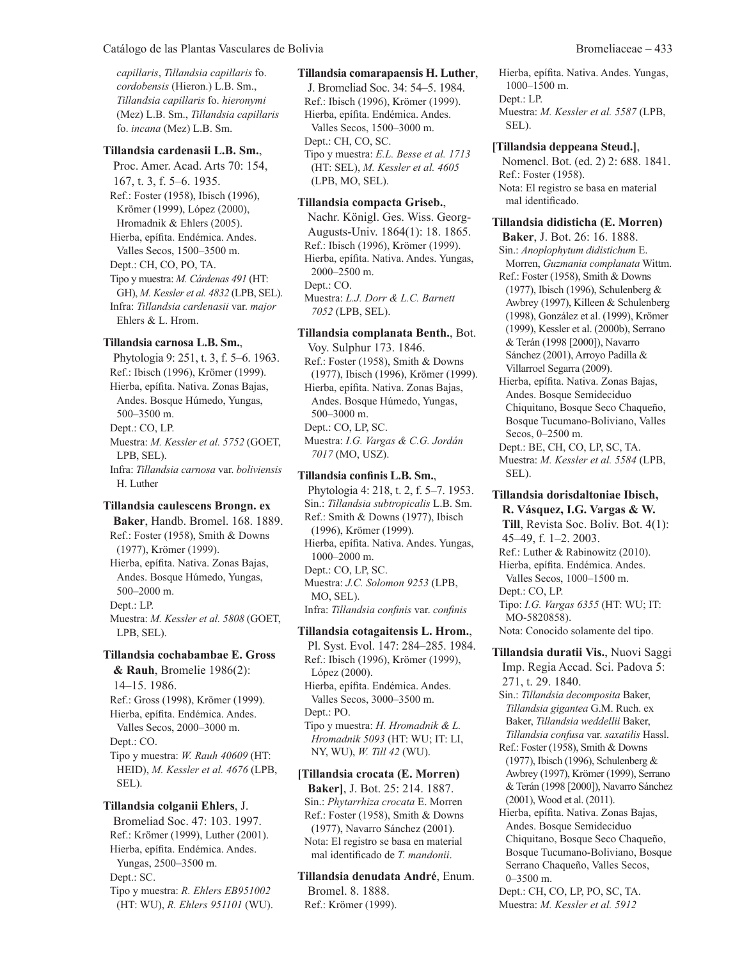*capillaris*, *Tillandsia capillaris* fo. *cordobensis* (Hieron.) L.B. Sm., *Tillandsia capillaris* fo. *hieronymi* (Mez) L.B. Sm., *Tillandsia capillaris* fo. *incana* (Mez) L.B. Sm.

# **Tillandsia cardenasii L.B. Sm.**,

Proc. Amer. Acad. Arts 70: 154, 167, t. 3, f. 5–6. 1935. Ref.: Foster (1958), Ibisch (1996), Krömer (1999), López (2000), Hromadnik & Ehlers (2005). Hierba, epífita. Endémica. Andes. Valles Secos, 1500–3500 m. Dept.: CH, CO, PO, TA. Tipo y muestra: *M. Cárdenas 491* (HT: GH), *M. Kessler et al. 4832* (LPB, SEL). Infra: *Tillandsia cardenasii* var. *major* Ehlers & L. Hrom.

#### **Tillandsia carnosa L.B. Sm.**,

Phytologia 9: 251, t. 3, f. 5–6. 1963. Ref.: Ibisch (1996), Krömer (1999). Hierba, epífita. Nativa. Zonas Bajas, Andes. Bosque Húmedo, Yungas, 500–3500 m. Dept.: CO, LP. Muestra: *M. Kessler et al. 5752* (GOET, LPB, SEL). Infra: *Tillandsia carnosa* var. *boliviensis* H. Luther

#### **Tillandsia caulescens Brongn. ex**

**Baker**, Handb. Bromel. 168. 1889. Ref.: Foster (1958), Smith & Downs (1977), Krömer (1999). Hierba, epífita. Nativa. Zonas Bajas, Andes. Bosque Húmedo, Yungas, 500–2000 m. Dept.: LP. Muestra: *M. Kessler et al. 5808* (GOET, LPB, SEL).

#### **Tillandsia cochabambae E. Gross**

**& Rauh**, Bromelie 1986(2): 14–15. 1986. Ref.: Gross (1998), Krömer (1999). Hierba, epífita. Endémica. Andes. Valles Secos, 2000–3000 m. Dept.: CO. Tipo y muestra: *W. Rauh 40609* (HT: HEID), *M. Kessler et al. 4676* (LPB, SEL).

# **Tillandsia colganii Ehlers**, J. Bromeliad Soc. 47: 103. 1997. Ref.: Krömer (1999), Luther (2001). Hierba, epífita. Endémica. Andes. Yungas, 2500–3500 m. Dept.: SC. Tipo y muestra: *R. Ehlers EB951002* (HT: WU), *R. Ehlers 951101* (WU).

#### **Tillandsia comarapaensis H. Luther**,

J. Bromeliad Soc. 34: 54–5. 1984. Ref.: Ibisch (1996), Krömer (1999). Hierba, epífita. Endémica. Andes. Valles Secos, 1500–3000 m. Dept.: CH, CO, SC. Tipo y muestra: *E.L. Besse et al. 1713* (HT: SEL), *M. Kessler et al. 4605* (LPB, MO, SEL).

#### **Tillandsia compacta Griseb.**,

Nachr. Königl. Ges. Wiss. Georg-Augusts-Univ. 1864(1): 18. 1865. Ref.: Ibisch (1996), Krömer (1999). Hierba, epífita. Nativa. Andes. Yungas, 2000–2500 m. Dept.: CO. Muestra: *L.J. Dorr & L.C. Barnett 7052* (LPB, SEL).

## **Tillandsia complanata Benth.**, Bot.

Voy. Sulphur 173. 1846. Ref.: Foster (1958), Smith & Downs (1977), Ibisch (1996), Krömer (1999). Hierba, epífita. Nativa. Zonas Bajas, Andes. Bosque Húmedo, Yungas, 500–3000 m. Dept.: CO, LP, SC. Muestra: *I.G. Vargas & C.G. Jordán 7017* (MO, USZ).

#### **Tillandsia confinis L.B. Sm.**,

Phytologia 4: 218, t. 2, f. 5–7. 1953. Sin.: *Tillandsia subtropicalis* L.B. Sm. Ref.: Smith & Downs (1977), Ibisch (1996), Krömer (1999). Hierba, epífita. Nativa. Andes. Yungas, 1000–2000 m. Dept.: CO, LP, SC. Muestra: *J.C. Solomon 9253* (LPB, MO, SEL). Infra: *Tillandsia confinis* var. *confinis* **Tillandsia cotagaitensis L. Hrom.**,

Pl. Syst. Evol. 147: 284–285. 1984. Ref.: Ibisch (1996), Krömer (1999), López (2000). Hierba, epífita. Endémica. Andes. Valles Secos, 3000–3500 m. Dept.: PO. Tipo y muestra: *H. Hromadnik & L. Hromadnik 5093* (HT: WU; IT: LI, NY, WU), *W. Till 42* (WU).

# **[Tillandsia crocata (E. Morren)**

**Baker]**, J. Bot. 25: 214. 1887. Sin.: *Phytarrhiza crocata* E. Morren Ref.: Foster (1958), Smith & Downs (1977), Navarro Sánchez (2001). Nota: El registro se basa en material mal identificado de *T. mandonii*.

**Tillandsia denudata André**, Enum. Bromel. 8. 1888. Ref.: Krömer (1999).

Hierba, epífita. Nativa. Andes. Yungas, 1000–1500 m. Dept.: LP. Muestra: *M. Kessler et al. 5587* (LPB, SEL).

#### **[Tillandsia deppeana Steud.]**,

Nomencl. Bot. (ed. 2) 2: 688. 1841. Ref.: Foster (1958). Nota: El registro se basa en material mal identificado.

#### **Tillandsia didisticha (E. Morren)**

**Baker**, J. Bot. 26: 16. 1888. Sin.: *Anoplophytum didistichum* E. Morren, *Guzmania complanata* Wittm. Ref.: Foster (1958), Smith & Downs (1977), Ibisch (1996), Schulenberg & Awbrey (1997), Killeen & Schulenberg (1998), González et al. (1999), Krömer (1999), Kessler et al. (2000b), Serrano & Terán (1998 [2000]), Navarro Sánchez (2001), Arroyo Padilla & Villarroel Segarra (2009).

Hierba, epífita. Nativa. Zonas Bajas, Andes. Bosque Semideciduo Chiquitano, Bosque Seco Chaqueño, Bosque Tucumano-Boliviano, Valles Secos, 0–2500 m.

Dept.: BE, CH, CO, LP, SC, TA. Muestra: *M. Kessler et al. 5584* (LPB, SEL).

#### **Tillandsia dorisdaltoniae Ibisch, R. Vásquez, I.G. Vargas & W.**

**Till**, Revista Soc. Boliv. Bot. 4(1): 45–49, f. 1–2. 2003. Ref.: Luther & Rabinowitz (2010). Hierba, epífita. Endémica. Andes. Valles Secos, 1000–1500 m. Dept.: CO, LP. Tipo: *I.G. Vargas 6355* (HT: WU; IT: MO-5820858). Nota: Conocido solamente del tipo.

**Tillandsia duratii Vis.**, Nuovi Saggi Imp. Regia Accad. Sci. Padova 5: 271, t. 29. 1840.

Sin.: *Tillandsia decomposita* Baker, *Tillandsia gigantea* G.M. Ruch. ex Baker, *Tillandsia weddellii* Baker, *Tillandsia confusa* var. *saxatilis* Hassl.

Ref.: Foster (1958), Smith & Downs (1977), Ibisch (1996), Schulenberg & Awbrey (1997), Krömer (1999), Serrano & Terán (1998 [2000]), Navarro Sánchez (2001), Wood et al. (2011).

Hierba, epífita. Nativa. Zonas Bajas, Andes. Bosque Semideciduo Chiquitano, Bosque Seco Chaqueño, Bosque Tucumano-Boliviano, Bosque Serrano Chaqueño, Valles Secos, 0–3500 m.

Dept.: CH, CO, LP, PO, SC, TA. Muestra: *M. Kessler et al. 5912*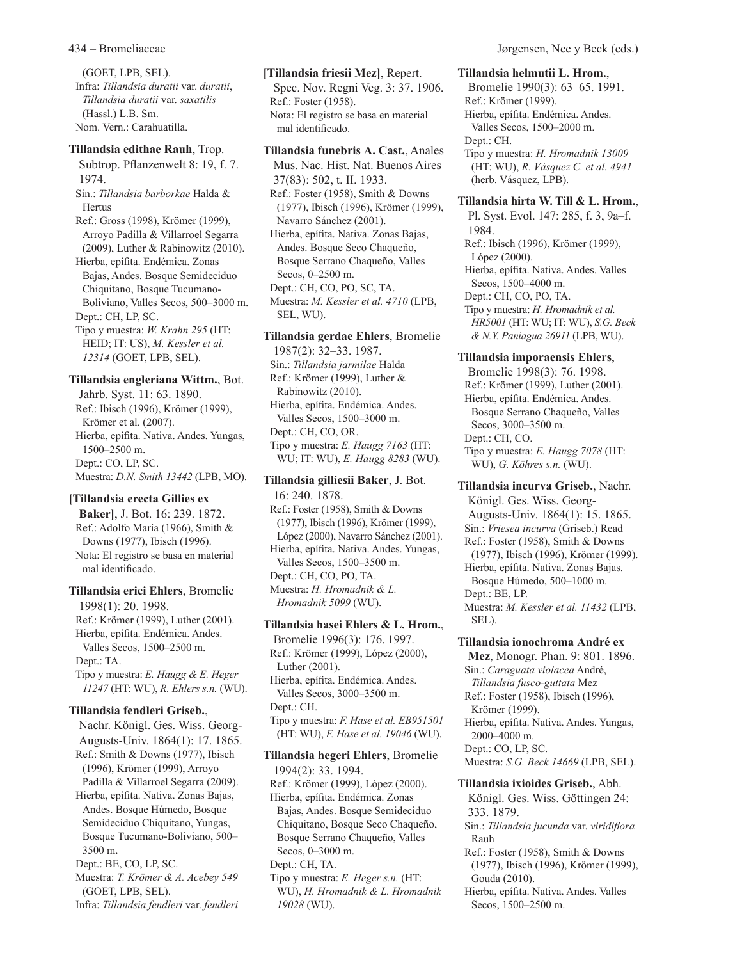(GOET, LPB, SEL). Infra: *Tillandsia duratii* var. *duratii*, *Tillandsia duratii* var. *saxatilis* (Hassl.) L.B. Sm. Nom. Vern.: Carahuatilla.

#### **Tillandsia edithae Rauh**, Trop.

Subtrop. Pflanzenwelt 8: 19, f. 7. 1974. Sin.: *Tillandsia barborkae* Halda & Hertus

Ref.: Gross (1998), Krömer (1999), Arroyo Padilla & Villarroel Segarra (2009), Luther & Rabinowitz (2010).

Hierba, epífita. Endémica. Zonas Bajas, Andes. Bosque Semideciduo Chiquitano, Bosque Tucumano-Boliviano, Valles Secos, 500–3000 m.

Dept.: CH, LP, SC. Tipo y muestra: *W. Krahn 295* (HT: HEID; IT: US), *M. Kessler et al. 12314* (GOET, LPB, SEL).

#### **Tillandsia engleriana Wittm.**, Bot.

Jahrb. Syst. 11: 63. 1890. Ref.: Ibisch (1996), Krömer (1999), Krömer et al. (2007). Hierba, epífita. Nativa. Andes. Yungas, 1500–2500 m. Dept.: CO, LP, SC. Muestra: *D.N. Smith 13442* (LPB, MO).

#### **[Tillandsia erecta Gillies ex**

**Baker]**, J. Bot. 16: 239. 1872. Ref.: Adolfo María (1966), Smith & Downs (1977), Ibisch (1996). Nota: El registro se basa en material mal identificado.

## **Tillandsia erici Ehlers**, Bromelie 1998(1): 20. 1998. Ref.: Krömer (1999), Luther (2001). Hierba, epífita. Endémica. Andes. Valles Secos, 1500–2500 m. Dept.: TA. Tipo y muestra: *E. Haugg & E. Heger 11247* (HT: WU), *R. Ehlers s.n.* (WU).

#### **Tillandsia fendleri Griseb.**,

Nachr. Königl. Ges. Wiss. Georg-Augusts-Univ. 1864(1): 17. 1865. Ref.: Smith & Downs (1977), Ibisch (1996), Krömer (1999), Arroyo Padilla & Villarroel Segarra (2009). Hierba, epífita. Nativa. Zonas Bajas, Andes. Bosque Húmedo, Bosque Semideciduo Chiquitano, Yungas, Bosque Tucumano-Boliviano, 500– 3500 m. Dept.: BE, CO, LP, SC. Muestra: *T. Krömer & A. Acebey 549*

(GOET, LPB, SEL). Infra: *Tillandsia fendleri* var. *fendleri*

#### **[Tillandsia friesii Mez]**, Repert.

Spec. Nov. Regni Veg. 3: 37. 1906. Ref.: Foster (1958). Nota: El registro se basa en material mal identificado.

# **Tillandsia funebris A. Cast.**, Anales

Mus. Nac. Hist. Nat. Buenos Aires 37(83): 502, t. II. 1933. Ref.: Foster (1958), Smith & Downs (1977), Ibisch (1996), Krömer (1999), Navarro Sánchez (2001). Hierba, epífita. Nativa. Zonas Bajas, Andes. Bosque Seco Chaqueño, Bosque Serrano Chaqueño, Valles Secos, 0–2500 m. Dept.: CH, CO, PO, SC, TA. Muestra: *M. Kessler et al. 4710* (LPB, SEL, WU).

#### **Tillandsia gerdae Ehlers**, Bromelie

1987(2): 32–33. 1987. Sin.: *Tillandsia jarmilae* Halda Ref.: Krömer (1999), Luther & Rabinowitz (2010). Hierba, epífita. Endémica. Andes. Valles Secos, 1500–3000 m. Dept.: CH, CO, OR. Tipo y muestra: *E. Haugg 7163* (HT: WU; IT: WU), *E. Haugg 8283* (WU).

# **Tillandsia gilliesii Baker**, J. Bot. 16: 240. 1878.

Ref.: Foster (1958), Smith & Downs (1977), Ibisch (1996), Krömer (1999), López (2000), Navarro Sánchez (2001). Hierba, epífita. Nativa. Andes. Yungas, Valles Secos, 1500–3500 m. Dept.: CH, CO, PO, TA. Muestra: *H. Hromadnik & L. Hromadnik 5099* (WU).

#### **Tillandsia hasei Ehlers & L. Hrom.**,

Bromelie 1996(3): 176. 1997. Ref.: Krömer (1999), López (2000), Luther (2001). Hierba, epífita. Endémica. Andes. Valles Secos, 3000–3500 m. Dept.: CH. Tipo y muestra: *F. Hase et al. EB951501* (HT: WU), *F. Hase et al. 19046* (WU).

### **Tillandsia hegeri Ehlers**, Bromelie 1994(2): 33. 1994. Ref.: Krömer (1999), López (2000). Hierba, epífita. Endémica. Zonas Bajas, Andes. Bosque Semideciduo Chiquitano, Bosque Seco Chaqueño, Bosque Serrano Chaqueño, Valles Secos, 0–3000 m. Dept.: CH, TA.

Tipo y muestra: *E. Heger s.n.* (HT: WU), *H. Hromadnik & L. Hromadnik 19028* (WU).

#### 434 – Bromeliaceae Jørgensen, Nee y Beck (eds.)

# **Tillandsia helmutii L. Hrom.**,

Bromelie 1990(3): 63–65. 1991. Ref.: Krömer (1999). Hierba, epífita. Endémica. Andes. Valles Secos, 1500–2000 m. Dept.: CH. Tipo y muestra: *H. Hromadnik 13009* (HT: WU), *R. Vásquez C. et al. 4941* (herb. Vásquez, LPB).

#### **Tillandsia hirta W. Till & L. Hrom.**,

Pl. Syst. Evol. 147: 285, f. 3, 9a–f. 1984.

Ref.: Ibisch (1996), Krömer (1999), López (2000). Hierba, epífita. Nativa. Andes. Valles Secos, 1500–4000 m.

Dept.: CH, CO, PO, TA.

Tipo y muestra: *H. Hromadnik et al. HR5001* (HT: WU; IT: WU), *S.G. Beck & N.Y. Paniagua 26911* (LPB, WU).

# **Tillandsia imporaensis Ehlers**,

Bromelie 1998(3): 76. 1998. Ref.: Krömer (1999), Luther (2001). Hierba, epífita. Endémica. Andes. Bosque Serrano Chaqueño, Valles Secos, 3000–3500 m. Dept.: CH, CO.

Tipo y muestra: *E. Haugg 7078* (HT: WU), *G. Köhres s.n.* (WU).

# **Tillandsia incurva Griseb.**, Nachr. Königl. Ges. Wiss. Georg-Augusts-Univ. 1864(1): 15. 1865. Sin.: *Vriesea incurva* (Griseb.) Read Ref.: Foster (1958), Smith & Downs (1977), Ibisch (1996), Krömer (1999). Hierba, epífita. Nativa. Zonas Bajas. Bosque Húmedo, 500–1000 m.

Dept.: BE, LP. Muestra: *M. Kessler et al. 11432* (LPB, SEL).

#### **Tillandsia ionochroma André ex**

**Mez**, Monogr. Phan. 9: 801. 1896. Sin.: *Caraguata violacea* André, *Tillandsia fusco-guttata* Mez Ref.: Foster (1958), Ibisch (1996), Krömer (1999). Hierba, epífita. Nativa. Andes. Yungas, 2000–4000 m.

Dept.: CO, LP, SC.

Muestra: *S.G. Beck 14669* (LPB, SEL).

# **Tillandsia ixioides Griseb.**, Abh.

Königl. Ges. Wiss. Göttingen 24: 333. 1879.

- Sin.: *Tillandsia jucunda* var. *viridiflora* Rauh
- Ref.: Foster (1958), Smith & Downs (1977), Ibisch (1996), Krömer (1999), Gouda (2010).
- Hierba, epífita. Nativa. Andes. Valles Secos, 1500–2500 m.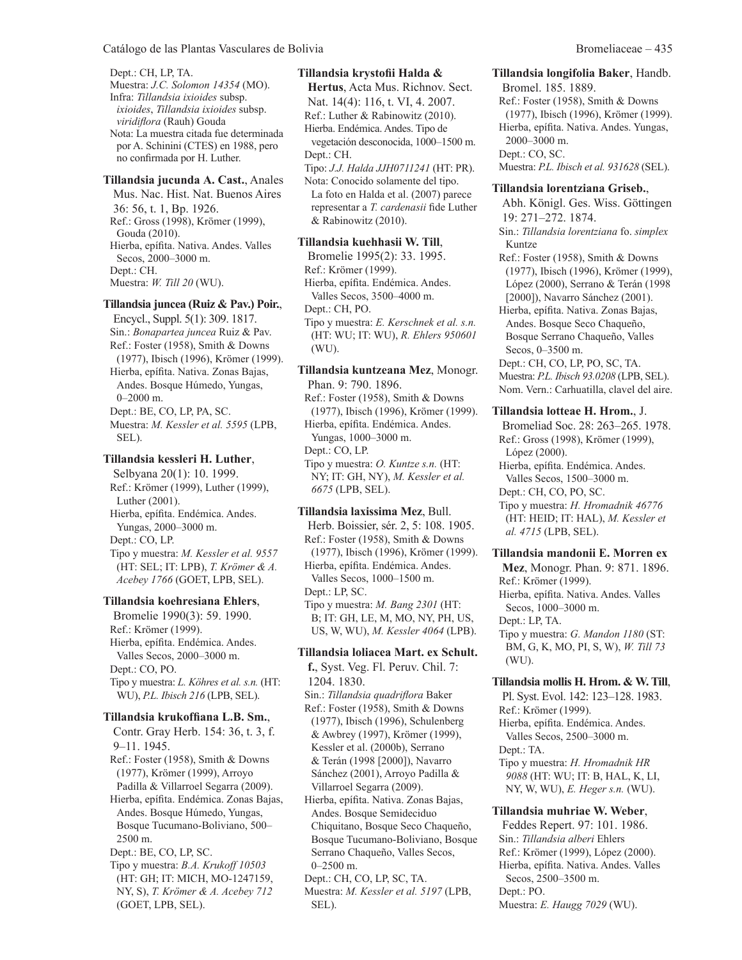Dept.: CH, LP, TA. Muestra: *J.C. Solomon 14354* (MO). Infra: *Tillandsia ixioides* subsp. *ixioides*, *Tillandsia ixioides* subsp. *viridiflora* (Rauh) Gouda Nota: La muestra citada fue determinada por A. Schinini (CTES) en 1988, pero no confirmada por H. Luther.

#### **Tillandsia jucunda A. Cast.**, Anales

Mus. Nac. Hist. Nat. Buenos Aires 36: 56, t. 1, Bp. 1926. Ref.: Gross (1998), Krömer (1999), Gouda (2010). Hierba, epífita. Nativa. Andes. Valles Secos, 2000–3000 m. Dept.: CH. Muestra: *W. Till 20* (WU).

#### **Tillandsia juncea (Ruiz & Pav.) Poir.**,

Encycl., Suppl. 5(1): 309. 1817. Sin.: *Bonapartea juncea* Ruiz & Pav. Ref.: Foster (1958), Smith & Downs (1977), Ibisch (1996), Krömer (1999). Hierba, epífita. Nativa. Zonas Bajas, Andes. Bosque Húmedo, Yungas, 0–2000 m. Dept.: BE, CO, LP, PA, SC. Muestra: *M. Kessler et al. 5595* (LPB, SEL).

#### **Tillandsia kessleri H. Luther**,

Selbyana 20(1): 10. 1999. Ref.: Krömer (1999), Luther (1999), Luther (2001). Hierba, epífita. Endémica. Andes. Yungas, 2000–3000 m. Dept.: CO, LP. Tipo y muestra: *M. Kessler et al. 9557* (HT: SEL; IT: LPB), *T. Krömer & A. Acebey 1766* (GOET, LPB, SEL).

## **Tillandsia koehresiana Ehlers**,

Bromelie 1990(3): 59. 1990. Ref.: Krömer (1999). Hierba, epífita. Endémica. Andes. Valles Secos, 2000–3000 m. Dept.: CO, PO. Tipo y muestra: *L. Köhres et al. s.n.* (HT: WU), *P.L. Ibisch 216* (LPB, SEL).

#### **Tillandsia krukoffiana L.B. Sm.**,

Contr. Gray Herb. 154: 36, t. 3, f. 9–11. 1945. Ref.: Foster (1958), Smith & Downs (1977), Krömer (1999), Arroyo Padilla & Villarroel Segarra (2009). Hierba, epífita. Endémica. Zonas Bajas, Andes. Bosque Húmedo, Yungas, Bosque Tucumano-Boliviano, 500– 2500 m. Dept.: BE, CO, LP, SC. Tipo y muestra: *B.A. Krukoff 10503*

(HT: GH; IT: MICH, MO-1247159, NY, S), *T. Krömer & A. Acebey 712* (GOET, LPB, SEL).

#### **Tillandsia krystofii Halda &**

**Hertus**, Acta Mus. Richnov. Sect. Nat. 14(4): 116, t. VI, 4. 2007. Ref.: Luther & Rabinowitz (2010). Hierba. Endémica. Andes. Tipo de vegetación desconocida, 1000–1500 m. Dept.: CH.

Tipo: *J.J. Halda JJH0711241* (HT: PR).

Nota: Conocido solamente del tipo. La foto en Halda et al. (2007) parece representar a *T. cardenasii* fide Luther & Rabinowitz (2010).

#### **Tillandsia kuehhasii W. Till**,

Bromelie 1995(2): 33. 1995. Ref.: Krömer (1999). Hierba, epífita. Endémica. Andes. Valles Secos, 3500–4000 m. Dept.: CH, PO. Tipo y muestra: *E. Kerschnek et al. s.n.* (HT: WU; IT: WU), *R. Ehlers 950601*

(WU).

# **Tillandsia kuntzeana Mez**, Monogr. Phan. 9: 790. 1896. Ref.: Foster (1958), Smith & Downs (1977), Ibisch (1996), Krömer (1999). Hierba, epífita. Endémica. Andes.

Yungas, 1000–3000 m. Dept.: CO, LP. Tipo y muestra: *O. Kuntze s.n.* (HT: NY; IT: GH, NY), *M. Kessler et al. 6675* (LPB, SEL).

#### **Tillandsia laxissima Mez**, Bull. Herb. Boissier, sér. 2, 5: 108. 1905. Ref.: Foster (1958), Smith & Downs (1977), Ibisch (1996), Krömer (1999). Hierba, epífita. Endémica. Andes. Valles Secos, 1000–1500 m. Dept.: LP, SC. Tipo y muestra: *M. Bang 2301* (HT: B; IT: GH, LE, M, MO, NY, PH, US, US, W, WU), *M. Kessler 4064* (LPB).

#### **Tillandsia loliacea Mart. ex Schult.**

**f.**, Syst. Veg. Fl. Peruv. Chil. 7: 1204. 1830. Sin.: *Tillandsia quadriflora* Baker Ref.: Foster (1958), Smith & Downs (1977), Ibisch (1996), Schulenberg & Awbrey (1997), Krömer (1999), Kessler et al. (2000b), Serrano & Terán (1998 [2000]), Navarro Sánchez (2001), Arroyo Padilla & Villarroel Segarra (2009).

Hierba, epífita. Nativa. Zonas Bajas, Andes. Bosque Semideciduo Chiquitano, Bosque Seco Chaqueño, Bosque Tucumano-Boliviano, Bosque Serrano Chaqueño, Valles Secos, 0–2500 m.

Dept.: CH, CO, LP, SC, TA.

Muestra: *M. Kessler et al. 5197* (LPB, SEL).

# **Tillandsia longifolia Baker**, Handb.

Bromel. 185. 1889. Ref.: Foster (1958), Smith & Downs (1977), Ibisch (1996), Krömer (1999). Hierba, epífita. Nativa. Andes. Yungas, 2000–3000 m. Dept.: CO, SC. Muestra: *P.L. Ibisch et al. 931628* (SEL).

#### **Tillandsia lorentziana Griseb.**,

Abh. Königl. Ges. Wiss. Göttingen 19: 271–272. 1874. Sin.: *Tillandsia lorentziana* fo. *simplex* Kuntze

Ref.: Foster (1958), Smith & Downs (1977), Ibisch (1996), Krömer (1999), López (2000), Serrano & Terán (1998 [2000]), Navarro Sánchez (2001).

Hierba, epífita. Nativa. Zonas Bajas, Andes. Bosque Seco Chaqueño, Bosque Serrano Chaqueño, Valles Secos, 0–3500 m.

Dept.: CH, CO, LP, PO, SC, TA.

Muestra: *P.L. Ibisch 93.0208* (LPB, SEL). Nom. Vern.: Carhuatilla, clavel del aire.

# **Tillandsia lotteae H. Hrom.**, J.

Bromeliad Soc. 28: 263–265. 1978. Ref.: Gross (1998), Krömer (1999), López (2000). Hierba, epífita. Endémica. Andes.

Valles Secos, 1500–3000 m.

Dept.: CH, CO, PO, SC.

Tipo y muestra: *H. Hromadnik 46776* (HT: HEID; IT: HAL), *M. Kessler et al. 4715* (LPB, SEL).

### **Tillandsia mandonii E. Morren ex**

**Mez**, Monogr. Phan. 9: 871. 1896. Ref.: Krömer (1999). Hierba, epífita. Nativa. Andes. Valles Secos, 1000–3000 m. Dept.: LP, TA. Tipo y muestra: *G. Mandon 1180* (ST: BM, G, K, MO, PI, S, W), *W. Till 73* (WU).

**Tillandsia mollis H. Hrom. & W. Till**, Pl. Syst. Evol. 142: 123–128. 1983. Ref.: Krömer (1999).

Hierba, epífita. Endémica. Andes. Valles Secos, 2500–3000 m.

Dept.: TA.

Tipo y muestra: *H. Hromadnik HR 9088* (HT: WU; IT: B, HAL, K, LI, NY, W, WU), *E. Heger s.n.* (WU).

# **Tillandsia muhriae W. Weber**,

Feddes Repert. 97: 101. 1986. Sin.: *Tillandsia alberi* Ehlers Ref.: Krömer (1999), López (2000). Hierba, epífita. Nativa. Andes. Valles Secos, 2500–3500 m. Dept.: PO. Muestra: *E. Haugg 7029* (WU).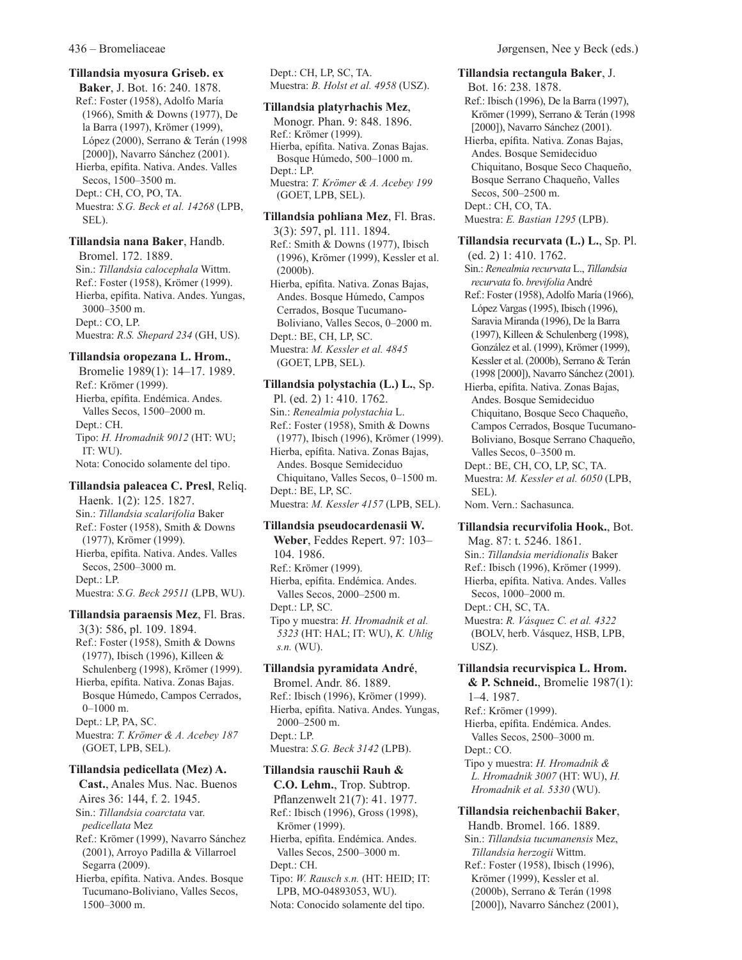#### **Tillandsia myosura Griseb. ex**

**Baker**, J. Bot. 16: 240. 1878. Ref.: Foster (1958), Adolfo María (1966), Smith & Downs (1977), De la Barra (1997), Krömer (1999), López (2000), Serrano & Terán (1998 [2000]), Navarro Sánchez (2001). Hierba, epífita. Nativa. Andes. Valles Secos, 1500–3500 m. Dept.: CH, CO, PO, TA. Muestra: *S.G. Beck et al. 14268* (LPB, SEL).

**Tillandsia nana Baker**, Handb. Bromel. 172. 1889. Sin.: *Tillandsia calocephala* Wittm. Ref.: Foster (1958), Krömer (1999). Hierba, epífita. Nativa. Andes. Yungas, 3000–3500 m. Dept.: CO, LP. Muestra: *R.S. Shepard 234* (GH, US).

#### **Tillandsia oropezana L. Hrom.**,

Bromelie 1989(1): 14–17. 1989. Ref.: Krömer (1999). Hierba, epífita. Endémica. Andes. Valles Secos, 1500–2000 m. Dept.: CH. Tipo: *H. Hromadnik 9012* (HT: WU; IT: WU). Nota: Conocido solamente del tipo.

**Tillandsia paleacea C. Presl**, Reliq. Haenk. 1(2): 125. 1827. Sin.: *Tillandsia scalarifolia* Baker Ref.: Foster (1958), Smith & Downs (1977), Krömer (1999). Hierba, epífita. Nativa. Andes. Valles Secos, 2500–3000 m. Dept.: LP. Muestra: *S.G. Beck 29511* (LPB, WU).

**Tillandsia paraensis Mez**, Fl. Bras. 3(3): 586, pl. 109. 1894. Ref.: Foster (1958), Smith & Downs (1977), Ibisch (1996), Killeen & Schulenberg (1998), Krömer (1999). Hierba, epífita. Nativa. Zonas Bajas. Bosque Húmedo, Campos Cerrados, 0–1000 m. Dept.: LP, PA, SC. Muestra: *T. Krömer & A. Acebey 187* (GOET, LPB, SEL).

#### **Tillandsia pedicellata (Mez) A.**

**Cast.**, Anales Mus. Nac. Buenos Aires 36: 144, f. 2. 1945. Sin.: *Tillandsia coarctata* var. *pedicellata* Mez Ref.: Krömer (1999), Navarro Sánchez (2001), Arroyo Padilla & Villarroel Segarra (2009). Hierba, epífita. Nativa. Andes. Bosque Tucumano-Boliviano, Valles Secos, 1500–3000 m.

Dept.: CH, LP, SC, TA. Muestra: *B. Holst et al. 4958* (USZ).

#### **Tillandsia platyrhachis Mez**,

Monogr. Phan. 9: 848. 1896. Ref.: Krömer (1999). Hierba, epífita. Nativa. Zonas Bajas. Bosque Húmedo, 500–1000 m. Dept.: LP. Muestra: *T. Krömer & A. Acebey 199* (GOET, LPB, SEL).

**Tillandsia pohliana Mez**, Fl. Bras. 3(3): 597, pl. 111. 1894. Ref.: Smith & Downs (1977), Ibisch (1996), Krömer (1999), Kessler et al. (2000b). Hierba, epífita. Nativa. Zonas Bajas, Andes. Bosque Húmedo, Campos Cerrados, Bosque Tucumano-Boliviano, Valles Secos, 0–2000 m. Dept.: BE, CH, LP, SC. Muestra: *M. Kessler et al. 4845* (GOET, LPB, SEL).

#### **Tillandsia polystachia (L.) L.**, Sp.

Pl. (ed. 2) 1: 410. 1762. Sin.: *Renealmia polystachia* L. Ref.: Foster (1958), Smith & Downs (1977), Ibisch (1996), Krömer (1999). Hierba, epífita. Nativa. Zonas Bajas, Andes. Bosque Semideciduo Chiquitano, Valles Secos, 0–1500 m. Dept.: BE, LP, SC. Muestra: *M. Kessler 4157* (LPB, SEL).

#### **Tillandsia pseudocardenasii W.**

**Weber**, Feddes Repert. 97: 103– 104. 1986. Ref.: Krömer (1999). Hierba, epífita. Endémica. Andes. Valles Secos, 2000–2500 m. Dept.: LP, SC. Tipo y muestra: *H. Hromadnik et al. 5323* (HT: HAL; IT: WU), *K. Uhlig s.n.* (WU).

#### **Tillandsia pyramidata André**,

Bromel. Andr. 86. 1889. Ref.: Ibisch (1996), Krömer (1999). Hierba, epífita. Nativa. Andes. Yungas, 2000–2500 m. Dept.: LP. Muestra: *S.G. Beck 3142* (LPB).

#### **Tillandsia rauschii Rauh &**

**C.O. Lehm.**, Trop. Subtrop. Pflanzenwelt 21(7): 41. 1977. Ref.: Ibisch (1996), Gross (1998), Krömer (1999). Hierba, epífita. Endémica. Andes. Valles Secos, 2500–3000 m. Dept.: CH. Tipo: *W. Rausch s.n.* (HT: HEID; IT: LPB, MO-04893053, WU). Nota: Conocido solamente del tipo.

#### **Tillandsia rectangula Baker**, J.

Bot. 16: 238. 1878. Ref.: Ibisch (1996), De la Barra (1997), Krömer (1999), Serrano & Terán (1998 [2000]), Navarro Sánchez (2001). Hierba, epífita. Nativa. Zonas Bajas, Andes. Bosque Semideciduo Chiquitano, Bosque Seco Chaqueño, Bosque Serrano Chaqueño, Valles Secos, 500–2500 m. Dept.: CH, CO, TA.

Muestra: *E. Bastian 1295* (LPB).

**Tillandsia recurvata (L.) L.**, Sp. Pl. (ed. 2) 1: 410. 1762. Sin.: *Renealmia recurvata* L., *Tillandsia* 

*recurvata* fo. *brevifolia* André Ref.: Foster (1958), Adolfo María (1966), López Vargas (1995), Ibisch (1996), Saravia Miranda (1996), De la Barra (1997), Killeen & Schulenberg (1998), González et al. (1999), Krömer (1999),

Kessler et al. (2000b), Serrano & Terán (1998 [2000]), Navarro Sánchez (2001). Hierba, epífita. Nativa. Zonas Bajas, Andes. Bosque Semideciduo Chiquitano, Bosque Seco Chaqueño, Campos Cerrados, Bosque Tucumano-Boliviano, Bosque Serrano Chaqueño, Valles Secos, 0–3500 m. Dept.: BE, CH, CO, LP, SC, TA. Muestra: *M. Kessler et al. 6050* (LPB, SEL). Nom. Vern.: Sachasunca.

# **Tillandsia recurvifolia Hook.**, Bot.

Mag. 87: t. 5246. 1861. Sin.: *Tillandsia meridionalis* Baker Ref.: Ibisch (1996), Krömer (1999). Hierba, epífita. Nativa. Andes. Valles Secos, 1000–2000 m. Dept.: CH, SC, TA. Muestra: *R. Vásquez C. et al. 4322* (BOLV, herb. Vásquez, HSB, LPB, USZ).

**Tillandsia recurvispica L. Hrom. & P. Schneid.**, Bromelie 1987(1): 1–4. 1987. Ref.: Krömer (1999). Hierba, epífita. Endémica. Andes. Valles Secos, 2500–3000 m. Dept.: CO. Tipo y muestra: *H. Hromadnik &* 

*L. Hromadnik 3007* (HT: WU), *H. Hromadnik et al. 5330* (WU).

# **Tillandsia reichenbachii Baker**, Handb. Bromel. 166. 1889.

Sin.: *Tillandsia tucumanensis* Mez, *Tillandsia herzogii* Wittm. Ref.: Foster (1958), Ibisch (1996), Krömer (1999), Kessler et al. (2000b), Serrano & Terán (1998 [2000]), Navarro Sánchez (2001),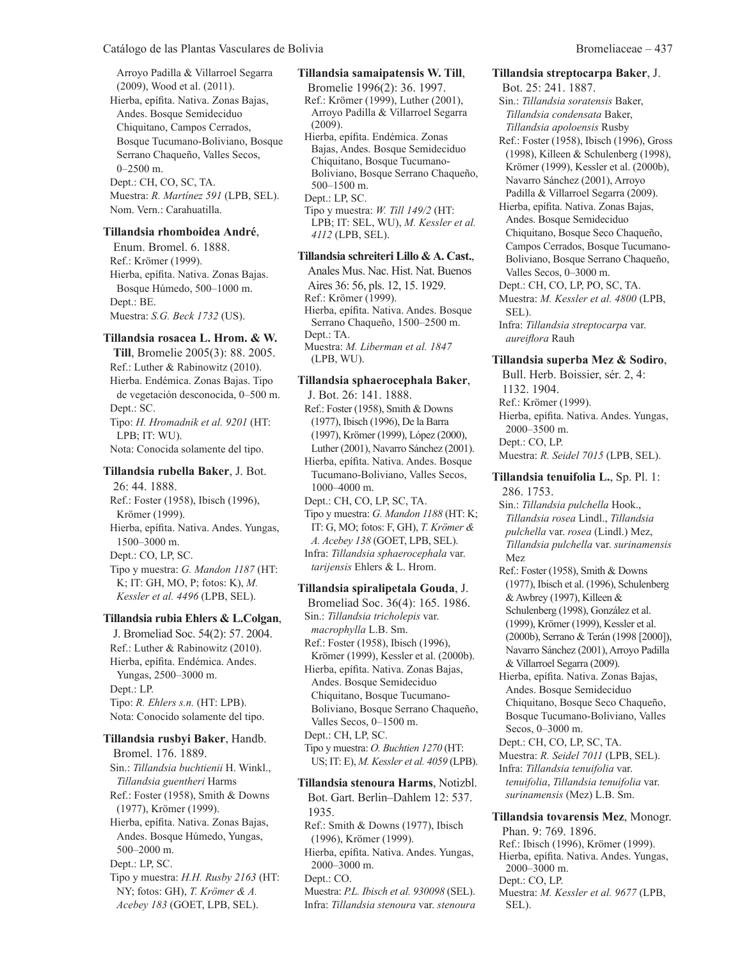Arroyo Padilla & Villarroel Segarra (2009), Wood et al. (2011). Hierba, epífita. Nativa. Zonas Bajas, Andes. Bosque Semideciduo Chiquitano, Campos Cerrados, Bosque Tucumano-Boliviano, Bosque Serrano Chaqueño, Valles Secos, 0–2500 m. Dept.: CH, CO, SC, TA. Muestra: *R. Martínez 591* (LPB, SEL). Nom. Vern.: Carahuatilla.

#### **Tillandsia rhomboidea André**,

Enum. Bromel. 6. 1888. Ref.: Krömer (1999). Hierba, epífita. Nativa. Zonas Bajas. Bosque Húmedo, 500–1000 m. Dept.: BE. Muestra: *S.G. Beck 1732* (US).

#### **Tillandsia rosacea L. Hrom. & W.**

**Till**, Bromelie 2005(3): 88. 2005. Ref.: Luther & Rabinowitz (2010). Hierba. Endémica. Zonas Bajas. Tipo de vegetación desconocida, 0–500 m. Dept.: SC. Tipo: *H. Hromadnik et al. 9201* (HT: LPB; IT: WU). Nota: Conocida solamente del tipo.

#### **Tillandsia rubella Baker**, J. Bot.

26: 44. 1888. Ref.: Foster (1958), Ibisch (1996), Krömer (1999). Hierba, epífita. Nativa. Andes. Yungas, 1500–3000 m. Dept.: CO, LP, SC. Tipo y muestra: *G. Mandon 1187* (HT: K; IT: GH, MO, P; fotos: K), *M. Kessler et al. 4496* (LPB, SEL).

#### **Tillandsia rubia Ehlers & L.Colgan**,

J. Bromeliad Soc. 54(2): 57. 2004. Ref.: Luther & Rabinowitz (2010). Hierba, epífita. Endémica. Andes. Yungas, 2500–3000 m. Dept.: LP. Tipo: *R. Ehlers s.n.* (HT: LPB). Nota: Conocido solamente del tipo.

# **Tillandsia rusbyi Baker**, Handb. Bromel. 176. 1889. Sin.: *Tillandsia buchtienii* H. Winkl.,

*Tillandsia guentheri* Harms Ref.: Foster (1958), Smith & Downs (1977), Krömer (1999). Hierba, epífita. Nativa. Zonas Bajas, Andes. Bosque Húmedo, Yungas, 500–2000 m. Dept.: LP, SC. Tipo y muestra: *H.H. Rusby 2163* (HT: NY; fotos: GH), *T. Krömer & A. Acebey 183* (GOET, LPB, SEL).

# **Tillandsia samaipatensis W. Till**,

Bromelie 1996(2): 36. 1997. Ref.: Krömer (1999), Luther (2001), Arroyo Padilla & Villarroel Segarra (2009).

Hierba, epífita. Endémica. Zonas Bajas, Andes. Bosque Semideciduo Chiquitano, Bosque Tucumano-Boliviano, Bosque Serrano Chaqueño, 500–1500 m. Dept.: LP, SC.

Tipo y muestra: *W. Till 149/2* (HT: LPB; IT: SEL, WU), *M. Kessler et al. 4112* (LPB, SEL).

## **Tillandsia schreiteri Lillo & A. Cast.**,

Anales Mus. Nac. Hist. Nat. Buenos Aires 36: 56, pls. 12, 15. 1929. Ref.: Krömer (1999). Hierba, epífita. Nativa. Andes. Bosque Serrano Chaqueño, 1500–2500 m. Dept.: TA. Muestra: *M. Liberman et al. 1847* (LPB, WU).

# **Tillandsia sphaerocephala Baker**,

J. Bot. 26: 141. 1888. Ref.: Foster (1958), Smith & Downs (1977), Ibisch (1996), De la Barra (1997), Krömer (1999), López (2000), Luther (2001), Navarro Sánchez (2001).

Hierba, epífita. Nativa. Andes. Bosque Tucumano-Boliviano, Valles Secos, 1000–4000 m.

Dept.: CH, CO, LP, SC, TA. Tipo y muestra: *G. Mandon 1188* (HT: K; IT: G, MO; fotos: F, GH), *T. Krömer & A. Acebey 138* (GOET, LPB, SEL). Infra: *Tillandsia sphaerocephala* var. *tarijensis* Ehlers & L. Hrom.

#### **Tillandsia spiralipetala Gouda**, J.

Bromeliad Soc. 36(4): 165. 1986. Sin.: *Tillandsia tricholepis* var. *macrophylla* L.B. Sm. Ref.: Foster (1958), Ibisch (1996), Krömer (1999), Kessler et al. (2000b). Hierba, epífita. Nativa. Zonas Bajas, Andes. Bosque Semideciduo Chiquitano, Bosque Tucumano-Boliviano, Bosque Serrano Chaqueño, Valles Secos, 0–1500 m. Dept.: CH, LP, SC. Tipo y muestra: *O. Buchtien 1270* (HT: US; IT: E), *M. Kessler et al. 4059* (LPB).

**Tillandsia stenoura Harms**, Notizbl. Bot. Gart. Berlin–Dahlem 12: 537. 1935. Ref.: Smith & Downs (1977), Ibisch (1996), Krömer (1999). Hierba, epífita. Nativa. Andes. Yungas, 2000–3000 m. Dept.: CO. Muestra: *P.L. Ibisch et al. 930098* (SEL). Infra: *Tillandsia stenoura* var. *stenoura*

#### **Tillandsia streptocarpa Baker**, J.

Bot. 25: 241. 1887.

Sin.: *Tillandsia soratensis* Baker, *Tillandsia condensata* Baker, *Tillandsia apoloensis* Rusby

Ref.: Foster (1958), Ibisch (1996), Gross (1998), Killeen & Schulenberg (1998), Krömer (1999), Kessler et al. (2000b), Navarro Sánchez (2001), Arroyo Padilla & Villarroel Segarra (2009).

Hierba, epífita. Nativa. Zonas Bajas, Andes. Bosque Semideciduo Chiquitano, Bosque Seco Chaqueño, Campos Cerrados, Bosque Tucumano-Boliviano, Bosque Serrano Chaqueño, Valles Secos, 0–3000 m.

Dept.: CH, CO, LP, PO, SC, TA.

Muestra: *M. Kessler et al. 4800* (LPB, SEL).

Infra: *Tillandsia streptocarpa* var. *aureiflora* Rauh

#### **Tillandsia superba Mez & Sodiro**,

Bull. Herb. Boissier, sér. 2, 4: 1132. 1904. Ref.: Krömer (1999). Hierba, epífita. Nativa. Andes. Yungas, 2000–3500 m. Dept.: CO, LP. Muestra: *R. Seidel 7015* (LPB, SEL).

#### **Tillandsia tenuifolia L.**, Sp. Pl. 1: 286. 1753.

Sin.: *Tillandsia pulchella* Hook., *Tillandsia rosea* Lindl., *Tillandsia pulchella* var. *rosea* (Lindl.) Mez, *Tillandsia pulchella* var. *surinamensis* Mez

Ref.: Foster (1958), Smith & Downs (1977), Ibisch et al. (1996), Schulenberg & Awbrey (1997), Killeen & Schulenberg (1998), González et al. (1999), Krömer (1999), Kessler et al. (2000b), Serrano & Terán (1998 [2000]), Navarro Sánchez (2001), Arroyo Padilla & Villarroel Segarra (2009).

Hierba, epífita. Nativa. Zonas Bajas, Andes. Bosque Semideciduo Chiquitano, Bosque Seco Chaqueño, Bosque Tucumano-Boliviano, Valles Secos, 0–3000 m.

Dept.: CH, CO, LP, SC, TA.

Muestra: *R. Seidel 7011* (LPB, SEL). Infra: *Tillandsia tenuifolia* var. *tenuifolia*, *Tillandsia tenuifolia* var. *surinamensis* (Mez) L.B. Sm.

**Tillandsia tovarensis Mez**, Monogr. Phan. 9: 769. 1896. Ref.: Ibisch (1996), Krömer (1999). Hierba, epífita. Nativa. Andes. Yungas, 2000–3000 m. Dept.: CO, LP. Muestra: *M. Kessler et al. 9677* (LPB, SEL).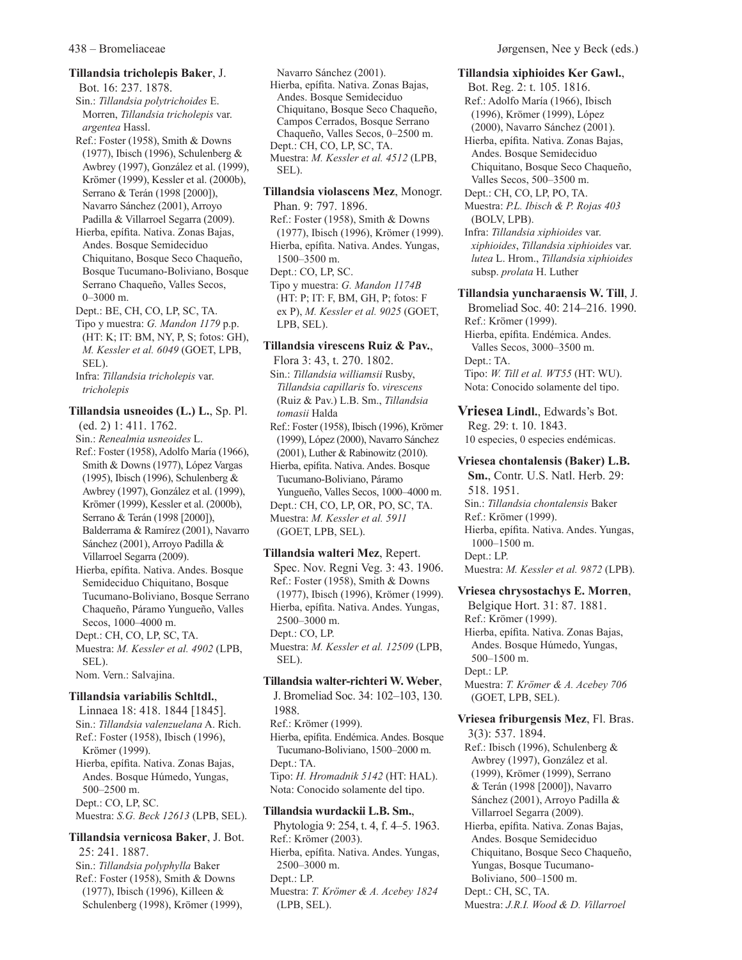#### **Tillandsia tricholepis Baker**, J.

Bot. 16: 237. 1878. Sin.: *Tillandsia polytrichoides* E. Morren, *Tillandsia tricholepis* var. *argentea* Hassl.

Ref.: Foster (1958), Smith & Downs (1977), Ibisch (1996), Schulenberg & Awbrey (1997), González et al. (1999), Krömer (1999), Kessler et al. (2000b), Serrano & Terán (1998 [2000]), Navarro Sánchez (2001), Arroyo Padilla & Villarroel Segarra (2009).

Hierba, epífita. Nativa. Zonas Bajas, Andes. Bosque Semideciduo Chiquitano, Bosque Seco Chaqueño, Bosque Tucumano-Boliviano, Bosque Serrano Chaqueño, Valles Secos, 0–3000 m.

Dept.: BE, CH, CO, LP, SC, TA.

Tipo y muestra: *G. Mandon 1179* p.p. (HT: K; IT: BM, NY, P, S; fotos: GH), *M. Kessler et al. 6049* (GOET, LPB, SEL).

Infra: *Tillandsia tricholepis* var. *tricholepis*

# **Tillandsia usneoides (L.) L.**, Sp. Pl.

(ed. 2) 1: 411. 1762.

- Sin.: *Renealmia usneoides* L. Ref.: Foster (1958), Adolfo María (1966), Smith & Downs (1977), López Vargas (1995), Ibisch (1996), Schulenberg & Awbrey (1997), González et al. (1999), Krömer (1999), Kessler et al. (2000b), Serrano & Terán (1998 [2000]), Balderrama & Ramírez (2001), Navarro Sánchez (2001), Arroyo Padilla & Villarroel Segarra (2009).
- Hierba, epífita. Nativa. Andes. Bosque Semideciduo Chiquitano, Bosque Tucumano-Boliviano, Bosque Serrano Chaqueño, Páramo Yungueño, Valles Secos, 1000–4000 m.

Dept.: CH, CO, LP, SC, TA.

Muestra: *M. Kessler et al. 4902* (LPB, SEL).

Nom. Vern.: Salvajina.

#### **Tillandsia variabilis Schltdl.**,

Linnaea 18: 418. 1844 [1845]. Sin.: *Tillandsia valenzuelana* A. Rich. Ref.: Foster (1958), Ibisch (1996), Krömer (1999). Hierba, epífita. Nativa. Zonas Bajas, Andes. Bosque Húmedo, Yungas, 500–2500 m. Dept.: CO, LP, SC. Muestra: *S.G. Beck 12613* (LPB, SEL).

#### **Tillandsia vernicosa Baker**, J. Bot. 25: 241. 1887. Sin.: *Tillandsia polyphylla* Baker Ref.: Foster (1958), Smith & Downs (1977), Ibisch (1996), Killeen & Schulenberg (1998), Krömer (1999),

Navarro Sánchez (2001). Hierba, epífita. Nativa. Zonas Bajas, Andes. Bosque Semideciduo Chiquitano, Bosque Seco Chaqueño, Campos Cerrados, Bosque Serrano Chaqueño, Valles Secos, 0–2500 m. Dept.: CH, CO, LP, SC, TA. Muestra: *M. Kessler et al. 4512* (LPB, SEL).

**Tillandsia violascens Mez**, Monogr. Phan. 9: 797. 1896. Ref.: Foster (1958), Smith & Downs

(1977), Ibisch (1996), Krömer (1999). Hierba, epífita. Nativa. Andes. Yungas, 1500–3500 m. Dept.: CO, LP, SC. Tipo y muestra: *G. Mandon 1174B*

(HT: P; IT: F, BM, GH, P; fotos: F ex P), *M. Kessler et al. 9025* (GOET, LPB, SEL).

#### **Tillandsia virescens Ruiz & Pav.**,

Flora 3: 43, t. 270. 1802. Sin.: *Tillandsia williamsii* Rusby, *Tillandsia capillaris* fo. *virescens* (Ruiz & Pav.) L.B. Sm., *Tillandsia tomasii* Halda Ref.: Foster (1958), Ibisch (1996), Krömer (1999), López (2000), Navarro Sánchez (2001), Luther & Rabinowitz (2010). Hierba, epífita. Nativa. Andes. Bosque Tucumano-Boliviano, Páramo Yungueño, Valles Secos, 1000–4000 m. Dept.: CH, CO, LP, OR, PO, SC, TA. Muestra: *M. Kessler et al. 5911*

(GOET, LPB, SEL).

#### **Tillandsia walteri Mez**, Repert.

Spec. Nov. Regni Veg. 3: 43. 1906. Ref.: Foster (1958), Smith & Downs (1977), Ibisch (1996), Krömer (1999). Hierba, epífita. Nativa. Andes. Yungas, 2500–3000 m. Dept.: CO, LP. Muestra: *M. Kessler et al. 12509* (LPB, SEL).

#### **Tillandsia walter-richteri W. Weber**,

J. Bromeliad Soc. 34: 102–103, 130. 1988. Ref.: Krömer (1999). Hierba, epífita. Endémica. Andes. Bosque Tucumano-Boliviano, 1500–2000 m. Dept.: TA. Tipo: *H. Hromadnik 5142* (HT: HAL). Nota: Conocido solamente del tipo.

#### **Tillandsia wurdackii L.B. Sm.**,

Phytologia 9: 254, t. 4, f. 4–5. 1963. Ref.: Krömer (2003). Hierba, epífita. Nativa. Andes. Yungas, 2500–3000 m. Dept.: LP. Muestra: *T. Krömer & A. Acebey 1824* (LPB, SEL).

#### **Tillandsia xiphioides Ker Gawl.**,

Bot. Reg. 2: t. 105. 1816. Ref.: Adolfo María (1966), Ibisch (1996), Krömer (1999), López (2000), Navarro Sánchez (2001). Hierba, epífita. Nativa. Zonas Bajas, Andes. Bosque Semideciduo Chiquitano, Bosque Seco Chaqueño, Valles Secos, 500–3500 m. Dept.: CH, CO, LP, PO, TA. Muestra: *P.L. Ibisch & P. Rojas 403* (BOLV, LPB). Infra: *Tillandsia xiphioides* var. *xiphioides*, *Tillandsia xiphioides* var. *lutea* L. Hrom., *Tillandsia xiphioides* subsp. *prolata* H. Luther **Tillandsia yuncharaensis W. Till**, J. Bromeliad Soc. 40: 214–216. 1990. Ref.: Krömer (1999).

Hierba, epífita. Endémica. Andes. Valles Secos, 3000–3500 m. Dept.: TA. Tipo: *W. Till et al. WT55* (HT: WU). Nota: Conocido solamente del tipo.

**Vriesea Lindl.**, Edwards's Bot. Reg. 29: t. 10. 1843. 10 especies, 0 especies endémicas.

# **Vriesea chontalensis (Baker) L.B.**

**Sm.**, Contr. U.S. Natl. Herb. 29: 518. 1951. Sin.: *Tillandsia chontalensis* Baker Ref.: Krömer (1999). Hierba, epífita. Nativa. Andes. Yungas, 1000–1500 m. Dept.: LP. Muestra: *M. Kessler et al. 9872* (LPB).

**Vriesea chrysostachys E. Morren**,

Belgique Hort. 31: 87. 1881. Ref.: Krömer (1999). Hierba, epífita. Nativa. Zonas Bajas, Andes. Bosque Húmedo, Yungas, 500–1500 m. Dept.: LP. Muestra: *T. Krömer & A. Acebey 706* (GOET, LPB, SEL).

**Vriesea friburgensis Mez**, Fl. Bras. 3(3): 537. 1894. Ref.: Ibisch (1996), Schulenberg & Awbrey (1997), González et al. (1999), Krömer (1999), Serrano & Terán (1998 [2000]), Navarro Sánchez (2001), Arroyo Padilla & Villarroel Segarra (2009). Hierba, epífita. Nativa. Zonas Bajas, Andes. Bosque Semideciduo Chiquitano, Bosque Seco Chaqueño, Yungas, Bosque Tucumano-

Boliviano, 500–1500 m.

Dept.: CH, SC, TA.

Muestra: *J.R.I. Wood & D. Villarroel*